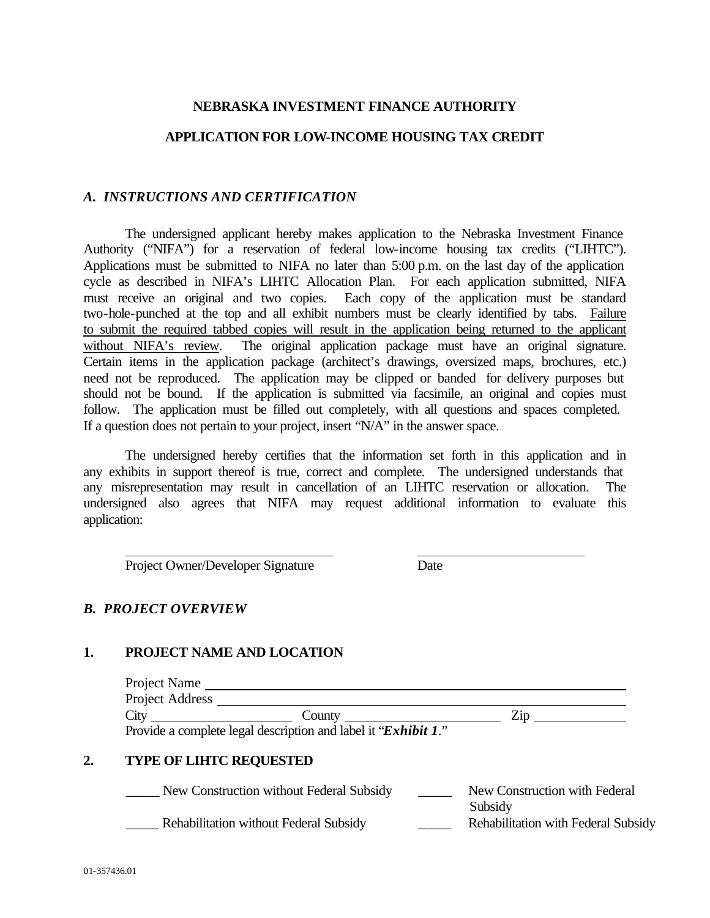## **NEBRASKA INVESTMENT FINANCE AUTHORITY**

## **APPLICATION FOR LOW-INCOME HOUSING TAX CREDIT**

### *A. INSTRUCTIONS AND CERTIFICATION*

The undersigned applicant hereby makes application to the Nebraska Investment Finance Authority ("NIFA") for a reservation of federal low-income housing tax credits ("LIHTC"). Applications must be submitted to NIFA no later than 5:00 p.m. on the last day of the application cycle as described in NIFA's LIHTC Allocation Plan. For each application submitted, NIFA must receive an original and two copies. Each copy of the application must be standard two-hole-punched at the top and all exhibit numbers must be clearly identified by tabs. Failure to submit the required tabbed copies will result in the application being returned to the applicant without NIFA's review. The original application package must have an original signature. Certain items in the application package (architect's drawings, oversized maps, brochures, etc.) need not be reproduced. The application may be clipped or banded for delivery purposes but should not be bound. If the application is submitted via facsimile, an original and copies must follow. The application must be filled out completely, with all questions and spaces completed. If a question does not pertain to your project, insert "N/A" in the answer space.

The undersigned hereby certifies that the information set forth in this application and in any exhibits in support thereof is true, correct and complete. The undersigned understands that any misrepresentation may result in cancellation of an LIHTC reservation or allocation. The undersigned also agrees that NIFA may request additional information to evaluate this application:

Project Owner/Developer Signature Date

## *B. PROJECT OVERVIEW*

### **1. PROJECT NAME AND LOCATION**

| Project Name    |                                                                |     |
|-----------------|----------------------------------------------------------------|-----|
| Project Address |                                                                |     |
| City            | County                                                         | Zip |
|                 | Provide a complete legal description and label it "Exhibit 1." |     |

### **2. TYPE OF LIHTC REQUESTED**

| New Construction without Federal Subsidy      | New Construction with Federal       |
|-----------------------------------------------|-------------------------------------|
|                                               | Subsidy                             |
| <b>Rehabilitation without Federal Subsidy</b> | Rehabilitation with Federal Subsidy |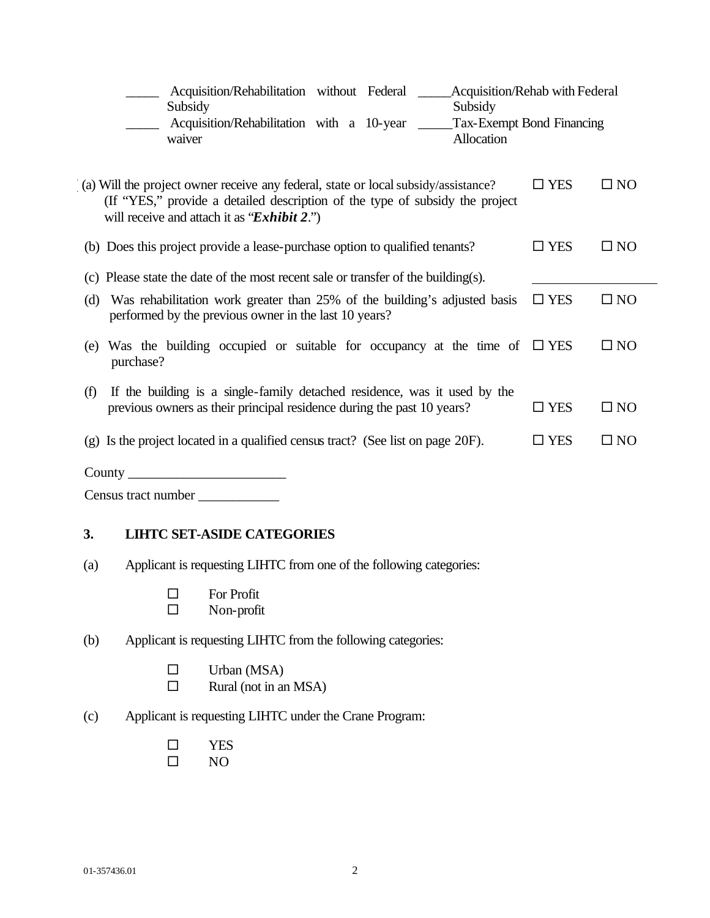| Acquisition/Rehabilitation without Federal<br>Subsidy<br>Subsidy                                                                                                                                                  | <b>Acquisition/Rehab with Federal</b> |              |  |
|-------------------------------------------------------------------------------------------------------------------------------------------------------------------------------------------------------------------|---------------------------------------|--------------|--|
| Tax-Exempt Bond Financing<br>Acquisition/Rehabilitation with a 10-year _____<br>Allocation<br>waiver                                                                                                              |                                       |              |  |
| (a) Will the project owner receive any federal, state or local subsidy/assistance?<br>(If "YES," provide a detailed description of the type of subsidy the project<br>will receive and attach it as "Exhibit 2.") | $\square$ YES                         | $\square$ NO |  |
| (b) Does this project provide a lease-purchase option to qualified tenants?                                                                                                                                       | $\square$ YES                         | $\square$ NO |  |
| (c) Please state the date of the most recent sale or transfer of the building(s).                                                                                                                                 |                                       |              |  |
| Was rehabilitation work greater than 25% of the building's adjusted basis<br>(d)<br>performed by the previous owner in the last 10 years?                                                                         | $\square$ YES                         | $\square$ NO |  |
| Was the building occupied or suitable for occupancy at the time of $\square$ YES<br>(e)<br>purchase?                                                                                                              |                                       | $\square$ NO |  |
| If the building is a single-family detached residence, was it used by the<br>(f)<br>previous owners as their principal residence during the past 10 years?                                                        | $\square$ YES                         | $\square$ NO |  |
| (g) Is the project located in a qualified census tract? (See list on page 20F).                                                                                                                                   | $\square$ YES                         | $\square$ NO |  |
| County                                                                                                                                                                                                            |                                       |              |  |

| Census tract number |  |
|---------------------|--|
|---------------------|--|

## **3. LIHTC SET-ASIDE CATEGORIES**

- (a) Applicant is requesting LIHTC from one of the following categories:
	- $\square$  For Profit<br> $\square$  Non-profit
		- Non-profit
- (b) Applicant is requesting LIHTC from the following categories:
	- $\square$  Urban (MSA)<br> $\square$  Rural (not in an
		- Rural (not in an MSA)
- (c) Applicant is requesting LIHTC under the Crane Program:
	- $\begin{tabular}{ll} $\Box$ & \mbox{YES} \\ $\Box$ & \mbox{NO} \end{tabular}$
	- ® NO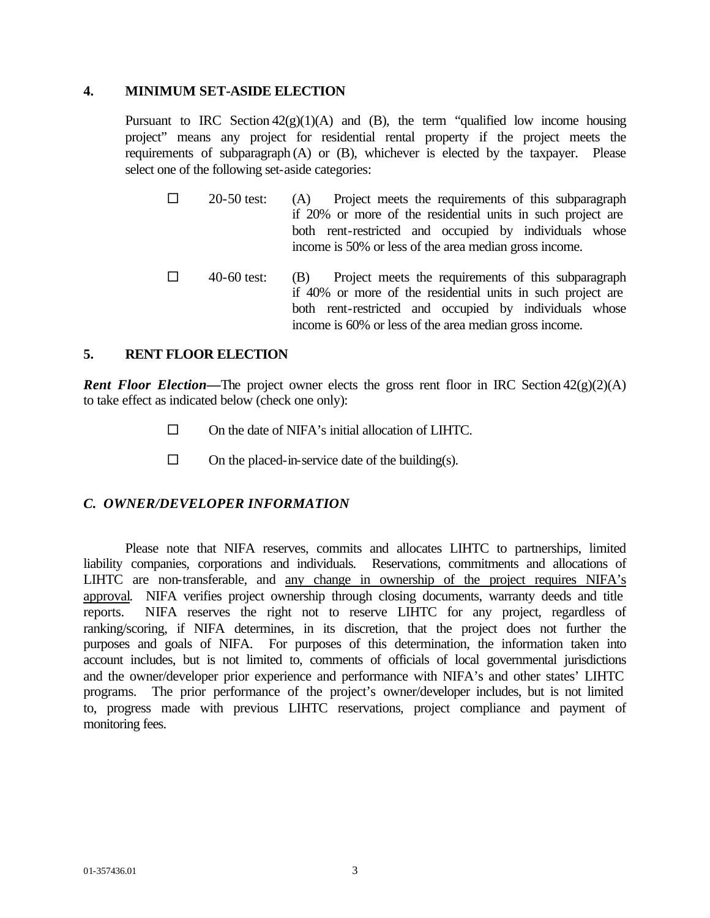### **4. MINIMUM SET-ASIDE ELECTION**

Pursuant to IRC Section  $42(g)(1)(A)$  and (B), the term "qualified low income housing project" means any project for residential rental property if the project meets the requirements of subparagraph (A) or (B), whichever is elected by the taxpayer. Please select one of the following set-aside categories:

- $\square$  20-50 test: (A) Project meets the requirements of this subparagraph if 20% or more of the residential units in such project are both rent-restricted and occupied by individuals whose income is 50% or less of the area median gross income.
- $\Box$  40-60 test: (B) Project meets the requirements of this subparagraph if 40% or more of the residential units in such project are both rent-restricted and occupied by individuals whose income is 60% or less of the area median gross income.

## **5. RENT FLOOR ELECTION**

**Rent Floor Election—The project owner elects the gross rent floor in IRC Section**  $42(g)(2)(A)$ to take effect as indicated below (check one only):

- $\square$  On the date of NIFA's initial allocation of LIHTC.
- $\square$  On the placed-in-service date of the building(s).

## *C. OWNER/DEVELOPER INFORMATION*

Please note that NIFA reserves, commits and allocates LIHTC to partnerships, limited liability companies, corporations and individuals. Reservations, commitments and allocations of LIHTC are non-transferable, and any change in ownership of the project requires NIFA's approval. NIFA verifies project ownership through closing documents, warranty deeds and title reports. NIFA reserves the right not to reserve LIHTC for any project, regardless of ranking/scoring, if NIFA determines, in its discretion, that the project does not further the purposes and goals of NIFA. For purposes of this determination, the information taken into account includes, but is not limited to, comments of officials of local governmental jurisdictions and the owner/developer prior experience and performance with NIFA's and other states' LIHTC programs. The prior performance of the project's owner/developer includes, but is not limited to, progress made with previous LIHTC reservations, project compliance and payment of monitoring fees.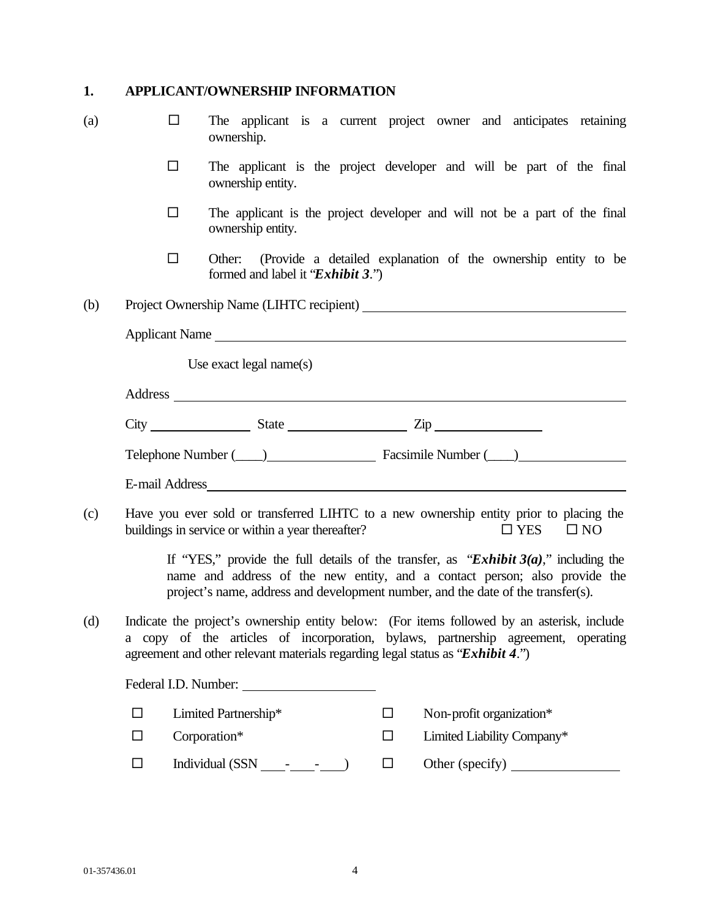# **1. APPLICANT/OWNERSHIP INFORMATION**

| (a) | П      | The applicant is a current project owner and anticipates retaining<br>ownership.                                                                                                                                                                                  |        |                                                               |            |              |  |
|-----|--------|-------------------------------------------------------------------------------------------------------------------------------------------------------------------------------------------------------------------------------------------------------------------|--------|---------------------------------------------------------------|------------|--------------|--|
|     | □      | The applicant is the project developer and will be part of the final<br>ownership entity.                                                                                                                                                                         |        |                                                               |            |              |  |
|     | $\Box$ | The applicant is the project developer and will not be a part of the final<br>ownership entity.                                                                                                                                                                   |        |                                                               |            |              |  |
|     | $\Box$ | Other:<br>formed and label it "Exhibit 3.")                                                                                                                                                                                                                       |        | (Provide a detailed explanation of the ownership entity to be |            |              |  |
| (b) |        |                                                                                                                                                                                                                                                                   |        |                                                               |            |              |  |
|     |        | Applicant Name                                                                                                                                                                                                                                                    |        |                                                               |            |              |  |
|     |        | Use exact legal name $(s)$                                                                                                                                                                                                                                        |        |                                                               |            |              |  |
|     |        |                                                                                                                                                                                                                                                                   |        |                                                               |            |              |  |
|     |        | $City$ $Listy$ $State$ $Zip$                                                                                                                                                                                                                                      |        |                                                               |            |              |  |
|     |        |                                                                                                                                                                                                                                                                   |        |                                                               |            |              |  |
|     |        | Telephone Number (Champion Communication Communication Communication Communication Communication Communication                                                                                                                                                    |        |                                                               |            |              |  |
|     |        |                                                                                                                                                                                                                                                                   |        |                                                               |            |              |  |
| (c) |        | Have you ever sold or transferred LIHTC to a new ownership entity prior to placing the<br>buildings in service or within a year thereafter?                                                                                                                       |        |                                                               | $\Box$ YES | $\square$ NO |  |
|     |        | If "YES," provide the full details of the transfer, as "Exhibit $3(a)$ ," including the<br>name and address of the new entity, and a contact person; also provide the<br>project's name, address and development number, and the date of the transfer(s).         |        |                                                               |            |              |  |
| (d) |        | Indicate the project's ownership entity below: (For items followed by an asterisk, include<br>a copy of the articles of incorporation, bylaws, partnership agreement, operating<br>agreement and other relevant materials regarding legal status as "Exhibit 4.") |        |                                                               |            |              |  |
|     |        | Federal I.D. Number:                                                                                                                                                                                                                                              |        |                                                               |            |              |  |
|     | $\Box$ | Limited Partnership*                                                                                                                                                                                                                                              | $\Box$ | Non-profit organization*                                      |            |              |  |
|     | $\Box$ | Corporation*                                                                                                                                                                                                                                                      | □      | Limited Liability Company*                                    |            |              |  |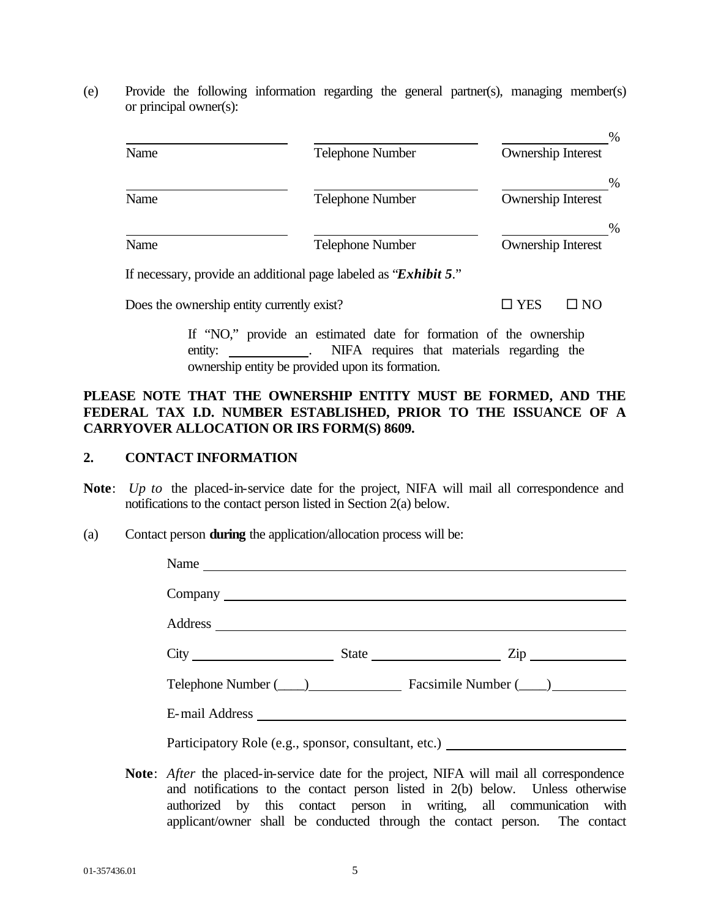(e) Provide the following information regarding the general partner(s), managing member(s) or principal owner(s):

| Name | Telephone Number        | %<br><b>Ownership Interest</b> |
|------|-------------------------|--------------------------------|
| Name | <b>Telephone Number</b> | %<br><b>Ownership Interest</b> |
| Name | <b>Telephone Number</b> | %<br><b>Ownership Interest</b> |

If necessary, provide an additional page labeled as "*Exhibit 5*."

Does the ownership entity currently exist?  $\square$  YES  $\square$  NO

If "NO," provide an estimated date for formation of the ownership entity: . NIFA requires that materials regarding the ownership entity be provided upon its formation.

## **PLEASE NOTE THAT THE OWNERSHIP ENTITY MUST BE FORMED, AND THE FEDERAL TAX I.D. NUMBER ESTABLISHED, PRIOR TO THE ISSUANCE OF A CARRYOVER ALLOCATION OR IRS FORM(S) 8609.**

## **2. CONTACT INFORMATION**

- **Note**: *Up to* the placed-in-service date for the project, NIFA will mail all correspondence and notifications to the contact person listed in Section 2(a) below.
- (a) Contact person **during** the application/allocation process will be:

| Name |                                                                                  |
|------|----------------------------------------------------------------------------------|
|      |                                                                                  |
|      |                                                                                  |
|      | $City$ $2ip$                                                                     |
|      | Telephone Number (____) Facsimile Number (____)                                  |
|      |                                                                                  |
|      | Participatory Role (e.g., sponsor, consultant, etc.) ___________________________ |

**Note**: *After* the placed-in-service date for the project, NIFA will mail all correspondence and notifications to the contact person listed in 2(b) below. Unless otherwise authorized by this contact person in writing, all communication with applicant/owner shall be conducted through the contact person. The contact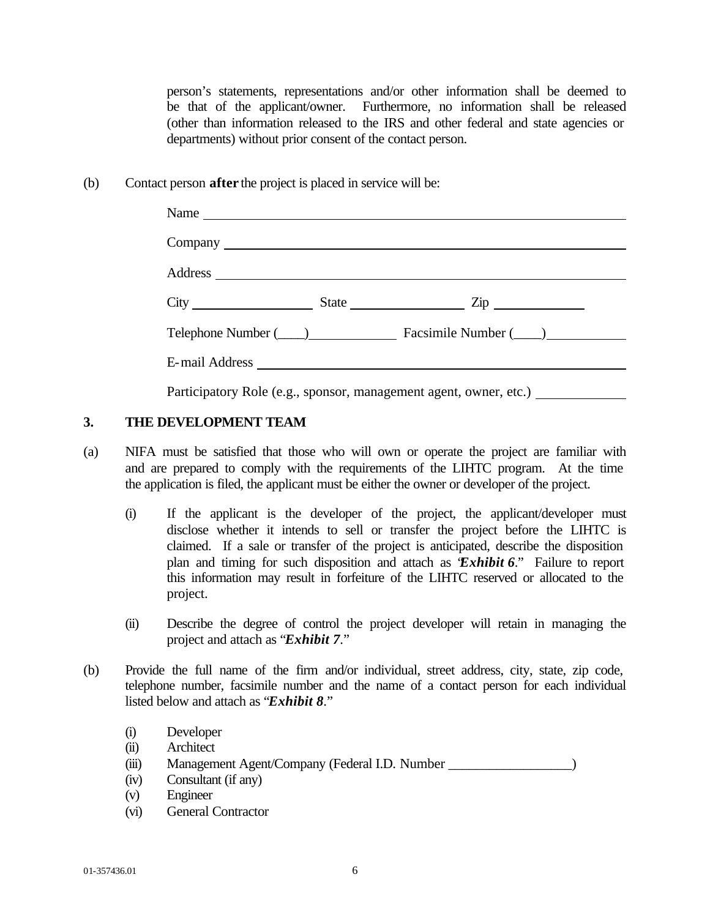person's statements, representations and/or other information shall be deemed to be that of the applicant/owner. Furthermore, no information shall be released (other than information released to the IRS and other federal and state agencies or departments) without prior consent of the contact person.

(b) Contact person **after** the project is placed in service will be:

|  | Name                                                                                                            |
|--|-----------------------------------------------------------------------------------------------------------------|
|  |                                                                                                                 |
|  |                                                                                                                 |
|  | $City$ $City$ $State$ $Zip$                                                                                     |
|  | Telephone Number (Championen Laurence Laurence Laurence Laurence Laurence Laurence Laurence Laurence Laurence L |
|  | E-mail Address                                                                                                  |
|  | Participatory Role (e.g., sponsor, management agent, owner, etc.)                                               |

## **3. THE DEVELOPMENT TEAM**

- (a) NIFA must be satisfied that those who will own or operate the project are familiar with and are prepared to comply with the requirements of the LIHTC program. At the time the application is filed, the applicant must be either the owner or developer of the project.
	- (i) If the applicant is the developer of the project, the applicant/developer must disclose whether it intends to sell or transfer the project before the LIHTC is claimed. If a sale or transfer of the project is anticipated, describe the disposition plan and timing for such disposition and attach as "*Exhibit 6*." Failure to report this information may result in forfeiture of the LIHTC reserved or allocated to the project.
	- (ii) Describe the degree of control the project developer will retain in managing the project and attach as "*Exhibit 7*."
- (b) Provide the full name of the firm and/or individual, street address, city, state, zip code, telephone number, facsimile number and the name of a contact person for each individual listed below and attach as "*Exhibit 8*."
	- (i) Developer
	- (ii) Architect
	- (iii) Management Agent/Company (Federal I.D. Number \_\_\_\_\_\_\_\_\_\_\_\_\_\_\_\_\_\_)
	- (iv) Consultant (if any)
	- (v) Engineer
	- (vi) General Contractor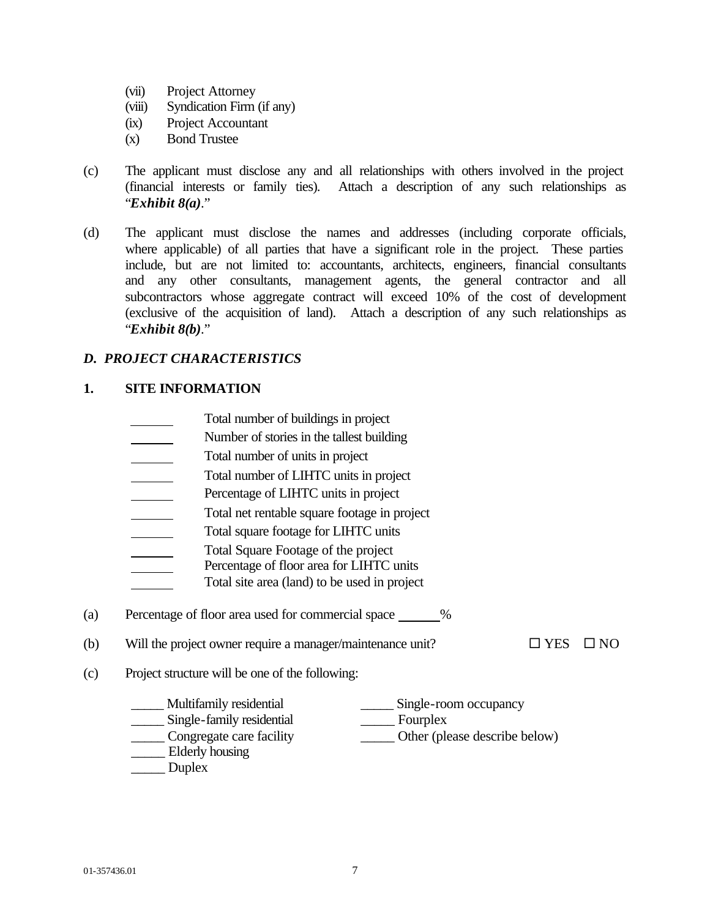- (vii) Project Attorney
- (viii) Syndication Firm (if any)
- (ix) Project Accountant
- (x) Bond Trustee
- (c) The applicant must disclose any and all relationships with others involved in the project (financial interests or family ties). Attach a description of any such relationships as "*Exhibit 8(a)*."
- (d) The applicant must disclose the names and addresses (including corporate officials, where applicable) of all parties that have a significant role in the project. These parties include, but are not limited to: accountants, architects, engineers, financial consultants and any other consultants, management agents, the general contractor and all subcontractors whose aggregate contract will exceed 10% of the cost of development (exclusive of the acquisition of land). Attach a description of any such relationships as "*Exhibit 8(b)*."

## *D. PROJECT CHARACTERISTICS*

## **1. SITE INFORMATION**

- Total number of buildings in project
- Number of stories in the tallest building
- Total number of units in project  $\overline{\phantom{a}}$
- Total number of LIHTC units in project
- Percentage of LIHTC units in project  $\overline{\phantom{a}}$
- Total net rentable square footage in project  $\overline{\phantom{a}}$
- Total square footage for LIHTC units  $\overline{\phantom{a}}$
- Total Square Footage of the project
- Percentage of floor area for LIHTC units
	- Total site area (land) to be used in project
- (a) Percentage of floor area used for commercial space %
- (b) Will the project owner require a manager/maintenance unit?  $\square$  YES  $\square$  NO

- (c) Project structure will be one of the following:
	- \_\_\_\_\_ Multifamily residential \_\_\_\_\_ Single-room occupancy \_\_\_\_\_ Single-family residential \_\_\_\_\_ Fourplex \_\_\_\_\_ Congregate care facility \_\_\_\_\_ Other (please describe below) \_\_\_\_\_ Elderly housing Duplex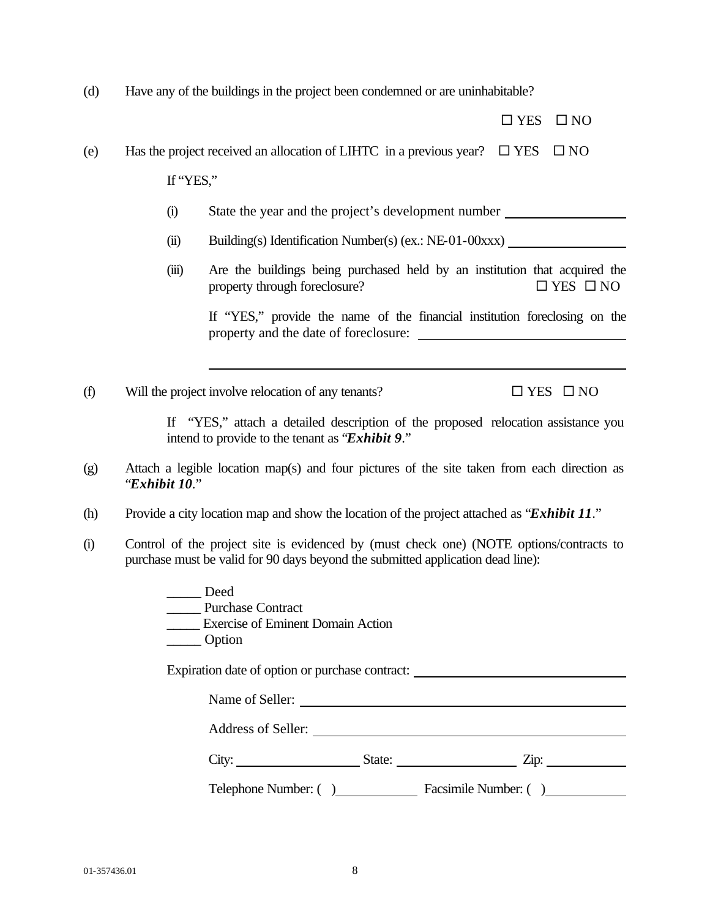(d) Have any of the buildings in the project been condemned or are uninhabitable?

|     |               |                                                                                                                                                                            | $\square$ YES | $\square$ NO         |
|-----|---------------|----------------------------------------------------------------------------------------------------------------------------------------------------------------------------|---------------|----------------------|
| (e) |               | Has the project received an allocation of LIHTC in a previous year? $\square$ YES                                                                                          |               | $\square$ NO         |
|     | If "YES,"     |                                                                                                                                                                            |               |                      |
|     | (i)           | State the year and the project's development number                                                                                                                        |               |                      |
|     | (ii)          | Building(s) Identification Number(s) (ex.: NE-01-00xxx)                                                                                                                    |               |                      |
|     | (iii)         | Are the buildings being purchased held by an institution that acquired the<br>property through foreclosure?                                                                |               | $\Box$ YES $\Box$ NO |
|     |               | If "YES," provide the name of the financial institution foreclosing on the<br>property and the date of foreclosure:                                                        |               |                      |
| (f) |               | Will the project involve relocation of any tenants?                                                                                                                        |               | $\Box$ YES $\Box$ NO |
|     |               | If "YES," attach a detailed description of the proposed relocation assistance you<br>intend to provide to the tenant as "Exhibit 9."                                       |               |                      |
| (g) | "Exhibit 10." | Attach a legible location map(s) and four pictures of the site taken from each direction as                                                                                |               |                      |
| (h) |               | Provide a city location map and show the location of the project attached as " <b>Exhibit 11</b> ."                                                                        |               |                      |
| (i) |               | Control of the project site is evidenced by (must check one) (NOTE options/contracts to<br>purchase must be valid for 90 days beyond the submitted application dead line): |               |                      |
|     |               | Deed<br>Purchase Contract<br><b>Exercise of Eminent Domain Action</b><br>Option                                                                                            |               |                      |
|     |               | Expiration date of option or purchase contract: _________________________________                                                                                          |               |                      |
|     |               | Name of Seller:                                                                                                                                                            |               |                      |
|     |               |                                                                                                                                                                            |               |                      |
|     |               |                                                                                                                                                                            |               |                      |
|     |               | Telephone Number: () Facsimile Number: ()                                                                                                                                  |               |                      |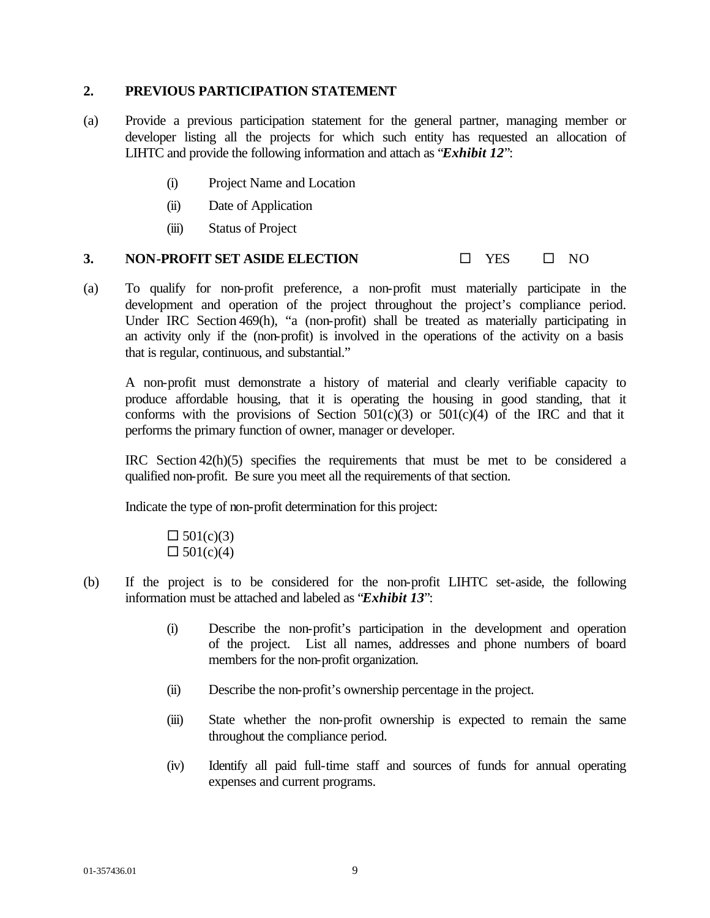### **2. PREVIOUS PARTICIPATION STATEMENT**

- (a) Provide a previous participation statement for the general partner, managing member or developer listing all the projects for which such entity has requested an allocation of LIHTC and provide the following information and attach as "*Exhibit 12*":
	- (i) Project Name and Location
	- (ii) Date of Application
	- (iii) Status of Project

### **3. NON-PROFIT SET ASIDE ELECTION**  $\Box$  YES  $\Box$  NO

(a) To qualify for non-profit preference, a non-profit must materially participate in the development and operation of the project throughout the project's compliance period. Under IRC Section 469(h), "a (non-profit) shall be treated as materially participating in an activity only if the (non-profit) is involved in the operations of the activity on a basis that is regular, continuous, and substantial."

A non-profit must demonstrate a history of material and clearly verifiable capacity to produce affordable housing, that it is operating the housing in good standing, that it conforms with the provisions of Section  $501(c)(3)$  or  $501(c)(4)$  of the IRC and that it performs the primary function of owner, manager or developer.

IRC Section 42(h)(5) specifies the requirements that must be met to be considered a qualified non-profit. Be sure you meet all the requirements of that section.

Indicate the type of non-profit determination for this project:

 $\Box 501(c)(3)$  $\Box 501(c)(4)$ 

- (b) If the project is to be considered for the non-profit LIHTC set-aside, the following information must be attached and labeled as "*Exhibit 13*":
	- (i) Describe the non-profit's participation in the development and operation of the project. List all names, addresses and phone numbers of board members for the non-profit organization.
	- (ii) Describe the non-profit's ownership percentage in the project.
	- (iii) State whether the non-profit ownership is expected to remain the same throughout the compliance period.
	- (iv) Identify all paid full-time staff and sources of funds for annual operating expenses and current programs.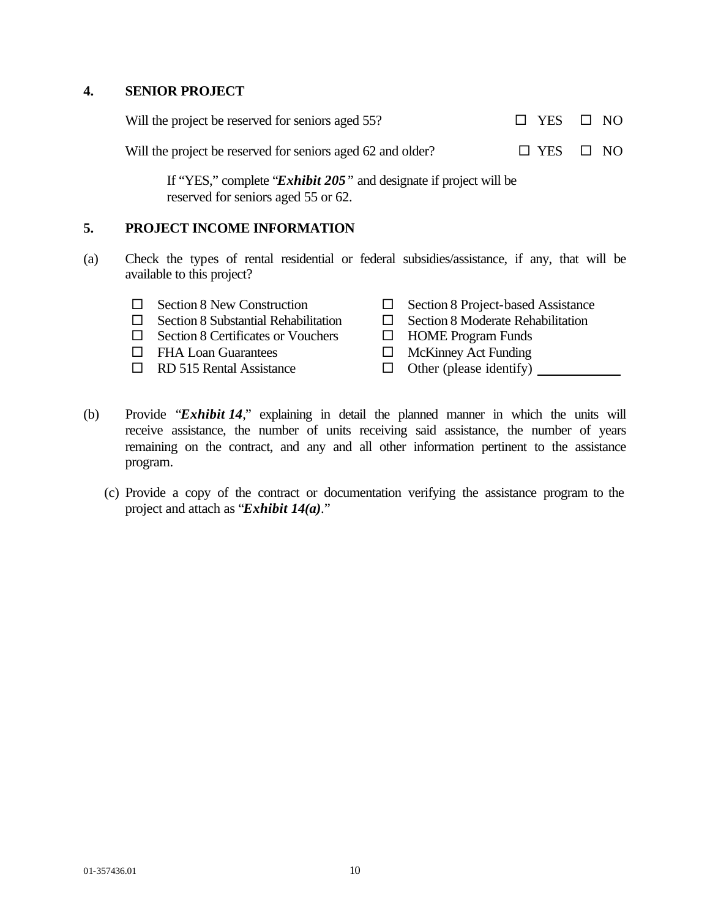### **4. SENIOR PROJECT**

| Will the project be reserved for seniors aged 55?           | $\Box$ YES $\Box$ NO |  |
|-------------------------------------------------------------|----------------------|--|
| Will the project be reserved for seniors aged 62 and older? | $\Box$ YES $\Box$ NO |  |

If "YES," complete "*Exhibit 205"* and designate if project will be reserved for seniors aged 55 or 62.

### **5. PROJECT INCOME INFORMATION**

- (a) Check the types of rental residential or federal subsidies/assistance, if any, that will be available to this project?
	-
	-
	- $\Box$  Section 8 Certificates or Vouchers  $\Box$  HOME Program Funds
	-
	- $\Box$  RD 515 Rental Assistance  $\Box$  Other (please identify)
	- $\Box$  Section 8 New Construction  $\Box$  Section 8 Project-based Assistance
	- $\Box$  Section 8 Substantial Rehabilitation  $\Box$  Section 8 Moderate Rehabilitation
		-
	- $\Box$  FHA Loan Guarantees  $\Box$  McKinney Act Funding
		-
- (b) Provide "*Exhibit 14*," explaining in detail the planned manner in which the units will receive assistance, the number of units receiving said assistance, the number of years remaining on the contract, and any and all other information pertinent to the assistance program.
	- (c) Provide a copy of the contract or documentation verifying the assistance program to the project and attach as "*Exhibit 14(a)*."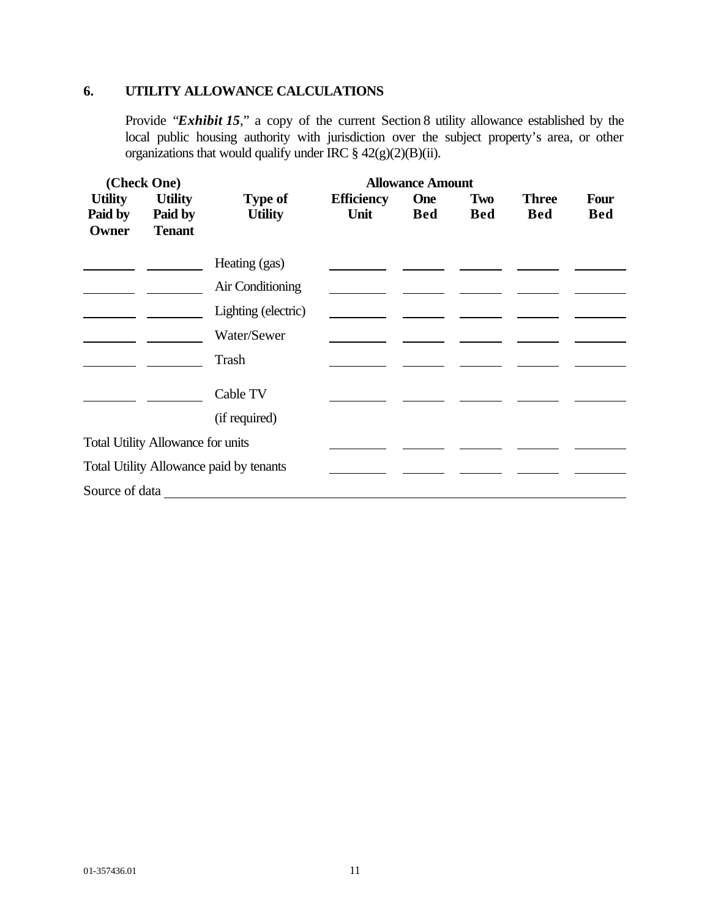## **6. UTILITY ALLOWANCE CALCULATIONS**

Provide "*Exhibit 15*," a copy of the current Section 8 utility allowance established by the local public housing authority with jurisdiction over the subject property's area, or other organizations that would qualify under IRC § 42(g)(2)(B)(ii).

| (Check One)                        |                                            |                                         |                           | <b>Allowance Amount</b>  |                   |                            |                           |
|------------------------------------|--------------------------------------------|-----------------------------------------|---------------------------|--------------------------|-------------------|----------------------------|---------------------------|
| <b>Utility</b><br>Paid by<br>Owner | <b>Utility</b><br>Paid by<br><b>Tenant</b> | <b>Type of</b><br><b>Utility</b>        | <b>Efficiency</b><br>Unit | <b>One</b><br><b>Bed</b> | Two<br><b>Bed</b> | <b>Three</b><br><b>Bed</b> | <b>Four</b><br><b>Bed</b> |
|                                    |                                            | Heating (gas)                           |                           |                          |                   |                            |                           |
|                                    |                                            | Air Conditioning                        |                           |                          |                   |                            |                           |
|                                    |                                            | Lighting (electric)                     |                           |                          |                   |                            |                           |
|                                    |                                            | Water/Sewer                             |                           |                          |                   |                            |                           |
|                                    |                                            | Trash                                   |                           |                          |                   |                            |                           |
|                                    |                                            | Cable TV                                |                           |                          |                   |                            |                           |
|                                    |                                            | (if required)                           |                           |                          |                   |                            |                           |
|                                    | <b>Total Utility Allowance for units</b>   |                                         |                           |                          |                   |                            |                           |
|                                    |                                            | Total Utility Allowance paid by tenants |                           |                          |                   |                            |                           |
| Source of data                     |                                            |                                         |                           |                          |                   |                            |                           |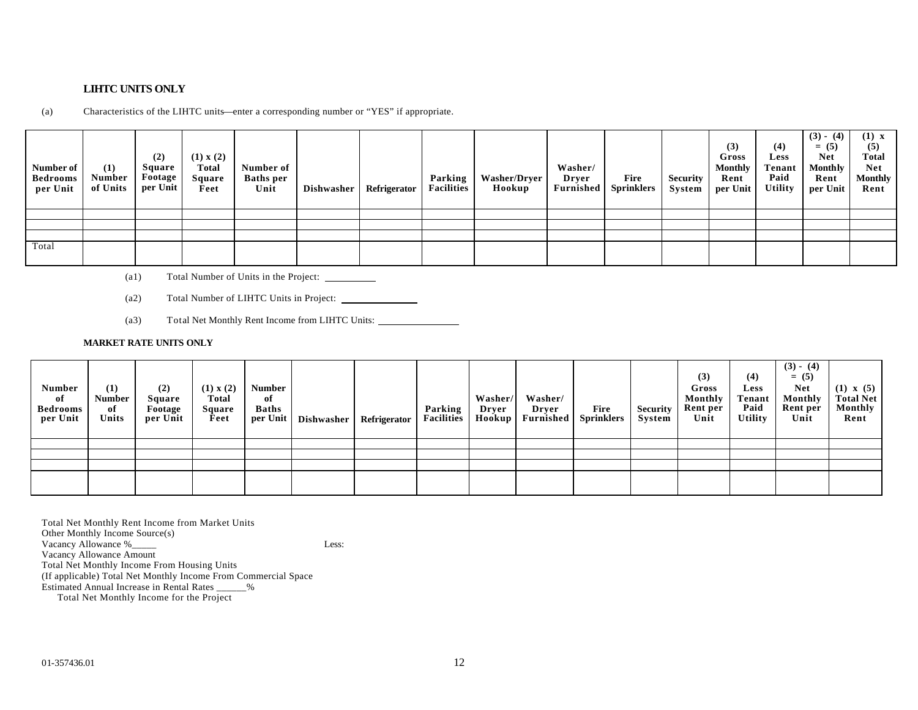### **LIHTC UNITS ONLY**

(a) Characteristics of the LIHTC units—enter a corresponding number or "YES" if appropriate.

| Number of<br><b>Bedrooms</b><br>per Unit | (1)<br><b>Number</b><br>of Units | (2)<br><b>Square</b><br>Footage<br>per Unit | (1) x (2)<br><b>Total</b><br>Square<br>Feet | Number of<br><b>Baths</b> per<br>Unit | <b>Dishwasher</b> | Refrigerator | Parking<br><b>Facilities</b> | <b>Washer/Dryer</b><br>Hookup | Washer/<br>Dryer<br><b>Furnished</b> | Fire<br><b>Sprinklers</b> | <b>Security</b><br>System | (3)<br>Gross<br><b>Monthly</b><br>Rent<br>per Unit | (4)<br><b>Less</b><br>Tenant<br>Paid<br><b>Utility</b> | $(3) - (4)$<br>$= (5)$<br><b>Net</b><br><b>Monthly</b><br>Rent<br>per Unit | $(1)$ x<br>(5)<br><b>Total</b><br><b>Net</b><br><b>Monthly</b><br>Rent |
|------------------------------------------|----------------------------------|---------------------------------------------|---------------------------------------------|---------------------------------------|-------------------|--------------|------------------------------|-------------------------------|--------------------------------------|---------------------------|---------------------------|----------------------------------------------------|--------------------------------------------------------|----------------------------------------------------------------------------|------------------------------------------------------------------------|
|                                          |                                  |                                             |                                             |                                       |                   |              |                              |                               |                                      |                           |                           |                                                    |                                                        |                                                                            |                                                                        |
|                                          |                                  |                                             |                                             |                                       |                   |              |                              |                               |                                      |                           |                           |                                                    |                                                        |                                                                            |                                                                        |
|                                          |                                  |                                             |                                             |                                       |                   |              |                              |                               |                                      |                           |                           |                                                    |                                                        |                                                                            |                                                                        |
| Total                                    |                                  |                                             |                                             |                                       |                   |              |                              |                               |                                      |                           |                           |                                                    |                                                        |                                                                            |                                                                        |

- (a1) Total Number of Units in the Project:
- (a2) Total Number of LIHTC Units in Project:
- (a3) Total Net Monthly Rent Income from LIHTC Units:

#### **MARKET RATE UNITS ONLY**

| <b>Number</b><br>of<br><b>Bedrooms</b><br>per Unit | (1)<br>Number<br>of<br>Units | (2)<br>Square<br>Footage<br>per Unit | (1) x (2)<br>Total<br>Square<br>Feet | <b>Number</b><br>of<br><b>Baths</b><br>per Unit | <b>Dishwasher</b> | Refrigerator | Parking<br><b>Facilities</b> | Washer/<br>Dryer<br>Hookup | Washer/<br>Drver<br>Furnished | Fire<br><b>Sprinklers</b> | <b>Security</b><br>System | (3)<br>Gross<br>Monthly<br>Rent per<br>Unit | (4)<br><b>Less</b><br><b>Tenant</b><br>Paid<br><b>Utility</b> | $(3) - (4)$<br>$= (5)$<br><b>Net</b><br>Monthly<br>Rent per<br>Unit | $(1) \times (5)$<br><b>Total Net</b><br>Monthly<br>Rent |
|----------------------------------------------------|------------------------------|--------------------------------------|--------------------------------------|-------------------------------------------------|-------------------|--------------|------------------------------|----------------------------|-------------------------------|---------------------------|---------------------------|---------------------------------------------|---------------------------------------------------------------|---------------------------------------------------------------------|---------------------------------------------------------|
|                                                    |                              |                                      |                                      |                                                 |                   |              |                              |                            |                               |                           |                           |                                             |                                                               |                                                                     |                                                         |
|                                                    |                              |                                      |                                      |                                                 |                   |              |                              |                            |                               |                           |                           |                                             |                                                               |                                                                     |                                                         |
|                                                    |                              |                                      |                                      |                                                 |                   |              |                              |                            |                               |                           |                           |                                             |                                                               |                                                                     |                                                         |
|                                                    |                              |                                      |                                      |                                                 |                   |              |                              |                            |                               |                           |                           |                                             |                                                               |                                                                     |                                                         |

Total Net Monthly Rent Income from Market Units Other Monthly Income Source(s) Vacancy Allowance %\_\_\_\_\_ Less: Vacancy Allowance Amount Total Net Monthly Income From Housing Units (If applicable) Total Net Monthly Income From Commercial Space Estimated Annual Increase in Rental Rates \_\_\_\_\_\_% Total Net Monthly Income for the Project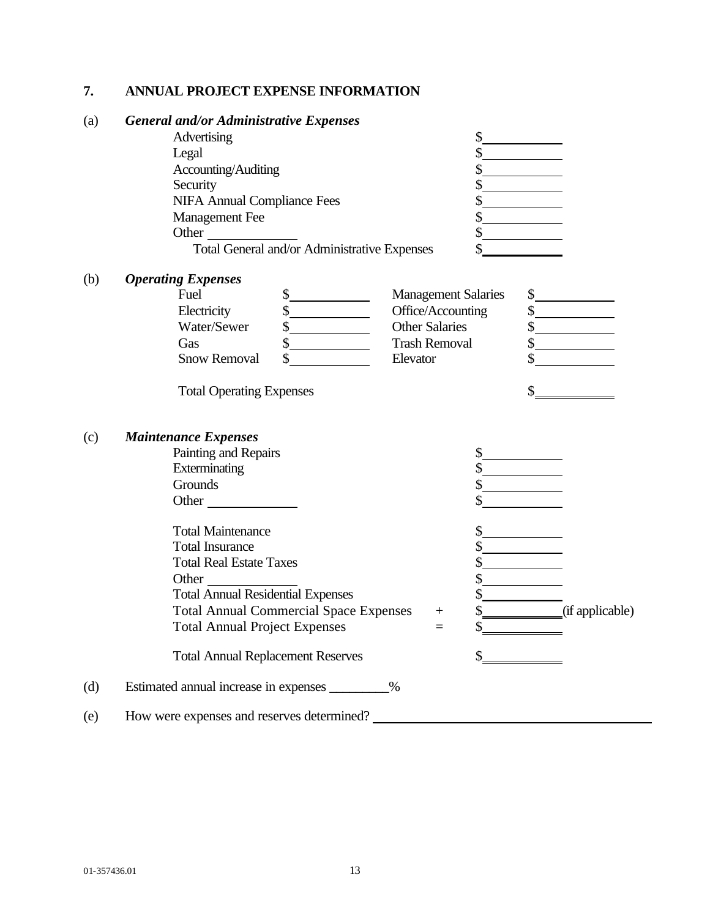## **7. ANNUAL PROJECT EXPENSE INFORMATION**

## (a) *General and/or Administrative Expenses*

| Advertising                                  |  |
|----------------------------------------------|--|
| Legal                                        |  |
| Accounting/Auditing                          |  |
| Security                                     |  |
| <b>NIFA Annual Compliance Fees</b>           |  |
| <b>Management</b> Fee                        |  |
| Other                                        |  |
| Total General and/or Administrative Expenses |  |

(b) *Operating Expenses*

| Fuel                | <b>Management Salaries</b> |  |
|---------------------|----------------------------|--|
| Electricity         | Office/Accounting          |  |
| Water/Sewer         | <b>Other Salaries</b>      |  |
| Gas                 | <b>Trash Removal</b>       |  |
| <b>Snow Removal</b> | Elevator                   |  |

Total Operating Expenses  $\frac{1}{2}$ 

## (c) *Maintenance Expenses*

|     | Painting and Repairs                          |        |                 |
|-----|-----------------------------------------------|--------|-----------------|
|     |                                               |        |                 |
|     | Exterminating                                 |        |                 |
|     | Grounds                                       |        |                 |
|     | Other                                         |        |                 |
|     | <b>Total Maintenance</b>                      |        |                 |
|     | <b>Total Insurance</b>                        |        |                 |
|     | <b>Total Real Estate Taxes</b>                |        |                 |
|     | Other                                         |        |                 |
|     | <b>Total Annual Residential Expenses</b>      |        |                 |
|     | <b>Total Annual Commercial Space Expenses</b> | $^{+}$ | (if applicable) |
|     | <b>Total Annual Project Expenses</b>          | $=$    |                 |
|     | <b>Total Annual Replacement Reserves</b>      |        |                 |
| (d) | Estimated annual increase in expenses<br>$\%$ |        |                 |
| (e) | How were expenses and reserves determined?    |        |                 |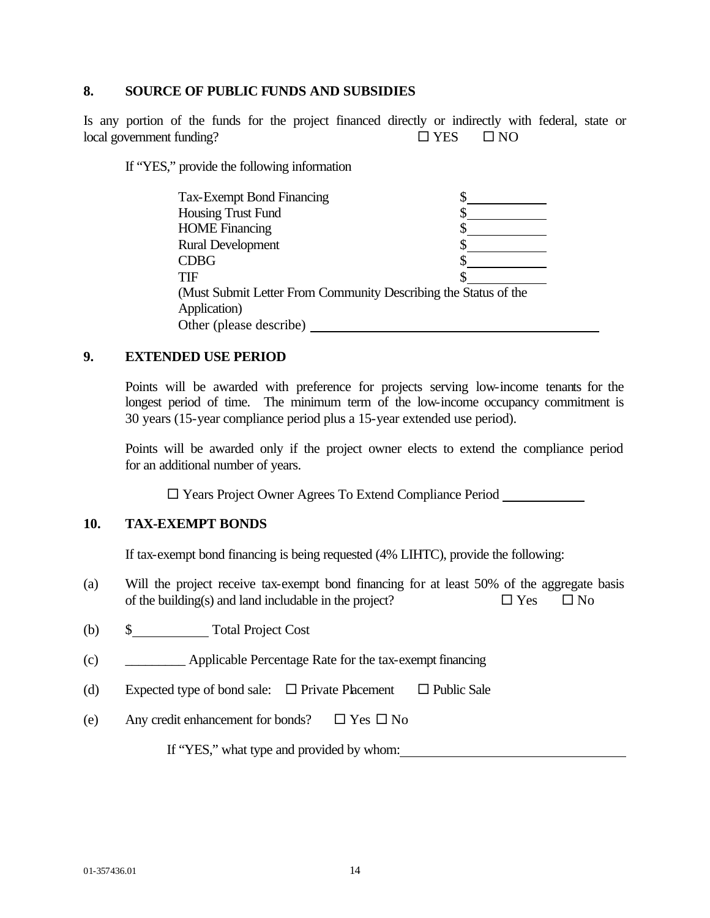### **8. SOURCE OF PUBLIC FUNDS AND SUBSIDIES**

Is any portion of the funds for the project financed directly or indirectly with federal, state or  $\Box$  YES  $\Box$  NO

If "YES," provide the following information

| <b>Tax-Exempt Bond Financing</b>                                |  |
|-----------------------------------------------------------------|--|
| Housing Trust Fund                                              |  |
| <b>HOME</b> Financing                                           |  |
| <b>Rural Development</b>                                        |  |
| <b>CDBG</b>                                                     |  |
| <b>TIF</b>                                                      |  |
| (Must Submit Letter From Community Describing the Status of the |  |
| Application)                                                    |  |
| Other (please describe)                                         |  |

## **9. EXTENDED USE PERIOD**

Points will be awarded with preference for projects serving low-income tenants for the longest period of time. The minimum term of the low-income occupancy commitment is 30 years (15-year compliance period plus a 15-year extended use period).

Points will be awarded only if the project owner elects to extend the compliance period for an additional number of years.

□ Years Project Owner Agrees To Extend Compliance Period

## **10. TAX-EXEMPT BONDS**

If tax-exempt bond financing is being requested (4% LIHTC), provide the following:

- (a) Will the project receive tax-exempt bond financing for at least 50% of the aggregate basis of the building(s) and land includable in the project?  $\square$  Yes  $\square$  No
- (b) \$ Total Project Cost
- (c) \_\_\_\_\_\_\_\_\_ Applicable Percentage Rate for the tax-exempt financing
- (d) Expected type of bond sale:  $\Box$  Private Placement  $\Box$  Public Sale
- (e) Any credit enhancement for bonds?  $\Box$  Yes  $\Box$  No

If "YES," what type and provided by whom: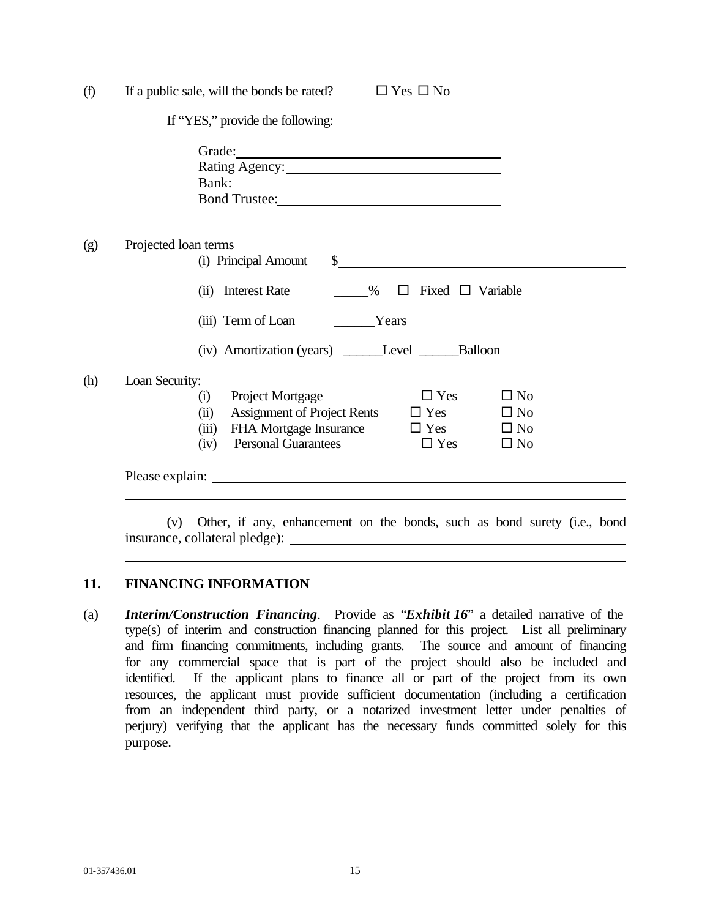| (f) | If a public sale, will the bonds be rated?<br>$\Box$ Yes $\Box$ No                                                                                                                                                                                                    |  |  |  |  |
|-----|-----------------------------------------------------------------------------------------------------------------------------------------------------------------------------------------------------------------------------------------------------------------------|--|--|--|--|
|     | If "YES," provide the following:                                                                                                                                                                                                                                      |  |  |  |  |
|     |                                                                                                                                                                                                                                                                       |  |  |  |  |
| (g) | Projected loan terms<br>(i) Principal Amount<br>$\frac{1}{2}$                                                                                                                                                                                                         |  |  |  |  |
|     | $\%$ $\Box$ Fixed $\Box$ Variable<br>(ii) Interest Rate                                                                                                                                                                                                               |  |  |  |  |
|     | (iii) Term of Loan __________Years                                                                                                                                                                                                                                    |  |  |  |  |
|     | (iv) Amortization (years) ______Level ________Balloon                                                                                                                                                                                                                 |  |  |  |  |
| (h) | Loan Security:<br>$\Box$ Yes<br>$\square$ No<br>Project Mortgage<br>(i)<br>Assignment of Project Rents $\square$ Yes<br>$\Box$ No<br>(ii)<br>FHA Mortgage Insurance $\Box$ Yes $\Box$ No<br>(iii)<br><b>Personal Guarantees</b><br>$\Box$ Yes<br>$\square$ No<br>(iv) |  |  |  |  |
|     |                                                                                                                                                                                                                                                                       |  |  |  |  |
|     |                                                                                                                                                                                                                                                                       |  |  |  |  |

(v) Other, if any, enhancement on the bonds, such as bond surety (i.e., bond insurance, collateral pledge):

## **11. FINANCING INFORMATION**

(a) *Interim/Construction Financing*. Provide as "*Exhibit 16*" a detailed narrative of the type(s) of interim and construction financing planned for this project. List all preliminary and firm financing commitments, including grants. The source and amount of financing for any commercial space that is part of the project should also be included and identified. If the applicant plans to finance all or part of the project from its own resources, the applicant must provide sufficient documentation (including a certification from an independent third party, or a notarized investment letter under penalties of perjury) verifying that the applicant has the necessary funds committed solely for this purpose.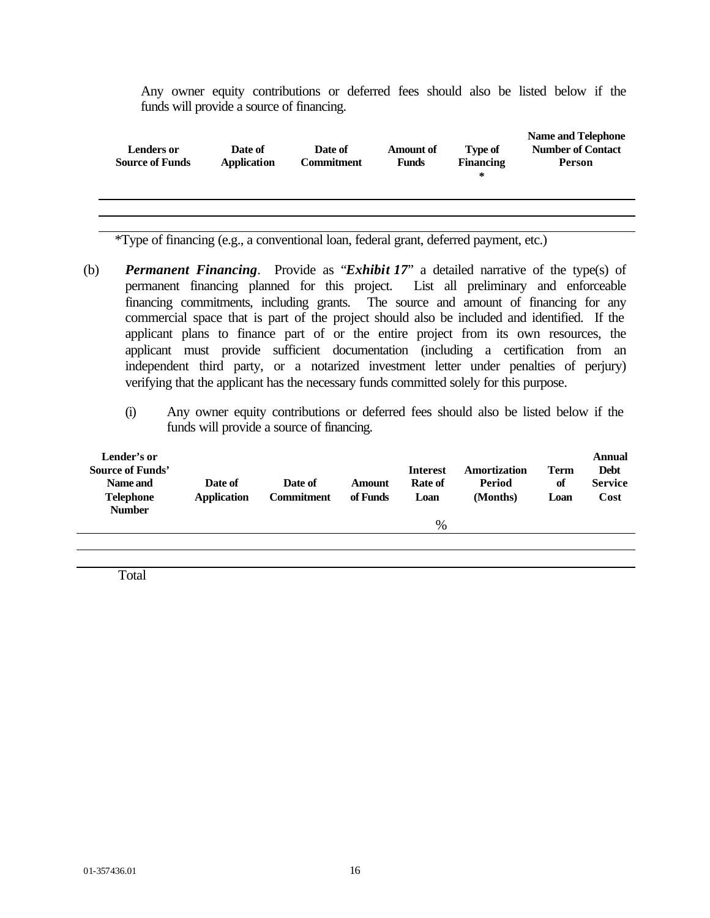Any owner equity contributions or deferred fees should also be listed below if the funds will provide a source of financing.

| <b>Lenders or</b><br>Date of<br><b>Source of Funds</b><br><b>Application</b> |  | Date of<br><b>Commitment</b> | <b>Amount of</b><br><b>Funds</b> | <b>Type of</b><br><b>Financing</b><br>∗ | <b>Name and Telephone</b><br><b>Number of Contact</b><br><b>Person</b> |
|------------------------------------------------------------------------------|--|------------------------------|----------------------------------|-----------------------------------------|------------------------------------------------------------------------|
|                                                                              |  |                              |                                  |                                         |                                                                        |
|                                                                              |  |                              |                                  |                                         |                                                                        |

\*Type of financing (e.g., a conventional loan, federal grant, deferred payment, etc.)

- (b) *Permanent Financing*. Provide as "*Exhibit 17*" a detailed narrative of the type(s) of permanent financing planned for this project. List all preliminary and enforceable financing commitments, including grants. The source and amount of financing for any commercial space that is part of the project should also be included and identified. If the applicant plans to finance part of or the entire project from its own resources, the applicant must provide sufficient documentation (including a certification from an independent third party, or a notarized investment letter under penalties of perjury) verifying that the applicant has the necessary funds committed solely for this purpose.
	- (i) Any owner equity contributions or deferred fees should also be listed below if the funds will provide a source of financing.

| Lender's or<br><b>Source of Funds'</b><br>Name and<br><b>Telephone</b><br><b>Number</b> | Date of<br><b>Application</b> | Date of<br><b>Commitment</b> | <b>Amount</b><br>of Funds | <b>Interest</b><br>Rate of<br>Loan | Amortization<br>Period<br>(Months) | <b>Term</b><br>of<br>Loan | Annual<br><b>Debt</b><br><b>Service</b><br>Cost |
|-----------------------------------------------------------------------------------------|-------------------------------|------------------------------|---------------------------|------------------------------------|------------------------------------|---------------------------|-------------------------------------------------|
|                                                                                         |                               |                              |                           | %                                  |                                    |                           |                                                 |
|                                                                                         |                               |                              |                           |                                    |                                    |                           |                                                 |

Total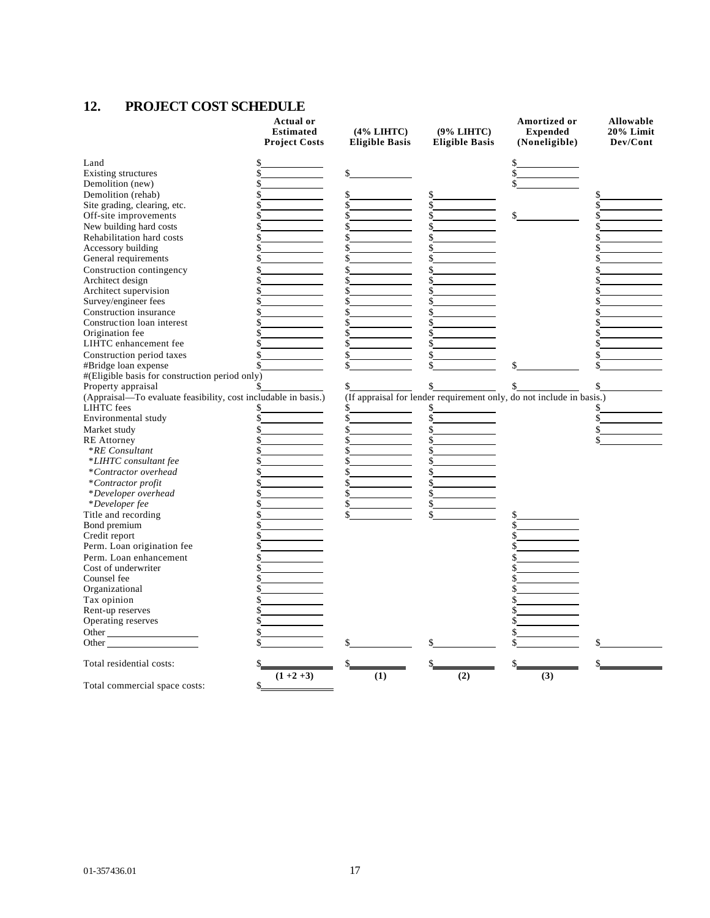## **12. PROJECT COST SCHEDULE**

|                                                                                                                                                                                                                               | <b>Actual or</b><br><b>Estimated</b><br><b>Project Costs</b> | $(4\% LIHTC)$<br><b>Eligible Basis</b> | (9% LIHTC)<br><b>Eligible Basis</b> | Amortized or<br><b>Expended</b><br>(Noneligible)                     | Allowable<br>20% Limit<br>Dev/Cont |
|-------------------------------------------------------------------------------------------------------------------------------------------------------------------------------------------------------------------------------|--------------------------------------------------------------|----------------------------------------|-------------------------------------|----------------------------------------------------------------------|------------------------------------|
| Land                                                                                                                                                                                                                          |                                                              |                                        |                                     |                                                                      |                                    |
| Existing structures                                                                                                                                                                                                           |                                                              |                                        |                                     |                                                                      |                                    |
| Demolition (new)                                                                                                                                                                                                              |                                                              |                                        |                                     |                                                                      |                                    |
| Demolition (rehab)                                                                                                                                                                                                            |                                                              |                                        |                                     |                                                                      |                                    |
| Site grading, clearing, etc.                                                                                                                                                                                                  |                                                              |                                        |                                     |                                                                      |                                    |
| Off-site improvements                                                                                                                                                                                                         |                                                              |                                        |                                     |                                                                      |                                    |
| New building hard costs                                                                                                                                                                                                       |                                                              |                                        |                                     |                                                                      |                                    |
| Rehabilitation hard costs                                                                                                                                                                                                     |                                                              |                                        |                                     |                                                                      |                                    |
| Accessory building                                                                                                                                                                                                            |                                                              |                                        |                                     |                                                                      |                                    |
| General requirements                                                                                                                                                                                                          |                                                              |                                        |                                     |                                                                      |                                    |
| Construction contingency                                                                                                                                                                                                      |                                                              |                                        |                                     |                                                                      |                                    |
| Architect design                                                                                                                                                                                                              |                                                              |                                        |                                     |                                                                      |                                    |
| Architect supervision                                                                                                                                                                                                         |                                                              |                                        |                                     |                                                                      |                                    |
| Survey/engineer fees                                                                                                                                                                                                          |                                                              |                                        |                                     |                                                                      |                                    |
| Construction insurance                                                                                                                                                                                                        |                                                              |                                        |                                     |                                                                      |                                    |
| Construction loan interest                                                                                                                                                                                                    |                                                              | \$                                     |                                     |                                                                      |                                    |
| Origination fee                                                                                                                                                                                                               |                                                              |                                        |                                     |                                                                      |                                    |
| LIHTC enhancement fee                                                                                                                                                                                                         |                                                              | \$                                     |                                     |                                                                      |                                    |
| Construction period taxes                                                                                                                                                                                                     |                                                              | \$                                     |                                     |                                                                      |                                    |
| #Bridge loan expense                                                                                                                                                                                                          |                                                              |                                        |                                     |                                                                      |                                    |
| #(Eligible basis for construction period only)                                                                                                                                                                                |                                                              |                                        |                                     |                                                                      |                                    |
| Property appraisal                                                                                                                                                                                                            |                                                              |                                        |                                     |                                                                      |                                    |
| (Appraisal-To evaluate feasibility, cost includable in basis.)                                                                                                                                                                |                                                              |                                        |                                     | (If appraisal for lender requirement only, do not include in basis.) |                                    |
| <b>LIHTC</b> fees                                                                                                                                                                                                             |                                                              | \$                                     |                                     |                                                                      |                                    |
| Environmental study                                                                                                                                                                                                           |                                                              |                                        |                                     |                                                                      |                                    |
| Market study                                                                                                                                                                                                                  |                                                              | \$                                     |                                     |                                                                      |                                    |
| <b>RE</b> Attorney                                                                                                                                                                                                            |                                                              |                                        |                                     |                                                                      |                                    |
| <i>*RE Consultant</i>                                                                                                                                                                                                         |                                                              | \$                                     |                                     |                                                                      |                                    |
| *LIHTC consultant fee                                                                                                                                                                                                         |                                                              | \$                                     |                                     |                                                                      |                                    |
| *Contractor overhead                                                                                                                                                                                                          |                                                              |                                        |                                     |                                                                      |                                    |
| *Contractor profit                                                                                                                                                                                                            |                                                              | \$                                     |                                     |                                                                      |                                    |
| *Developer overhead                                                                                                                                                                                                           |                                                              | \$                                     |                                     |                                                                      |                                    |
| *Developer fee                                                                                                                                                                                                                |                                                              |                                        |                                     |                                                                      |                                    |
| Title and recording                                                                                                                                                                                                           |                                                              | \$                                     | \$                                  |                                                                      |                                    |
| Bond premium                                                                                                                                                                                                                  |                                                              |                                        |                                     |                                                                      |                                    |
| Credit report                                                                                                                                                                                                                 |                                                              |                                        |                                     |                                                                      |                                    |
| Perm. Loan origination fee                                                                                                                                                                                                    |                                                              |                                        |                                     |                                                                      |                                    |
| Perm. Loan enhancement                                                                                                                                                                                                        |                                                              |                                        |                                     |                                                                      |                                    |
| Cost of underwriter                                                                                                                                                                                                           |                                                              |                                        |                                     |                                                                      |                                    |
| Counsel fee                                                                                                                                                                                                                   |                                                              |                                        |                                     |                                                                      |                                    |
| Organizational                                                                                                                                                                                                                |                                                              |                                        |                                     |                                                                      |                                    |
| Tax opinion                                                                                                                                                                                                                   |                                                              |                                        |                                     |                                                                      |                                    |
| Rent-up reserves                                                                                                                                                                                                              |                                                              |                                        |                                     |                                                                      |                                    |
| Operating reserves                                                                                                                                                                                                            |                                                              |                                        |                                     |                                                                      |                                    |
| Other                                                                                                                                                                                                                         |                                                              |                                        |                                     |                                                                      |                                    |
| Other and the contract of the contract of the contract of the contract of the contract of the contract of the contract of the contract of the contract of the contract of the contract of the contract of the contract of the |                                                              |                                        |                                     |                                                                      |                                    |
| Total residential costs:                                                                                                                                                                                                      |                                                              |                                        |                                     |                                                                      |                                    |
| Total commercial space costs:                                                                                                                                                                                                 | $(1+2+3)$<br>\$                                              | (1)                                    | (2)                                 | (3)                                                                  |                                    |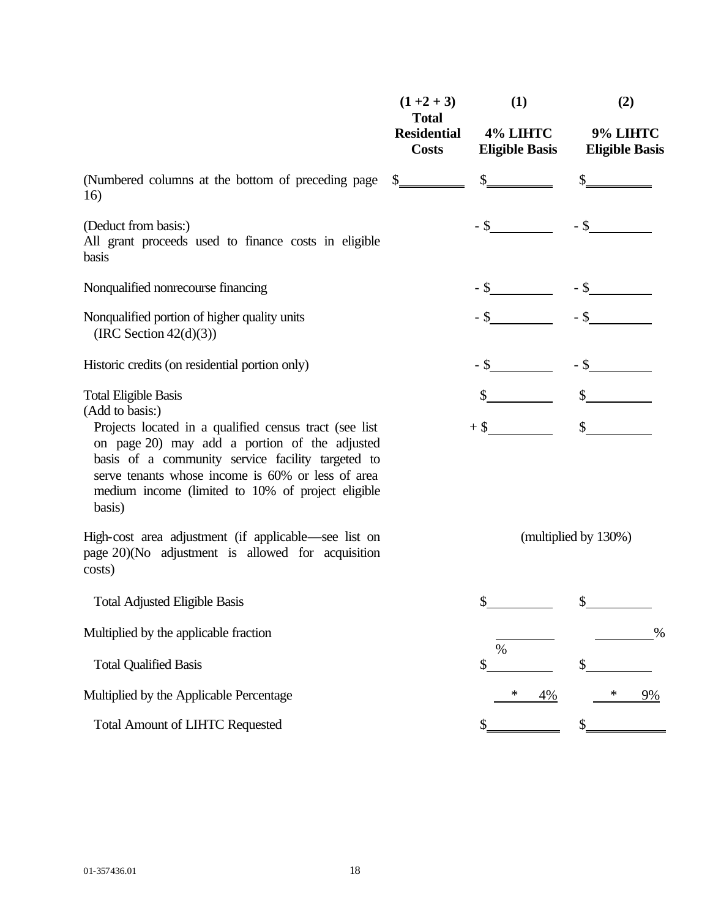|                                                                                                                                                                                                                                                                                   | $(1+2+3)$<br><b>Total</b>          | (1)                               | (2)                               |
|-----------------------------------------------------------------------------------------------------------------------------------------------------------------------------------------------------------------------------------------------------------------------------------|------------------------------------|-----------------------------------|-----------------------------------|
|                                                                                                                                                                                                                                                                                   | <b>Residential</b><br><b>Costs</b> | 4% LIHTC<br><b>Eligible Basis</b> | 9% LIHTC<br><b>Eligible Basis</b> |
| (Numbered columns at the bottom of preceding page<br>16)                                                                                                                                                                                                                          | \$                                 | \$                                |                                   |
| (Deduct from basis:)<br>All grant proceeds used to finance costs in eligible<br>basis                                                                                                                                                                                             |                                    | $-$ \$                            | $-$ \$                            |
| Nonqualified nonrecourse financing                                                                                                                                                                                                                                                |                                    |                                   |                                   |
| Nonqualified portion of higher quality units<br>(IRC Section $42(d)(3)$ )                                                                                                                                                                                                         |                                    |                                   |                                   |
| Historic credits (on residential portion only)                                                                                                                                                                                                                                    |                                    |                                   |                                   |
| <b>Total Eligible Basis</b><br>(Add to basis:)                                                                                                                                                                                                                                    |                                    |                                   | $\sim$                            |
| Projects located in a qualified census tract (see list)<br>on page 20) may add a portion of the adjusted<br>basis of a community service facility targeted to<br>serve tenants whose income is 60% or less of area<br>medium income (limited to 10% of project eligible<br>basis) |                                    | $+$ \$                            |                                   |
| High-cost area adjustment (if applicable—see list on<br>page 20)(No adjustment is allowed for acquisition<br>costs)                                                                                                                                                               |                                    |                                   | (multiplied by 130%)              |
| <b>Total Adjusted Eligible Basis</b>                                                                                                                                                                                                                                              |                                    |                                   |                                   |
| Multiplied by the applicable fraction                                                                                                                                                                                                                                             |                                    |                                   | %                                 |
| <b>Total Qualified Basis</b>                                                                                                                                                                                                                                                      |                                    | $\%$<br>\$                        |                                   |
| Multiplied by the Applicable Percentage                                                                                                                                                                                                                                           |                                    | ∗<br>4%                           | *<br>9%                           |
| <b>Total Amount of LIHTC Requested</b>                                                                                                                                                                                                                                            |                                    |                                   |                                   |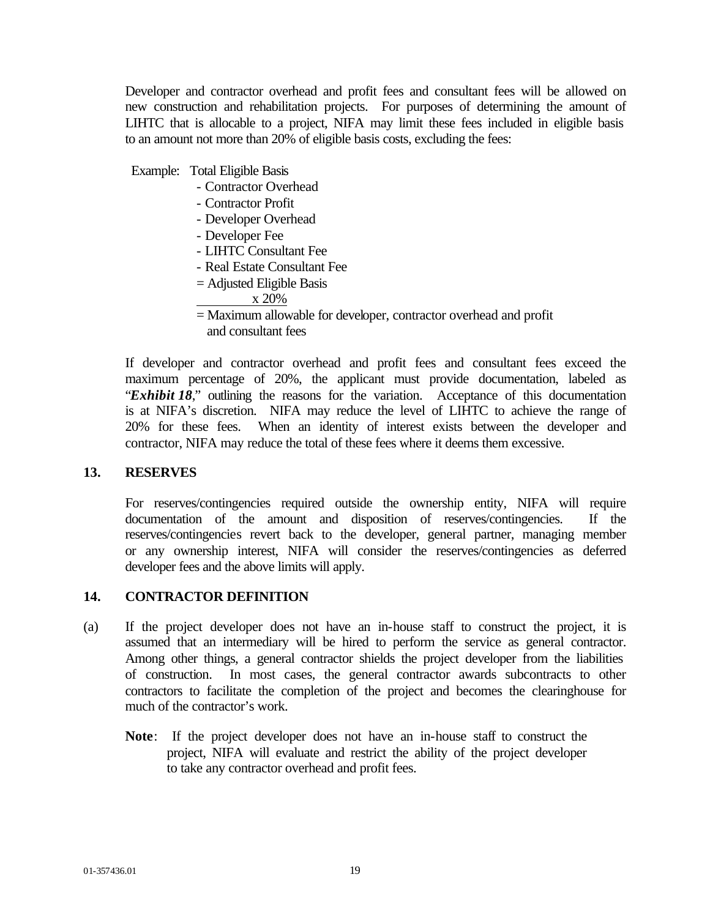Developer and contractor overhead and profit fees and consultant fees will be allowed on new construction and rehabilitation projects. For purposes of determining the amount of LIHTC that is allocable to a project, NIFA may limit these fees included in eligible basis to an amount not more than 20% of eligible basis costs, excluding the fees:

Example: Total Eligible Basis

- Contractor Overhead
- Contractor Profit
- Developer Overhead
- Developer Fee
- LIHTC Consultant Fee
- Real Estate Consultant Fee
- = Adjusted Eligible Basis

x 20%

 = Maximum allowable for developer, contractor overhead and profit and consultant fees

If developer and contractor overhead and profit fees and consultant fees exceed the maximum percentage of 20%, the applicant must provide documentation, labeled as "*Exhibit 18*," outlining the reasons for the variation. Acceptance of this documentation is at NIFA's discretion. NIFA may reduce the level of LIHTC to achieve the range of 20% for these fees. When an identity of interest exists between the developer and contractor, NIFA may reduce the total of these fees where it deems them excessive.

## **13. RESERVES**

For reserves/contingencies required outside the ownership entity, NIFA will require documentation of the amount and disposition of reserves/contingencies. If the reserves/contingencies revert back to the developer, general partner, managing member or any ownership interest, NIFA will consider the reserves/contingencies as deferred developer fees and the above limits will apply.

## **14. CONTRACTOR DEFINITION**

- (a) If the project developer does not have an in-house staff to construct the project, it is assumed that an intermediary will be hired to perform the service as general contractor. Among other things, a general contractor shields the project developer from the liabilities of construction. In most cases, the general contractor awards subcontracts to other contractors to facilitate the completion of the project and becomes the clearinghouse for much of the contractor's work.
	- **Note**: If the project developer does not have an in-house staff to construct the project, NIFA will evaluate and restrict the ability of the project developer to take any contractor overhead and profit fees.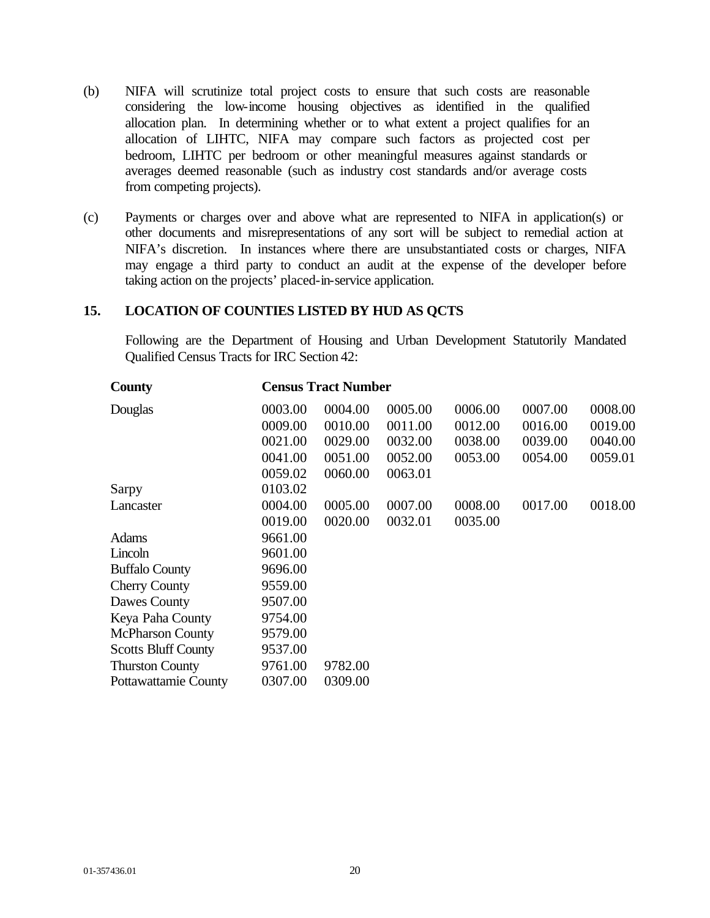- (b) NIFA will scrutinize total project costs to ensure that such costs are reasonable considering the low-income housing objectives as identified in the qualified allocation plan. In determining whether or to what extent a project qualifies for an allocation of LIHTC, NIFA may compare such factors as projected cost per bedroom, LIHTC per bedroom or other meaningful measures against standards or averages deemed reasonable (such as industry cost standards and/or average costs from competing projects).
- (c) Payments or charges over and above what are represented to NIFA in application(s) or other documents and misrepresentations of any sort will be subject to remedial action at NIFA's discretion. In instances where there are unsubstantiated costs or charges, NIFA may engage a third party to conduct an audit at the expense of the developer before taking action on the projects' placed-in-service application.

### **15. LOCATION OF COUNTIES LISTED BY HUD AS QCTS**

Following are the Department of Housing and Urban Development Statutorily Mandated Qualified Census Tracts for IRC Section 42:

| County                     | <b>Census Tract Number</b> |         |         |         |         |         |  |  |
|----------------------------|----------------------------|---------|---------|---------|---------|---------|--|--|
| Douglas                    | 0003.00                    | 0004.00 | 0005.00 | 0006.00 | 0007.00 | 0008.00 |  |  |
|                            | 0009.00                    | 0010.00 | 0011.00 | 0012.00 | 0016.00 | 0019.00 |  |  |
|                            | 0021.00                    | 0029.00 | 0032.00 | 0038.00 | 0039.00 | 0040.00 |  |  |
|                            | 0041.00                    | 0051.00 | 0052.00 | 0053.00 | 0054.00 | 0059.01 |  |  |
|                            | 0059.02                    | 0060.00 | 0063.01 |         |         |         |  |  |
| Sarpy                      | 0103.02                    |         |         |         |         |         |  |  |
| Lancaster                  | 0004.00                    | 0005.00 | 0007.00 | 0008.00 | 0017.00 | 0018.00 |  |  |
|                            | 0019.00                    | 0020.00 | 0032.01 | 0035.00 |         |         |  |  |
| <b>Adams</b>               | 9661.00                    |         |         |         |         |         |  |  |
| Lincoln                    | 9601.00                    |         |         |         |         |         |  |  |
| <b>Buffalo County</b>      | 9696.00                    |         |         |         |         |         |  |  |
| <b>Cherry County</b>       | 9559.00                    |         |         |         |         |         |  |  |
| Dawes County               | 9507.00                    |         |         |         |         |         |  |  |
| Keya Paha County           | 9754.00                    |         |         |         |         |         |  |  |
| <b>McPharson County</b>    | 9579.00                    |         |         |         |         |         |  |  |
| <b>Scotts Bluff County</b> | 9537.00                    |         |         |         |         |         |  |  |
| <b>Thurston County</b>     | 9761.00                    | 9782.00 |         |         |         |         |  |  |
| Pottawattamie County       | 0307.00                    | 0309.00 |         |         |         |         |  |  |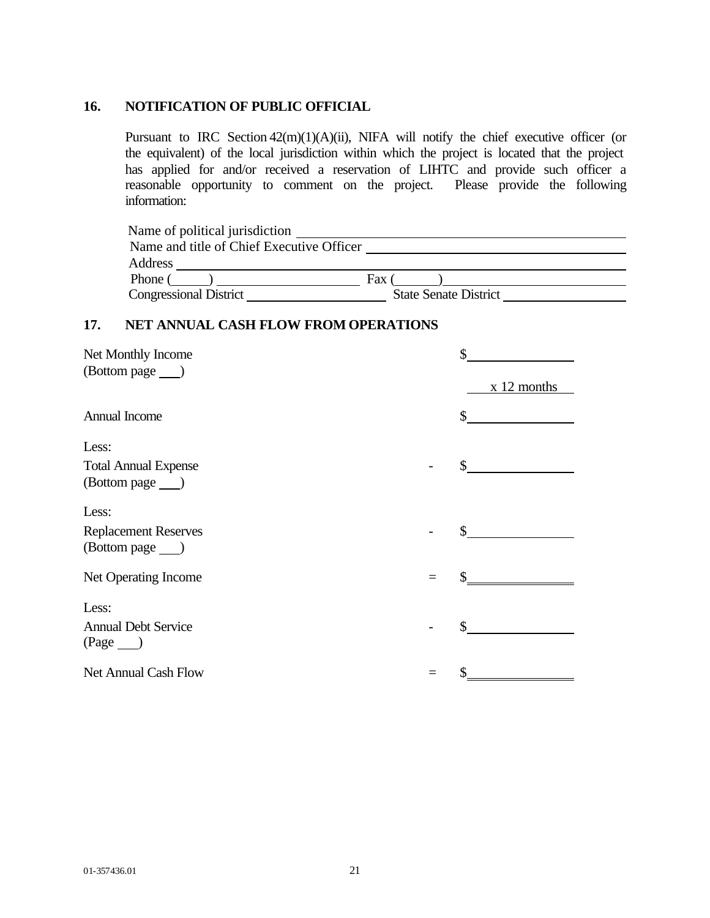### **16. NOTIFICATION OF PUBLIC OFFICIAL**

Pursuant to IRC Section 42(m)(1)(A)(ii), NIFA will notify the chief executive officer (or the equivalent) of the local jurisdiction within which the project is located that the project has applied for and/or received a reservation of LIHTC and provide such officer a reasonable opportunity to comment on the project. Please provide the following information:

| Name of political jurisdiction            |                              |
|-------------------------------------------|------------------------------|
| Name and title of Chief Executive Officer |                              |
| Address                                   |                              |
| <b>Phone</b>                              | Fax                          |
| <b>Congressional District</b>             | <b>State Senate District</b> |

## **17. NET ANNUAL CASH FLOW FROM OPERATIONS**

| Net Monthly Income<br>(Bottom page ___) | \$<br>x 12 months |
|-----------------------------------------|-------------------|
| Annual Income                           | $\mathbb{S}$      |
| Less:                                   |                   |
| <b>Total Annual Expense</b>             | $\mathbb{S}$      |
| (Bottom page ___ )                      |                   |
| Less:                                   |                   |
| <b>Replacement Reserves</b>             | \$                |
| (Bottom page ___ )                      |                   |
| Net Operating Income                    |                   |
|                                         |                   |
| Less:<br><b>Annual Debt Service</b>     | \$                |
| $(Page$ <sub>)</sub>                    |                   |
| Net Annual Cash Flow                    |                   |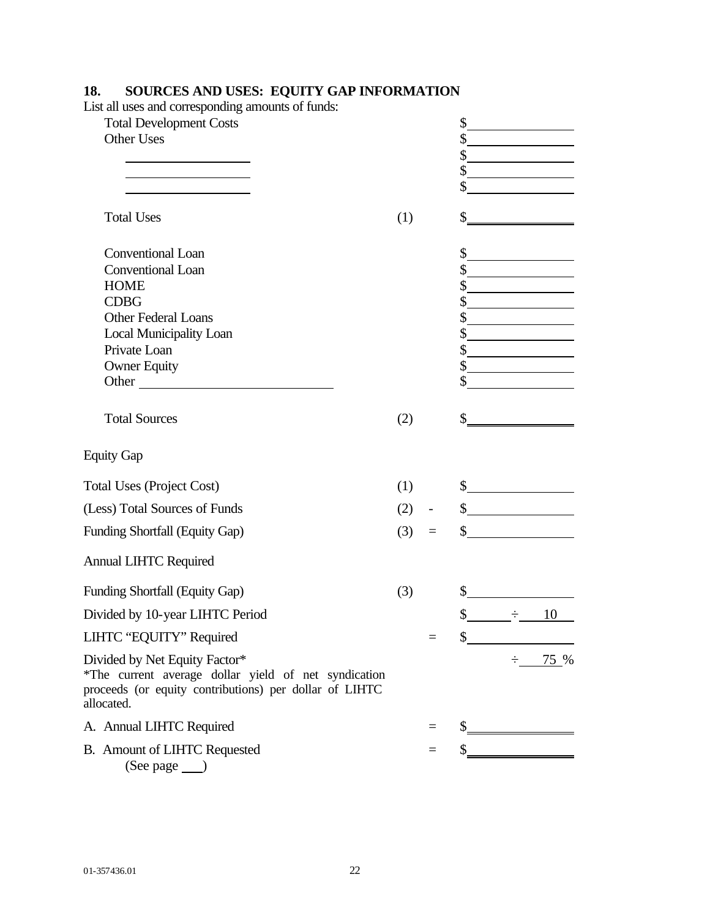| List all uses and corresponding amounts of funds:                                                                                                             |     |               |               |                      |
|---------------------------------------------------------------------------------------------------------------------------------------------------------------|-----|---------------|---------------|----------------------|
| <b>Total Development Costs</b>                                                                                                                                |     | \$            |               |                      |
| Other Uses                                                                                                                                                    |     | \$            |               |                      |
| <u> 1989 - Johann Barn, fransk politik (d. 19</u>                                                                                                             |     | \$            |               |                      |
|                                                                                                                                                               |     | \$            |               |                      |
|                                                                                                                                                               |     | \$            |               |                      |
| <b>Total Uses</b>                                                                                                                                             | (1) | \$            |               |                      |
| <b>Conventional Loan</b>                                                                                                                                      |     | \$            |               |                      |
| Conventional Loan                                                                                                                                             |     |               | $\frac{1}{2}$ |                      |
| <b>HOME</b>                                                                                                                                                   |     | \$            |               |                      |
| <b>CDBG</b>                                                                                                                                                   |     | \$            |               |                      |
| Other Federal Loans                                                                                                                                           |     | \$            |               |                      |
| <b>Local Municipality Loan</b>                                                                                                                                |     | \$            |               |                      |
| Private Loan                                                                                                                                                  |     |               |               | $\frac{1}{2}$        |
| <b>Owner Equity</b>                                                                                                                                           |     |               |               |                      |
| Other                                                                                                                                                         |     |               |               |                      |
| <b>Total Sources</b>                                                                                                                                          | (2) | \$            |               |                      |
| <b>Equity Gap</b>                                                                                                                                             |     |               |               |                      |
| <b>Total Uses (Project Cost)</b>                                                                                                                              | (1) |               |               | $\frac{1}{2}$        |
| (Less) Total Sources of Funds                                                                                                                                 | (2) |               |               | $\frac{\sqrt{2}}{2}$ |
| Funding Shortfall (Equity Gap)                                                                                                                                | (3) |               |               | $\frac{\sqrt{2}}{2}$ |
| <b>Annual LIHTC Required</b>                                                                                                                                  |     |               |               |                      |
| Funding Shortfall (Equity Gap)                                                                                                                                | (3) | $\frac{1}{2}$ |               |                      |
| Divided by 10-year LIHTC Period                                                                                                                               |     | \$            | $\div$        | 10                   |
| LIHTC "EQUITY" Required                                                                                                                                       |     |               | $=$ \$        |                      |
| Divided by Net Equity Factor*<br>*The current average dollar yield of net syndication<br>proceeds (or equity contributions) per dollar of LIHTC<br>allocated. |     |               |               | $\div 75\%$          |
| A. Annual LIHTC Required                                                                                                                                      |     |               |               | $\frac{1}{2}$        |
| B. Amount of LIHTC Requested<br>$(See page \_)$                                                                                                               |     |               |               | $\frac{1}{2}$        |

### **18. SOURCES AND USES: EQUITY GAP INFORMATION**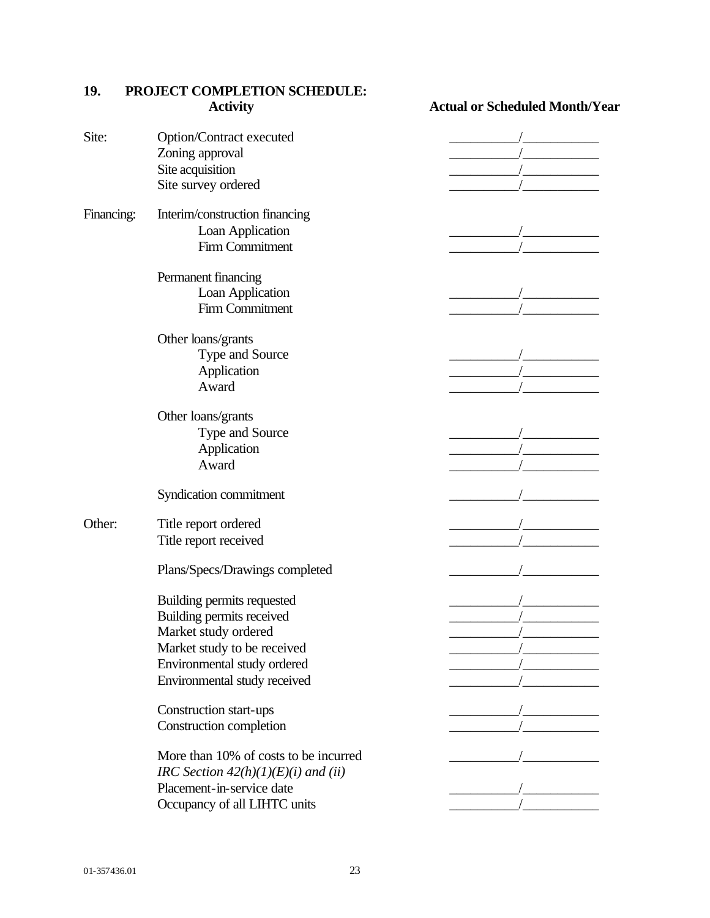|            | <b>Activity</b>                       | <b>Actual or Scheduled Month/Year</b> |
|------------|---------------------------------------|---------------------------------------|
| Site:      | Option/Contract executed              |                                       |
|            | Zoning approval                       |                                       |
|            | Site acquisition                      |                                       |
|            | Site survey ordered                   |                                       |
|            |                                       |                                       |
| Financing: | Interim/construction financing        |                                       |
|            | Loan Application                      |                                       |
|            | Firm Commitment                       |                                       |
|            | Permanent financing                   |                                       |
|            | Loan Application                      |                                       |
|            | Firm Commitment                       |                                       |
|            |                                       |                                       |
|            | Other loans/grants                    |                                       |
|            | Type and Source                       |                                       |
|            | Application                           |                                       |
|            | Award                                 |                                       |
|            | Other loans/grants                    |                                       |
|            | Type and Source                       |                                       |
|            | Application                           |                                       |
|            | Award                                 |                                       |
|            |                                       |                                       |
|            | Syndication commitment                |                                       |
| Other:     | Title report ordered                  |                                       |
|            | Title report received                 |                                       |
|            |                                       |                                       |
|            | Plans/Specs/Drawings completed        |                                       |
|            |                                       |                                       |
|            | Building permits requested            |                                       |
|            | Building permits received             |                                       |
|            | Market study ordered                  |                                       |
|            | Market study to be received           |                                       |
|            | Environmental study ordered           |                                       |
|            | Environmental study received          |                                       |
|            | Construction start-ups                |                                       |
|            | Construction completion               |                                       |
|            |                                       |                                       |
|            | More than 10% of costs to be incurred |                                       |
|            | IRC Section $42(h)(1)(E)(i)$ and (ii) |                                       |
|            | Placement-in-service date             |                                       |
|            | Occupancy of all LIHTC units          |                                       |
|            |                                       |                                       |

# **19. PROJECT COMPLETION SCHEDULE:**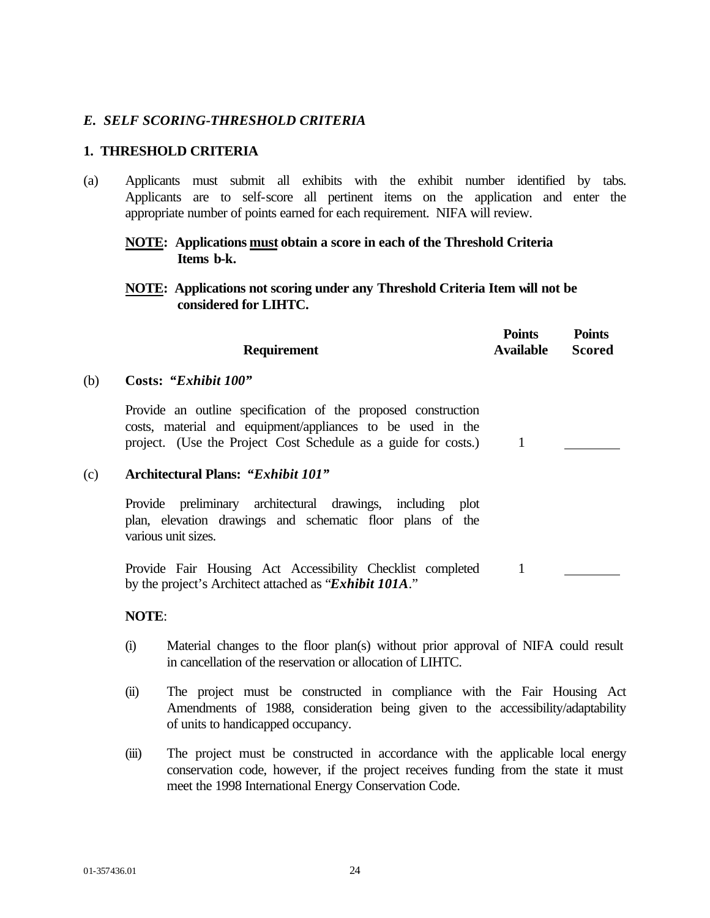## *E. SELF SCORING-THRESHOLD CRITERIA*

### **1. THRESHOLD CRITERIA**

(a) Applicants must submit all exhibits with the exhibit number identified by tabs. Applicants are to self-score all pertinent items on the application and enter the appropriate number of points earned for each requirement. NIFA will review.

## **NOTE: Applications must obtain a score in each of the Threshold Criteria Items b-k.**

**NOTE: Applications not scoring under any Threshold Criteria Item will not be considered for LIHTC.**

**Points**

**Points**

|     | <b>Requirement</b>                                                                                                                                                                            | Points<br><b>Available</b> | Points<br><b>Scored</b> |
|-----|-----------------------------------------------------------------------------------------------------------------------------------------------------------------------------------------------|----------------------------|-------------------------|
| (b) | Costs: "Exhibit 100"                                                                                                                                                                          |                            |                         |
|     | Provide an outline specification of the proposed construction<br>costs, material and equipment/appliances to be used in the<br>project. (Use the Project Cost Schedule as a guide for costs.) | 1                          |                         |
| (c) | <b>Architectural Plans: "Exhibit 101"</b>                                                                                                                                                     |                            |                         |
|     | Provide preliminary architectural drawings, including plot<br>plan, elevation drawings and schematic floor plans of the<br>various unit sizes.                                                |                            |                         |
|     | Provide Fair Housing Act Accessibility Checklist completed<br>by the project's Architect attached as "Exhibit 101A."                                                                          | 1                          |                         |

### **NOTE**:

- (i) Material changes to the floor plan(s) without prior approval of NIFA could result in cancellation of the reservation or allocation of LIHTC.
- (ii) The project must be constructed in compliance with the Fair Housing Act Amendments of 1988, consideration being given to the accessibility/adaptability of units to handicapped occupancy.
- (iii) The project must be constructed in accordance with the applicable local energy conservation code, however, if the project receives funding from the state it must meet the 1998 International Energy Conservation Code.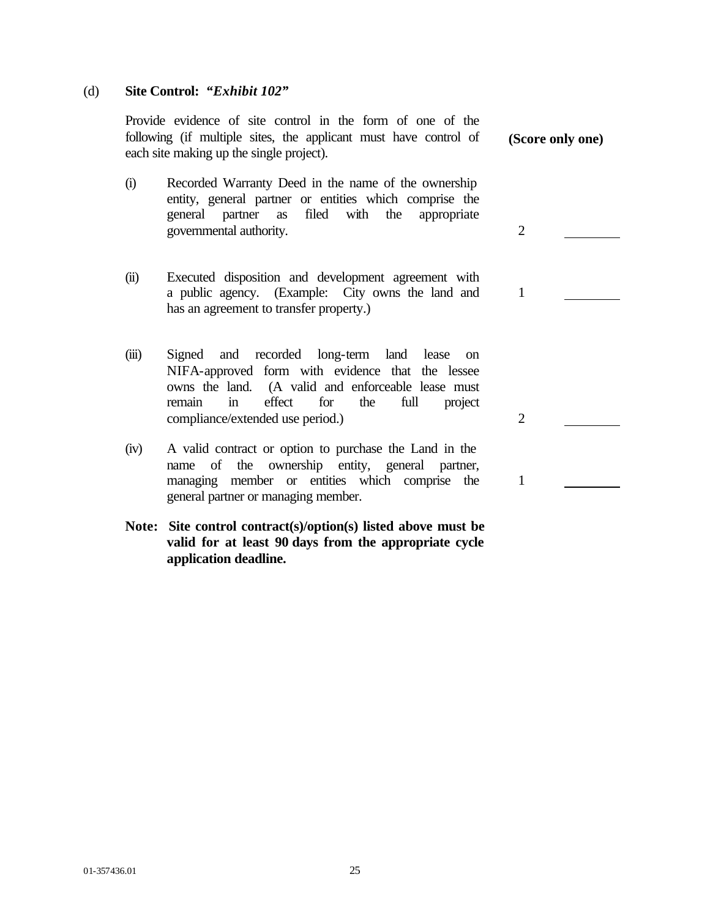### (d) **Site Control:** *"Exhibit 102"*

Provide evidence of site control in the form of one of the following (if multiple sites, the applicant must have control of each site making up the single project).

- (i) Recorded Warranty Deed in the name of the ownership entity, general partner or entities which comprise the general partner as filed with the appropriate governmental authority. 2
- (ii) Executed disposition and development agreement with a public agency. (Example: City owns the land and has an agreement to transfer property.)
- (iii) Signed and recorded long-term land lease on NIFA-approved form with evidence that the lessee owns the land. (A valid and enforceable lease must remain in effect for the full project compliance/extended use period.) 2
- (iv) A valid contract or option to purchase the Land in the name of the ownership entity, general partner, managing member or entities which comprise the general partner or managing member.
- **Note: Site control contract(s)/option(s) listed above must be valid for at least 90 days from the appropriate cycle application deadline.**

**(Score only one)**

1

1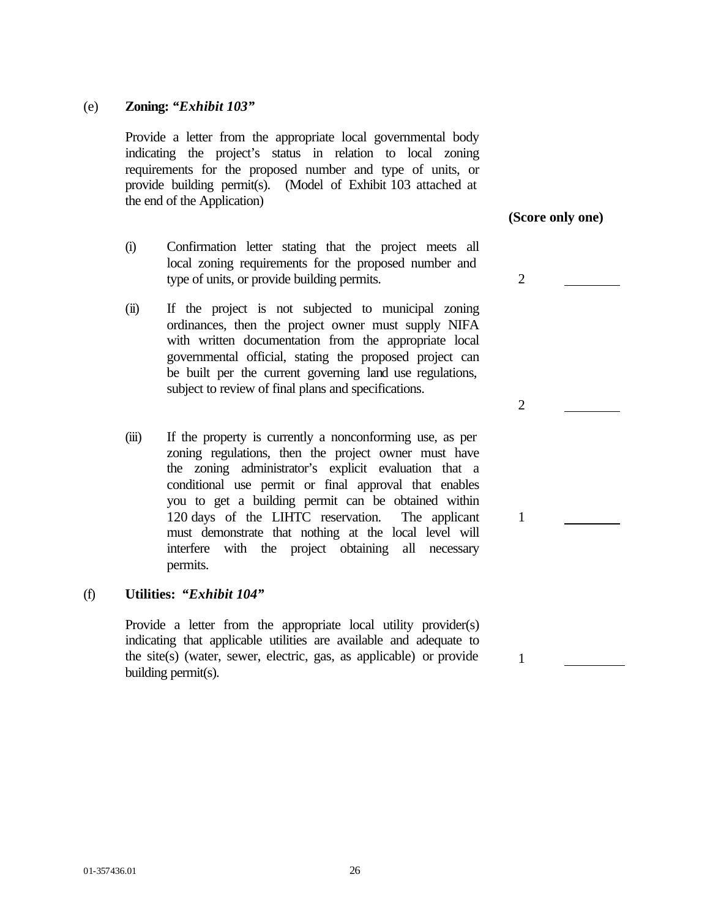### (e) **Zoning:** *"Exhibit 103"*

Provide a letter from the appropriate local governmental body indicating the project's status in relation to local zoning requirements for the proposed number and type of units, or provide building permit(s). (Model of Exhibit 103 attached at the end of the Application)

- (i) Confirmation letter stating that the project meets all local zoning requirements for the proposed number and type of units, or provide building permits. 2
- (ii) If the project is not subjected to municipal zoning ordinances, then the project owner must supply NIFA with written documentation from the appropriate local governmental official, stating the proposed project can be built per the current governing land use regulations, subject to review of final plans and specifications.
- (iii) If the property is currently a nonconforming use, as per zoning regulations, then the project owner must have the zoning administrator's explicit evaluation that a conditional use permit or final approval that enables you to get a building permit can be obtained within 120 days of the LIHTC reservation. The applicant must demonstrate that nothing at the local level will interfere with the project obtaining all necessary permits.

### (f) **Utilities:** *"Exhibit 104"*

Provide a letter from the appropriate local utility provider(s) indicating that applicable utilities are available and adequate to the site(s) (water, sewer, electric, gas, as applicable) or provide building permit(s).

**(Score only one)**

2

1

1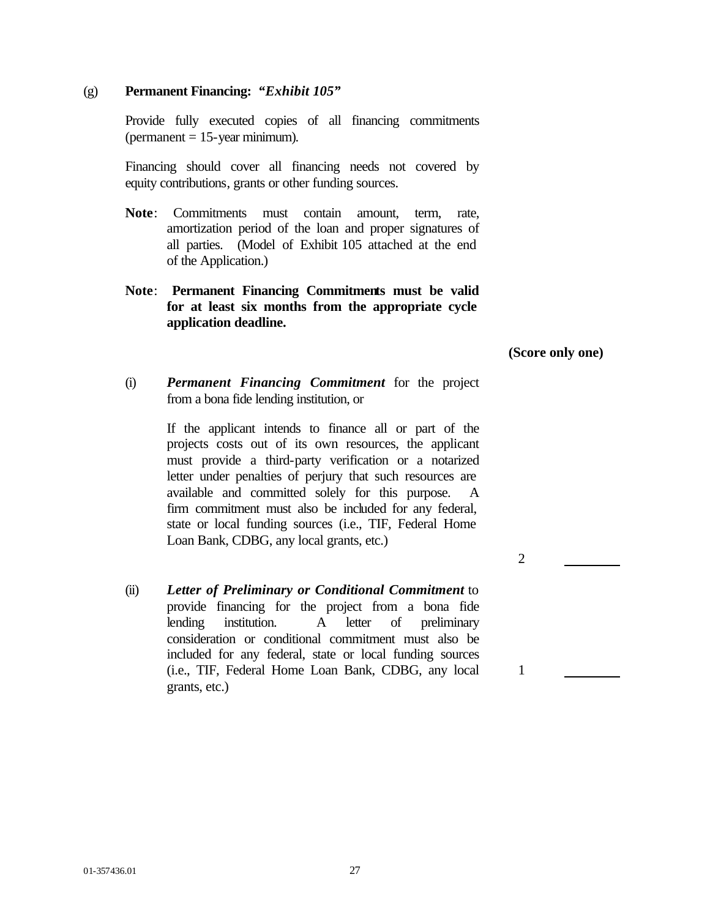## (g) **Permanent Financing:** *"Exhibit 105"*

Provide fully executed copies of all financing commitments  $(permanent = 15-year minimum).$ 

Financing should cover all financing needs not covered by equity contributions, grants or other funding sources.

- **Note**: Commitments must contain amount, term, rate, amortization period of the loan and proper signatures of all parties. (Model of Exhibit 105 attached at the end of the Application.)
- **Note**: **Permanent Financing Commitments must be valid for at least six months from the appropriate cycle application deadline.**

**(Score only one)**

2

1

(i) *Permanent Financing Commitment* for the project from a bona fide lending institution, or

> If the applicant intends to finance all or part of the projects costs out of its own resources, the applicant must provide a third-party verification or a notarized letter under penalties of perjury that such resources are available and committed solely for this purpose. firm commitment must also be included for any federal, state or local funding sources (i.e., TIF, Federal Home Loan Bank, CDBG, any local grants, etc.)

(ii) *Letter of Preliminary or Conditional Commitment* to provide financing for the project from a bona fide lending institution. A letter of preliminary consideration or conditional commitment must also be included for any federal, state or local funding sources (i.e., TIF, Federal Home Loan Bank, CDBG, any local grants, etc.)

01-357436.01 27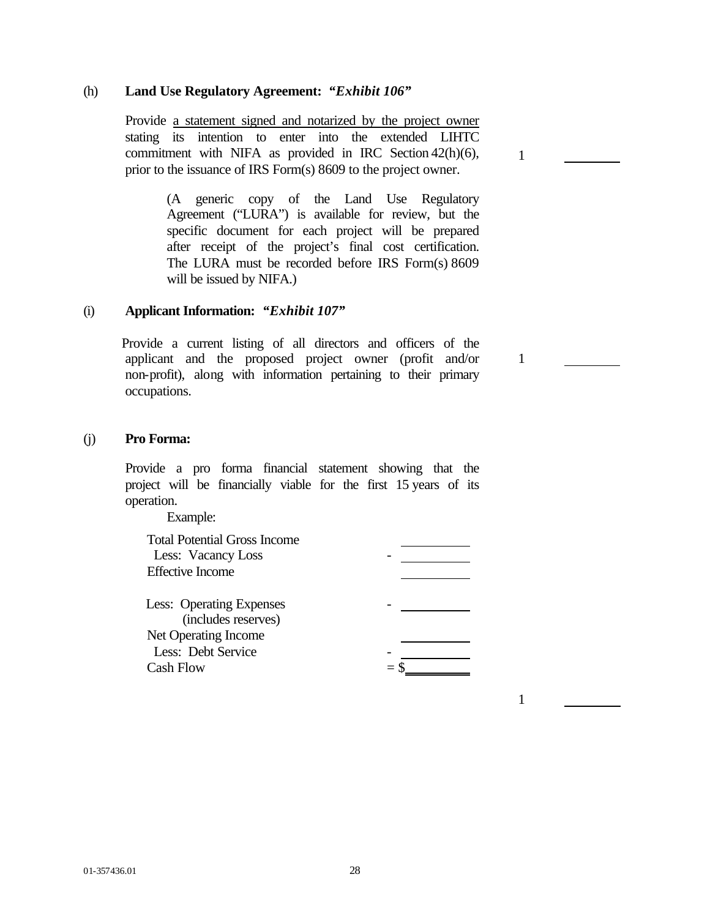### (h) **Land Use Regulatory Agreement:** *"Exhibit 106"*

 Provide a statement signed and notarized by the project owner stating its intention to enter into the extended LIHTC commitment with NIFA as provided in IRC Section 42(h)(6), prior to the issuance of IRS Form(s) 8609 to the project owner.

> (A generic copy of the Land Use Regulatory Agreement ("LURA") is available for review, but the specific document for each project will be prepared after receipt of the project's final cost certification. The LURA must be recorded before IRS Form(s) 8609 will be issued by NIFA.)

### (i) **Applicant Information:** *"Exhibit 107"*

 Provide a current listing of all directors and officers of the applicant and the proposed project owner (profit and/or non-profit), along with information pertaining to their primary occupations.

### (j) **Pro Forma:**

Provide a pro forma financial statement showing that the project will be financially viable for the first 15 years of its operation.

Example:

| <b>Total Potential Gross Income</b><br>Less: Vacancy Loss<br><b>Effective Income</b> |  |
|--------------------------------------------------------------------------------------|--|
| <b>Less:</b> Operating Expenses<br>(includes reserves)                               |  |
| Net Operating Income                                                                 |  |
| Less: Debt Service                                                                   |  |
| <b>Cash Flow</b>                                                                     |  |

1

1

1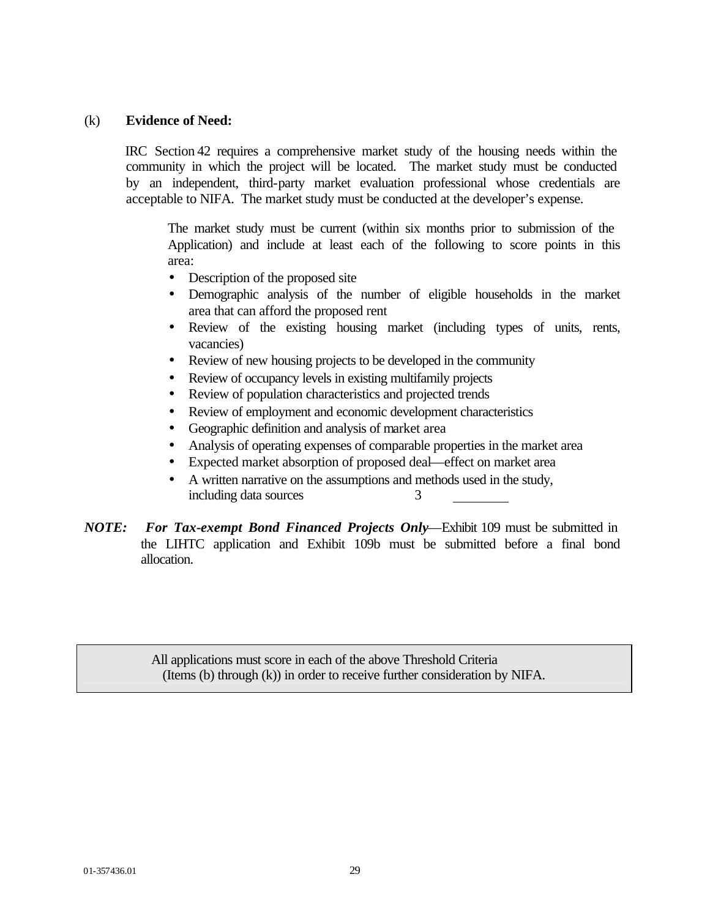### (k) **Evidence of Need:**

IRC Section 42 requires a comprehensive market study of the housing needs within the community in which the project will be located. The market study must be conducted by an independent, third-party market evaluation professional whose credentials are acceptable to NIFA. The market study must be conducted at the developer's expense.

The market study must be current (within six months prior to submission of the Application) and include at least each of the following to score points in this area:

- Description of the proposed site
- Demographic analysis of the number of eligible households in the market area that can afford the proposed rent
- Review of the existing housing market (including types of units, rents, vacancies)
- Review of new housing projects to be developed in the community
- Review of occupancy levels in existing multifamily projects
- Review of population characteristics and projected trends
- Review of employment and economic development characteristics
- Geographic definition and analysis of market area
- Analysis of operating expenses of comparable properties in the market area
- Expected market absorption of proposed deal—effect on market area
- A written narrative on the assumptions and methods used in the study, including data sources 3
- *NOTE: For Tax-exempt Bond Financed Projects Only*—Exhibit 109 must be submitted in the LIHTC application and Exhibit 109b must be submitted before a final bond allocation.

All applications must score in each of the above Threshold Criteria (Items (b) through (k)) in order to receive further consideration by NIFA.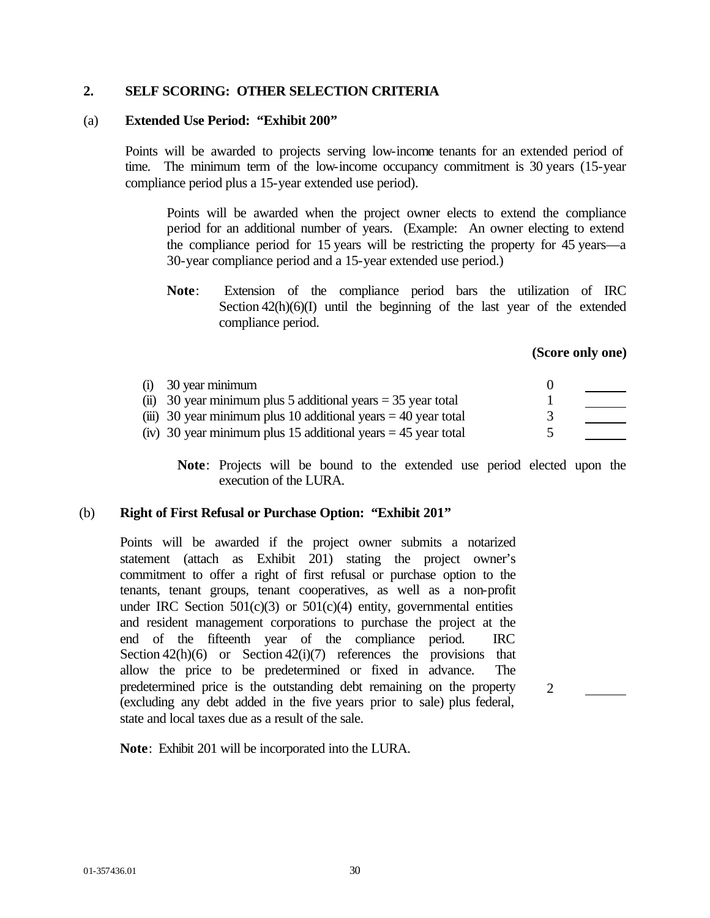### **2. SELF SCORING: OTHER SELECTION CRITERIA**

### (a) **Extended Use Period: "Exhibit 200"**

Points will be awarded to projects serving low-income tenants for an extended period of time. The minimum term of the low-income occupancy commitment is 30 years (15-year) compliance period plus a 15-year extended use period).

Points will be awarded when the project owner elects to extend the compliance period for an additional number of years. (Example: An owner electing to extend the compliance period for 15 years will be restricting the property for 45 years—a 30-year compliance period and a 15-year extended use period.)

**Note**: Extension of the compliance period bars the utilization of IRC Section  $42(h)(6)(I)$  until the beginning of the last year of the extended compliance period.

### **(Score only one)**

| $(i)$ 30 year minimum                                            |  |
|------------------------------------------------------------------|--|
| (ii) 30 year minimum plus 5 additional years $=$ 35 year total   |  |
| (iii) 30 year minimum plus 10 additional years $=$ 40 year total |  |
| (iv) 30 year minimum plus 15 additional years $=$ 45 year total  |  |

**Note**: Projects will be bound to the extended use period elected upon the execution of the LURA.

### (b) **Right of First Refusal or Purchase Option: "Exhibit 201"**

Points will be awarded if the project owner submits a notarized statement (attach as Exhibit 201) stating the project owner's commitment to offer a right of first refusal or purchase option to the tenants, tenant groups, tenant cooperatives, as well as a non-profit under IRC Section  $501(c)(3)$  or  $501(c)(4)$  entity, governmental entities and resident management corporations to purchase the project at the end of the fifteenth year of the compliance period. IRC Section  $42(h)(6)$  or Section  $42(i)(7)$  references the provisions that allow the price to be predetermined or fixed in advance. The predetermined price is the outstanding debt remaining on the property (excluding any debt added in the five years prior to sale) plus federal, state and local taxes due as a result of the sale.

2

**Note**: Exhibit 201 will be incorporated into the LURA.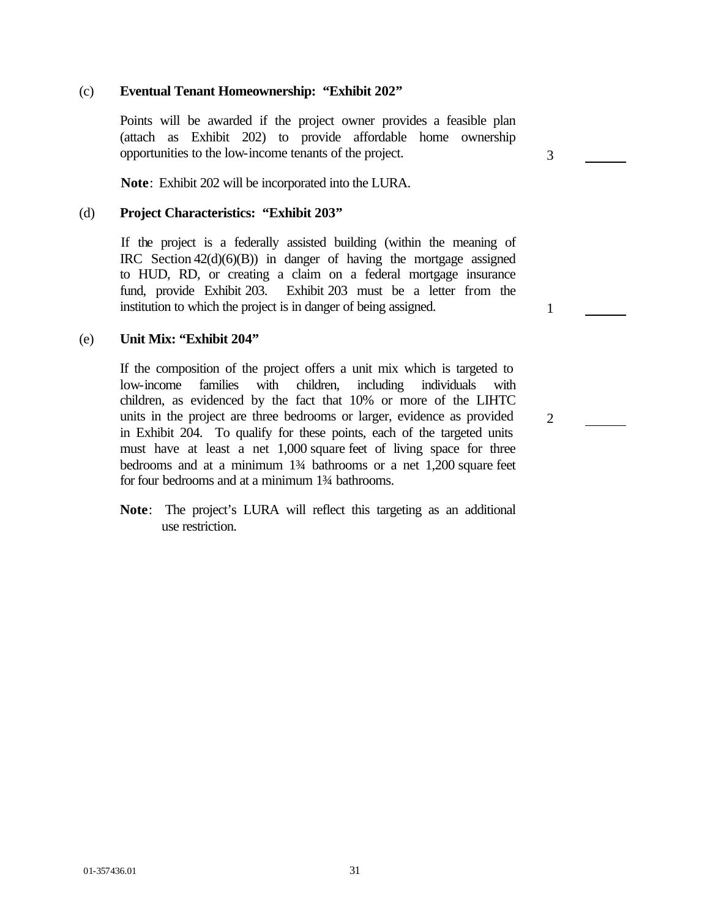### (c) **Eventual Tenant Homeownership: "Exhibit 202"**

Points will be awarded if the project owner provides a feasible plan (attach as Exhibit 202) to provide affordable home ownership opportunities to the low-income tenants of the project.

3

2

**Note**: Exhibit 202 will be incorporated into the LURA.

### (d) **Project Characteristics: "Exhibit 203"**

If the project is a federally assisted building (within the meaning of IRC Section 42(d)(6)(B)) in danger of having the mortgage assigned to HUD, RD, or creating a claim on a federal mortgage insurance fund, provide Exhibit 203. Exhibit 203 must be a letter from the institution to which the project is in danger of being assigned.

### (e) **Unit Mix: "Exhibit 204"**

If the composition of the project offers a unit mix which is targeted to low-income families with children, including individuals with children, as evidenced by the fact that 10% or more of the LIHTC units in the project are three bedrooms or larger, evidence as provided in Exhibit 204. To qualify for these points, each of the targeted units must have at least a net 1,000 square feet of living space for three bedrooms and at a minimum 1¾ bathrooms or a net 1,200 square feet for four bedrooms and at a minimum 1¾ bathrooms.

**Note**: The project's LURA will reflect this targeting as an additional use restriction.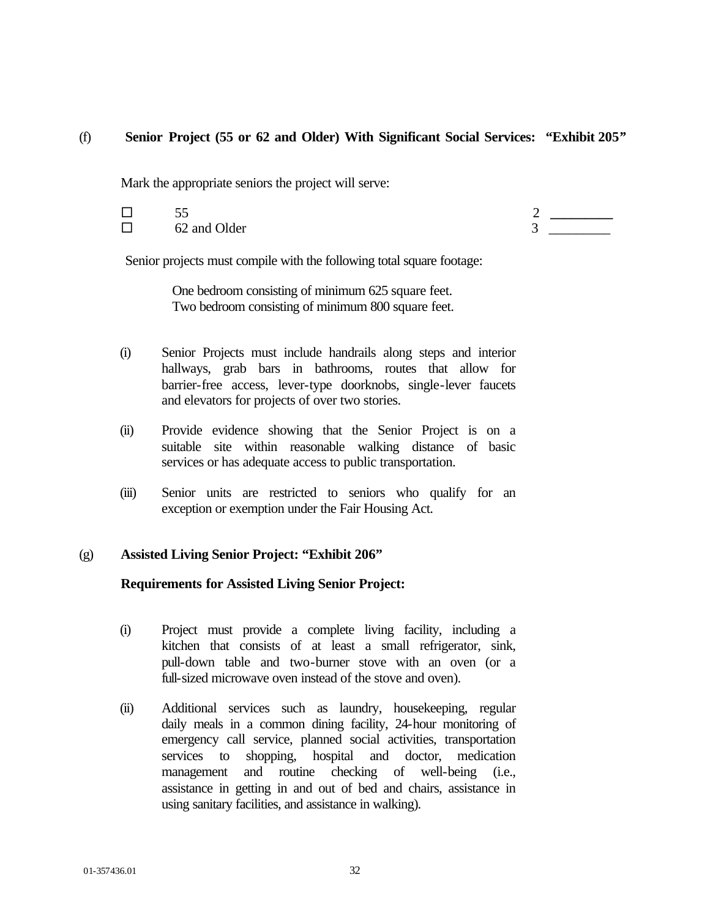## (f) **Senior Project (55 or 62 and Older) With Significant Social Services: "Exhibit 205***"*

Mark the appropriate seniors the project will serve:

- 
- $\Box$  62 and Older  $\Box$  3

® 55 2 **\_\_\_\_\_\_\_\_\_**

Senior projects must compile with the following total square footage:

One bedroom consisting of minimum 625 square feet. Two bedroom consisting of minimum 800 square feet.

- (i) Senior Projects must include handrails along steps and interior hallways, grab bars in bathrooms, routes that allow for barrier-free access, lever-type doorknobs, single-lever faucets and elevators for projects of over two stories.
- (ii) Provide evidence showing that the Senior Project is on a suitable site within reasonable walking distance of basic services or has adequate access to public transportation.
- (iii) Senior units are restricted to seniors who qualify for an exception or exemption under the Fair Housing Act.

## (g) **Assisted Living Senior Project: "Exhibit 206"**

## **Requirements for Assisted Living Senior Project:**

- (i) Project must provide a complete living facility, including a kitchen that consists of at least a small refrigerator, sink, pull-down table and two-burner stove with an oven (or a full-sized microwave oven instead of the stove and oven).
- (ii) Additional services such as laundry, housekeeping, regular daily meals in a common dining facility, 24-hour monitoring of emergency call service, planned social activities, transportation services to shopping, hospital and doctor, medication management and routine checking of well-being (i.e., assistance in getting in and out of bed and chairs, assistance in using sanitary facilities, and assistance in walking).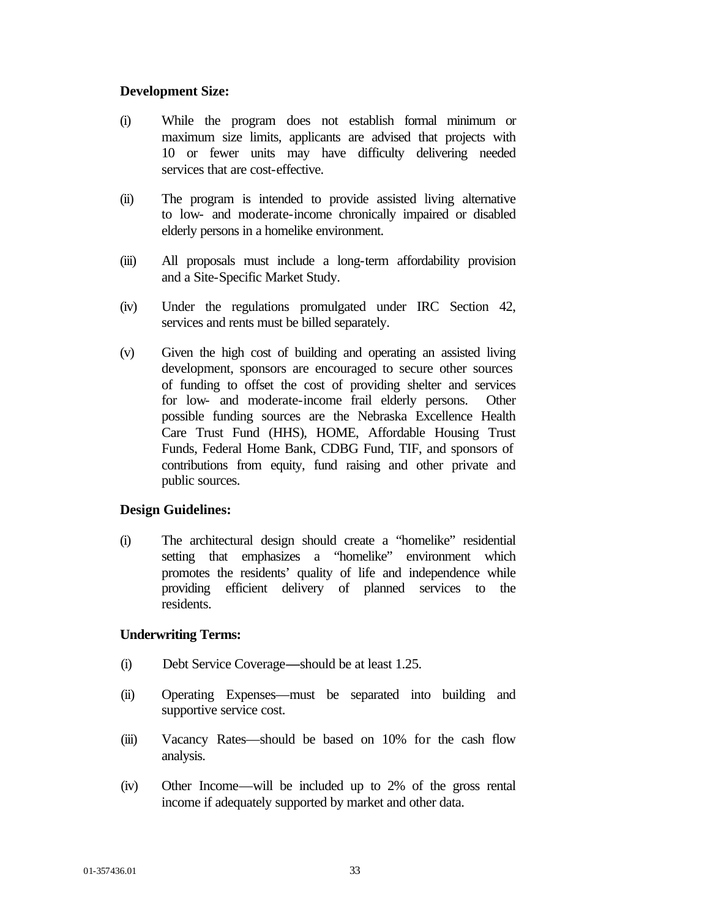### **Development Size:**

- (i) While the program does not establish formal minimum or maximum size limits, applicants are advised that projects with 10 or fewer units may have difficulty delivering needed services that are cost-effective.
- (ii) The program is intended to provide assisted living alternative to low- and moderate-income chronically impaired or disabled elderly persons in a homelike environment.
- (iii) All proposals must include a long-term affordability provision and a Site-Specific Market Study.
- (iv) Under the regulations promulgated under IRC Section 42, services and rents must be billed separately.
- (v) Given the high cost of building and operating an assisted living development, sponsors are encouraged to secure other sources of funding to offset the cost of providing shelter and services for low- and moderate-income frail elderly persons. Other possible funding sources are the Nebraska Excellence Health Care Trust Fund (HHS), HOME, Affordable Housing Trust Funds, Federal Home Bank, CDBG Fund, TIF, and sponsors of contributions from equity, fund raising and other private and public sources.

## **Design Guidelines:**

(i) The architectural design should create a "homelike" residential setting that emphasizes a "homelike" environment which promotes the residents' quality of life and independence while providing efficient delivery of planned services to the residents.

## **Underwriting Terms:**

- (i) Debt Service Coverage**—**should be at least 1.25.
- (ii) Operating Expenses—must be separated into building and supportive service cost.
- (iii) Vacancy Rates—should be based on 10% for the cash flow analysis.
- (iv) Other Income—will be included up to 2% of the gross rental income if adequately supported by market and other data.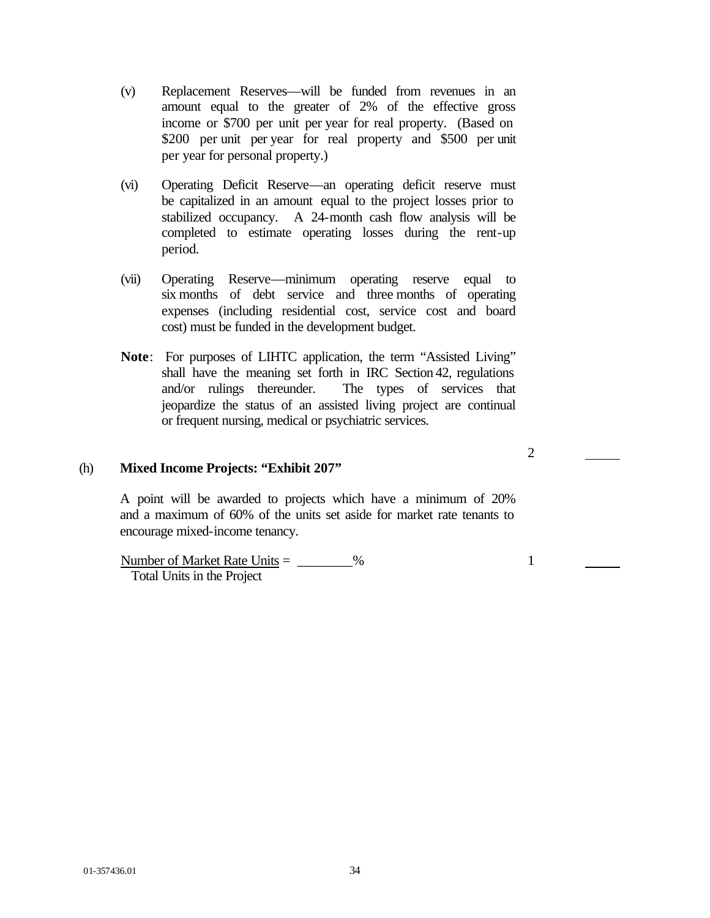- (v) Replacement Reserves—will be funded from revenues in an amount equal to the greater of 2% of the effective gross income or \$700 per unit per year for real property. (Based on \$200 per unit per year for real property and \$500 per unit per year for personal property.)
- (vi) Operating Deficit Reserve—an operating deficit reserve must be capitalized in an amount equal to the project losses prior to stabilized occupancy. A 24-month cash flow analysis will be completed to estimate operating losses during the rent-up period.
- (vii) Operating Reserve—minimum operating reserve equal to six months of debt service and three months of operating expenses (including residential cost, service cost and board cost) must be funded in the development budget.
- **Note**: For purposes of LIHTC application, the term "Assisted Living" shall have the meaning set forth in IRC Section 42, regulations and/or rulings thereunder. The types of services that jeopardize the status of an assisted living project are continual or frequent nursing, medical or psychiatric services.

## (h) **Mixed Income Projects: "Exhibit 207"**

A point will be awarded to projects which have a minimum of 20% and a maximum of 60% of the units set aside for market rate tenants to encourage mixed-income tenancy.

Number of Market Rate Units  $=$   $\frac{96}{20}$ Total Units in the Project

2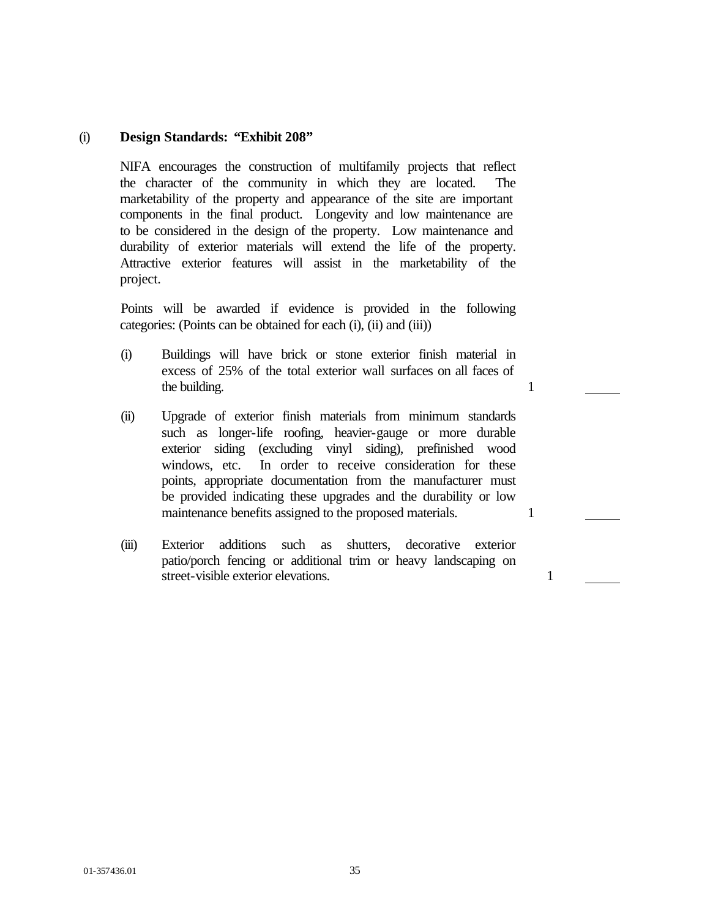### (i) **Design Standards: "Exhibit 208"**

NIFA encourages the construction of multifamily projects that reflect the character of the community in which they are located. The marketability of the property and appearance of the site are important components in the final product. Longevity and low maintenance are to be considered in the design of the property. Low maintenance and durability of exterior materials will extend the life of the property. Attractive exterior features will assist in the marketability of the project.

Points will be awarded if evidence is provided in the following categories: (Points can be obtained for each (i), (ii) and (iii))

- (i) Buildings will have brick or stone exterior finish material in excess of 25% of the total exterior wall surfaces on all faces of the building. 1
- (ii) Upgrade of exterior finish materials from minimum standards such as longer-life roofing, heavier-gauge or more durable exterior siding (excluding vinyl siding), prefinished wood windows, etc. In order to receive consideration for these points, appropriate documentation from the manufacturer must be provided indicating these upgrades and the durability or low maintenance benefits assigned to the proposed materials. 1
- (iii) Exterior additions such as shutters, decorative exterior patio/porch fencing or additional trim or heavy landscaping on street-visible exterior elevations. 1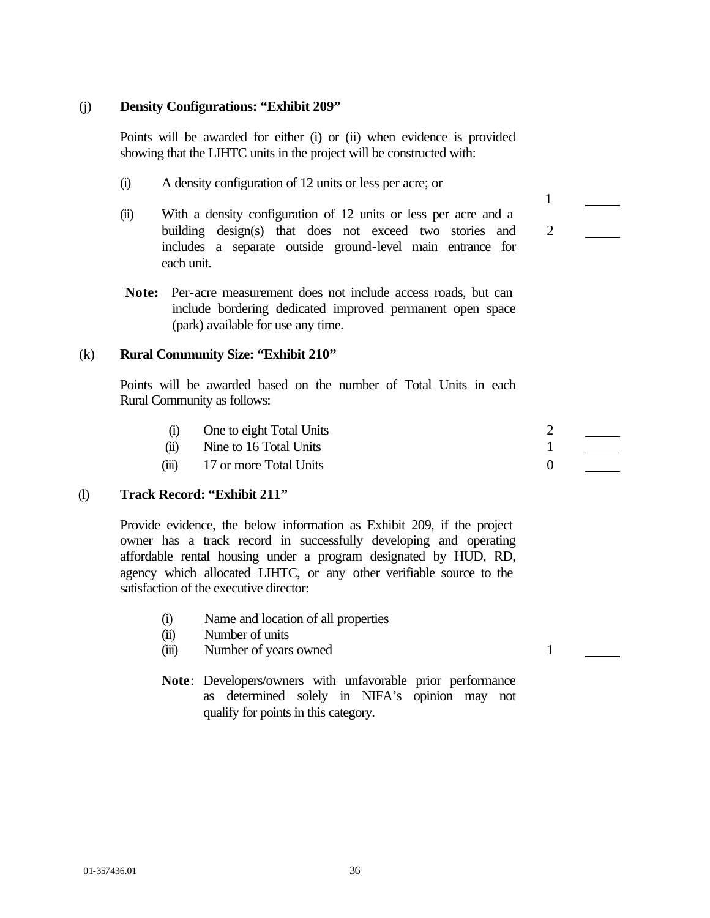### (j) **Density Configurations: "Exhibit 209"**

Points will be awarded for either (i) or (ii) when evidence is provided showing that the LIHTC units in the project will be constructed with:

- (i) A density configuration of 12 units or less per acre; or
- (ii) With a density configuration of 12 units or less per acre and a building design(s) that does not exceed two stories and includes a separate outside ground-level main entrance for each unit.
- **Note:** Per-acre measurement does not include access roads, but can include bordering dedicated improved permanent open space (park) available for use any time.

### (k) **Rural Community Size: "Exhibit 210"**

Points will be awarded based on the number of Total Units in each Rural Community as follows:

- (i) One to eight Total Units 2
- (ii) Nine to 16 Total Units 1
- (iii) 17 or more Total Units 0

## (l) **Track Record: "Exhibit 211"**

Provide evidence, the below information as Exhibit 209, if the project owner has a track record in successfully developing and operating affordable rental housing under a program designated by HUD, RD, agency which allocated LIHTC, or any other verifiable source to the satisfaction of the executive director:

- (i) Name and location of all properties
- (ii) Number of units
- (iii) Number of years owned 1
- **Note**: Developers/owners with unfavorable prior performance as determined solely in NIFA's opinion may not qualify for points in this category.



1

2

01-357436.01 36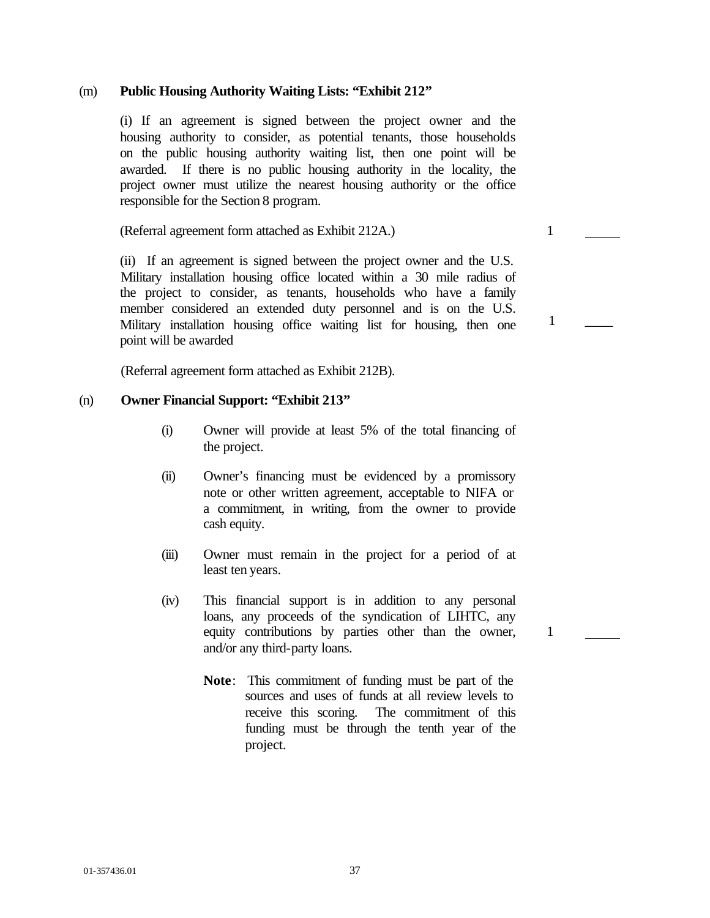#### (m) **Public Housing Authority Waiting Lists: "Exhibit 212"**

(i) If an agreement is signed between the project owner and the housing authority to consider, as potential tenants, those households on the public housing authority waiting list, then one point will be awarded. If there is no public housing authority in the locality, the project owner must utilize the nearest housing authority or the office responsible for the Section 8 program.

(Referral agreement form attached as Exhibit 212A.) 1

(ii) If an agreement is signed between the project owner and the U.S. Military installation housing office located within a 30 mile radius of the project to consider, as tenants, households who have a family member considered an extended duty personnel and is on the U.S. Military installation housing office waiting list for housing, then one point will be awarded

(Referral agreement form attached as Exhibit 212B).

## (n) **Owner Financial Support: "Exhibit 213"**

- (i) Owner will provide at least 5% of the total financing of the project.
- (ii) Owner's financing must be evidenced by a promissory note or other written agreement, acceptable to NIFA or a commitment, in writing, from the owner to provide cash equity.
- (iii) Owner must remain in the project for a period of at least ten years.
- (iv) This financial support is in addition to any personal loans, any proceeds of the syndication of LIHTC, any equity contributions by parties other than the owner, and/or any third-party loans.
	- **Note**: This commitment of funding must be part of the sources and uses of funds at all review levels to receive this scoring. The commitment of this funding must be through the tenth year of the project.

1

 $1 \quad \_$ 

01-357436.01 37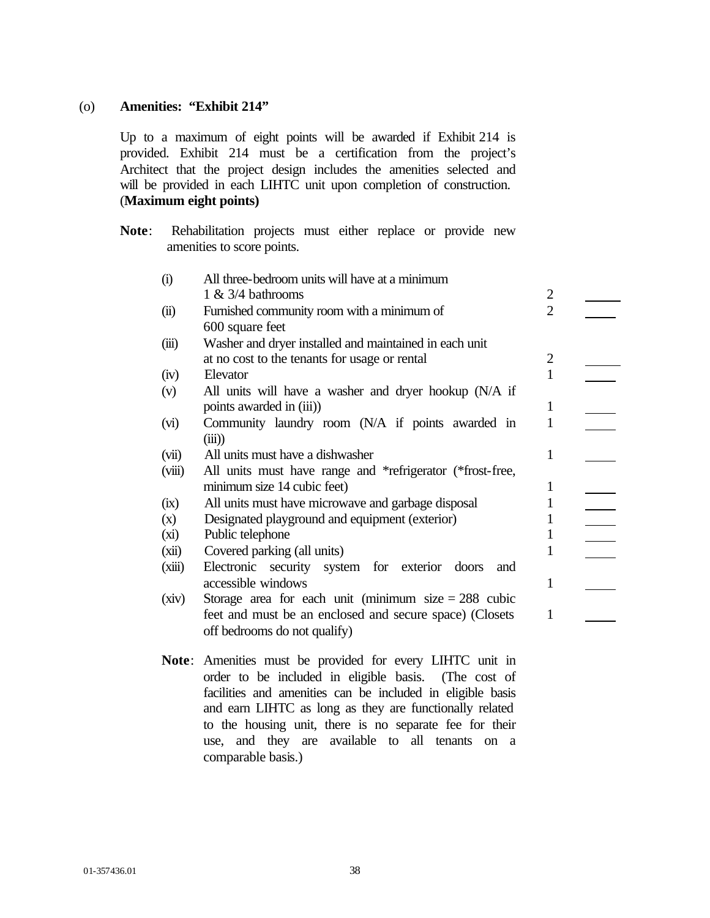## (o) **Amenities: "Exhibit 214"**

Up to a maximum of eight points will be awarded if Exhibit 214 is provided. Exhibit 214 must be a certification from the project's Architect that the project design includes the amenities selected and will be provided in each LIHTC unit upon completion of construction. (**Maximum eight points)**

**Note**: Rehabilitation projects must either replace or provide new amenities to score points.

| (i)    | All three-bedroom units will have at a minimum                  |                |  |
|--------|-----------------------------------------------------------------|----------------|--|
|        | $1 \& 3/4$ bathrooms                                            | $\overline{2}$ |  |
| (ii)   | Furnished community room with a minimum of                      | $\overline{2}$ |  |
|        | 600 square feet                                                 |                |  |
| (iii)  | Washer and dryer installed and maintained in each unit          |                |  |
|        | at no cost to the tenants for usage or rental                   | 2              |  |
| (iv)   | Elevator                                                        | $\mathbf{1}$   |  |
| (v)    | All units will have a washer and dryer hookup (N/A if           |                |  |
|        | points awarded in (iii))                                        | $\mathbf{1}$   |  |
| (vi)   | Community laundry room (N/A if points awarded in                | 1              |  |
|        | (iii)                                                           |                |  |
| (vii)  | All units must have a dishwasher                                | 1              |  |
| (viii) | All units must have range and *refrigerator (*frost-free,       |                |  |
|        | minimum size 14 cubic feet)                                     | 1              |  |
| (ix)   | All units must have microwave and garbage disposal              | 1              |  |
| (x)    | Designated playground and equipment (exterior)                  | 1              |  |
| (xi)   | Public telephone                                                | 1              |  |
| (xii)  | Covered parking (all units)                                     | 1              |  |
| (xiii) | Electronic security system for exterior doors<br>and            |                |  |
|        | accessible windows                                              | 1              |  |
| (xiv)  | Storage area for each unit (minimum size $= 288$ cubic          |                |  |
|        | feet and must be an enclosed and secure space) (Closets         | 1              |  |
|        | off bedrooms do not qualify)                                    |                |  |
|        |                                                                 |                |  |
|        | <b>Note:</b> Amenities must be provided for every LIHTC unit in |                |  |
|        | order to be included in eligible basis. (The cost of            |                |  |
|        | facilities and amenities can be included in eligible basis      |                |  |

facilities and amenities can be included in eligible basis and earn LIHTC as long as they are functionally related to the housing unit, there is no separate fee for their use, and they are available to all tenants on a comparable basis.)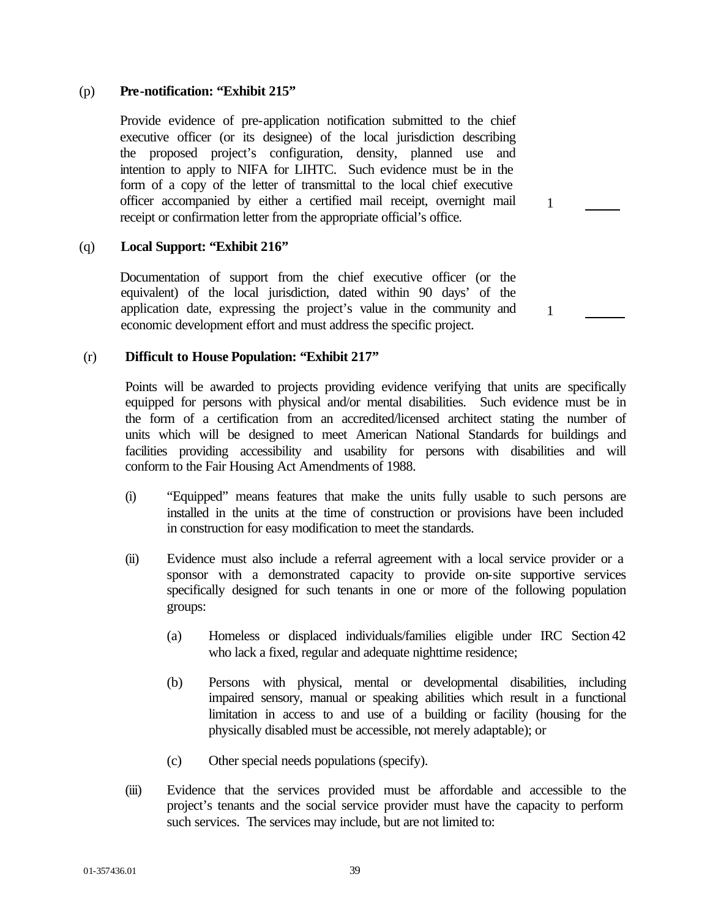## (p) **Pre-notification: "Exhibit 215"**

Provide evidence of pre-application notification submitted to the chief executive officer (or its designee) of the local jurisdiction describing the proposed project's configuration, density, planned use and intention to apply to NIFA for LIHTC. Such evidence must be in the form of a copy of the letter of transmittal to the local chief executive officer accompanied by either a certified mail receipt, overnight mail receipt or confirmation letter from the appropriate official's office.

## (q) **Local Support: "Exhibit 216"**

Documentation of support from the chief executive officer (or the equivalent) of the local jurisdiction, dated within 90 days' of the application date, expressing the project's value in the community and economic development effort and must address the specific project.

## (r) **Difficult to House Population: "Exhibit 217"**

Points will be awarded to projects providing evidence verifying that units are specifically equipped for persons with physical and/or mental disabilities. Such evidence must be in the form of a certification from an accredited/licensed architect stating the number of units which will be designed to meet American National Standards for buildings and facilities providing accessibility and usability for persons with disabilities and will conform to the Fair Housing Act Amendments of 1988.

- (i) "Equipped" means features that make the units fully usable to such persons are installed in the units at the time of construction or provisions have been included in construction for easy modification to meet the standards.
- (ii) Evidence must also include a referral agreement with a local service provider or a sponsor with a demonstrated capacity to provide on-site supportive services specifically designed for such tenants in one or more of the following population groups:
	- (a) Homeless or displaced individuals/families eligible under IRC Section 42 who lack a fixed, regular and adequate nighttime residence;
	- (b) Persons with physical, mental or developmental disabilities, including impaired sensory, manual or speaking abilities which result in a functional limitation in access to and use of a building or facility (housing for the physically disabled must be accessible, not merely adaptable); or
	- (c) Other special needs populations (specify).
- (iii) Evidence that the services provided must be affordable and accessible to the project's tenants and the social service provider must have the capacity to perform such services. The services may include, but are not limited to:

1

1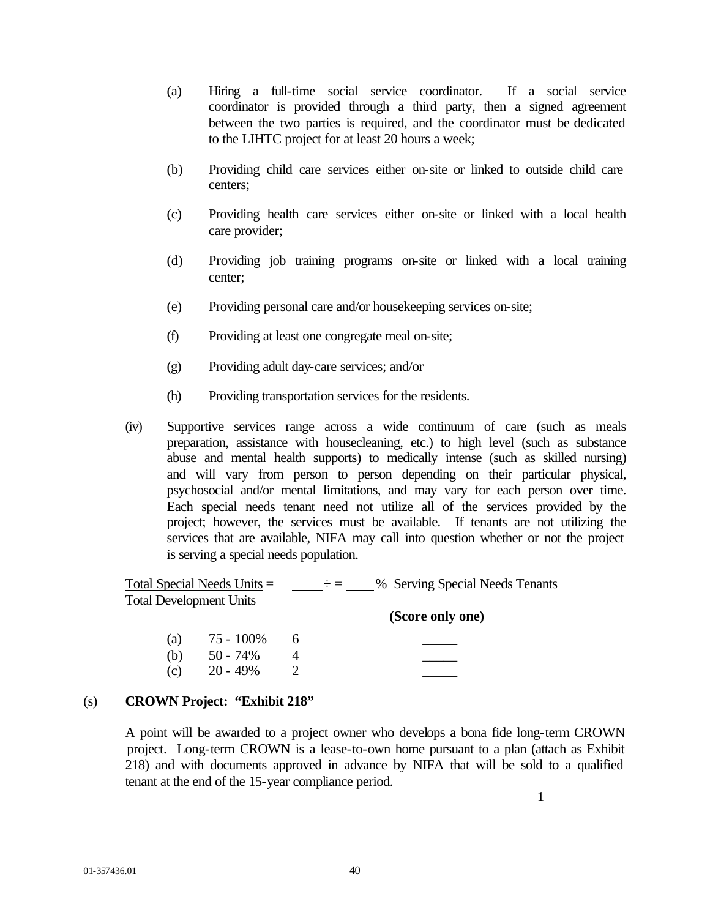- (a) Hiring a full-time social service coordinator. If a social service coordinator is provided through a third party, then a signed agreement between the two parties is required, and the coordinator must be dedicated to the LIHTC project for at least 20 hours a week;
- (b) Providing child care services either on-site or linked to outside child care centers;
- (c) Providing health care services either on-site or linked with a local health care provider;
- (d) Providing job training programs on-site or linked with a local training center;
- (e) Providing personal care and/or housekeeping services on-site;
- (f) Providing at least one congregate meal on-site;
- (g) Providing adult day-care services; and/or
- (h) Providing transportation services for the residents.
- (iv) Supportive services range across a wide continuum of care (such as meals preparation, assistance with housecleaning, etc.) to high level (such as substance abuse and mental health supports) to medically intense (such as skilled nursing) and will vary from person to person depending on their particular physical, psychosocial and/or mental limitations, and may vary for each person over time. Each special needs tenant need not utilize all of the services provided by the project; however, the services must be available. If tenants are not utilizing the services that are available, NIFA may call into question whether or not the project is serving a special needs population.

|                                | Total Special Needs Units $=$ | - <del>- -</del> - | % Serving Special Needs Tenants |
|--------------------------------|-------------------------------|--------------------|---------------------------------|
| <b>Total Development Units</b> |                               |                    |                                 |
|                                |                               |                    | (Score only one)                |
| (a)                            | 75 - 100%                     | 6                  |                                 |
| (b)                            | $50 - 74\%$                   |                    |                                 |
| (c)                            | $20 - 49%$                    |                    |                                 |

## (s) **CROWN Project: "Exhibit 218"**

A point will be awarded to a project owner who develops a bona fide long-term CROWN project. Long-term CROWN is a lease-to-own home pursuant to a plan (attach as Exhibit 218) and with documents approved in advance by NIFA that will be sold to a qualified tenant at the end of the 15-year compliance period.

1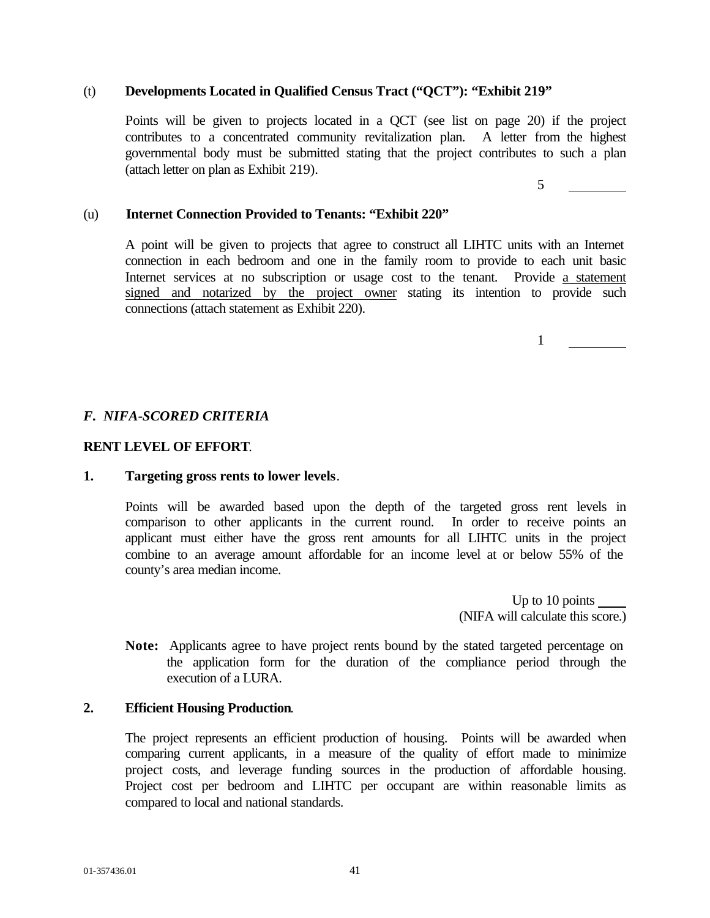## (t) **Developments Located in Qualified Census Tract ("QCT"): "Exhibit 219"**

Points will be given to projects located in a QCT (see list on page 20) if the project contributes to a concentrated community revitalization plan. A letter from the highest governmental body must be submitted stating that the project contributes to such a plan (attach letter on plan as Exhibit 219).

5

1

## (u) **Internet Connection Provided to Tenants: "Exhibit 220"**

A point will be given to projects that agree to construct all LIHTC units with an Internet connection in each bedroom and one in the family room to provide to each unit basic Internet services at no subscription or usage cost to the tenant. Provide a statement signed and notarized by the project owner stating its intention to provide such connections (attach statement as Exhibit 220).

# *F. NIFA-SCORED CRITERIA*

## **RENT LEVEL OF EFFORT**.

## **1. Targeting gross rents to lower levels**.

Points will be awarded based upon the depth of the targeted gross rent levels in comparison to other applicants in the current round. In order to receive points an applicant must either have the gross rent amounts for all LIHTC units in the project combine to an average amount affordable for an income level at or below 55% of the county's area median income.

> Up to 10 points (NIFA will calculate this score.)

**Note:** Applicants agree to have project rents bound by the stated targeted percentage on the application form for the duration of the compliance period through the execution of a LURA.

## **2. Efficient Housing Production**.

The project represents an efficient production of housing. Points will be awarded when comparing current applicants, in a measure of the quality of effort made to minimize project costs, and leverage funding sources in the production of affordable housing. Project cost per bedroom and LIHTC per occupant are within reasonable limits as compared to local and national standards.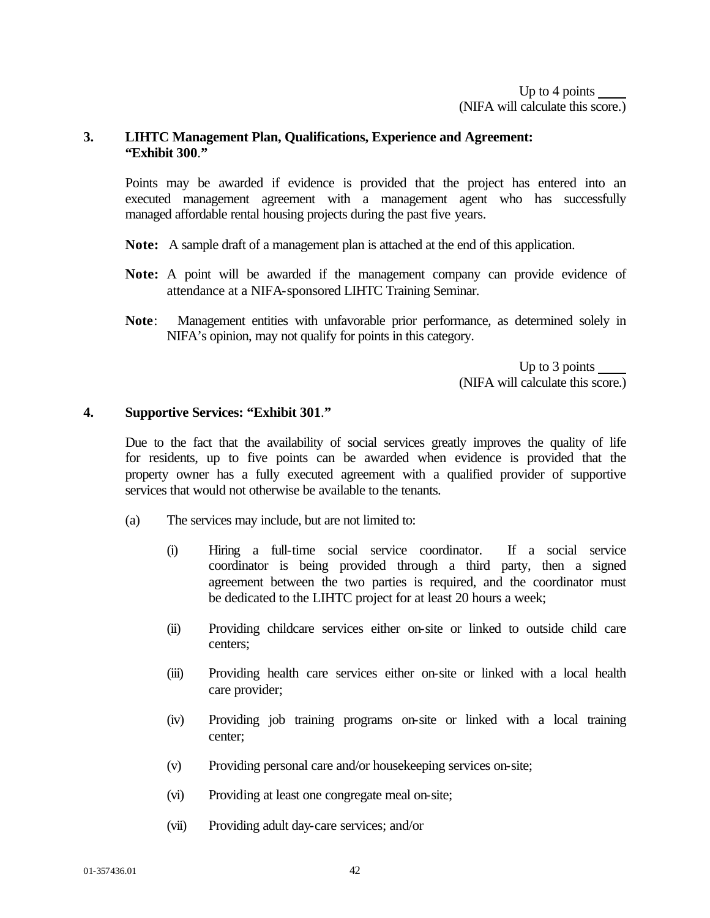## **3. LIHTC Management Plan, Qualifications, Experience and Agreement: "Exhibit 300**.**"**

Points may be awarded if evidence is provided that the project has entered into an executed management agreement with a management agent who has successfully managed affordable rental housing projects during the past five years.

- **Note:** A sample draft of a management plan is attached at the end of this application.
- **Note:** A point will be awarded if the management company can provide evidence of attendance at a NIFA-sponsored LIHTC Training Seminar.
- **Note**: Management entities with unfavorable prior performance, as determined solely in NIFA's opinion, may not qualify for points in this category.

Up to 3 points (NIFA will calculate this score.)

## **4. Supportive Services: "Exhibit 301**.**"**

Due to the fact that the availability of social services greatly improves the quality of life for residents, up to five points can be awarded when evidence is provided that the property owner has a fully executed agreement with a qualified provider of supportive services that would not otherwise be available to the tenants.

- (a) The services may include, but are not limited to:
	- (i) Hiring a full-time social service coordinator. If a social service coordinator is being provided through a third party, then a signed agreement between the two parties is required, and the coordinator must be dedicated to the LIHTC project for at least 20 hours a week;
	- (ii) Providing childcare services either on-site or linked to outside child care centers;
	- (iii) Providing health care services either on-site or linked with a local health care provider;
	- (iv) Providing job training programs on-site or linked with a local training center;
	- (v) Providing personal care and/or housekeeping services on-site;
	- (vi) Providing at least one congregate meal on-site;
	- (vii) Providing adult day-care services; and/or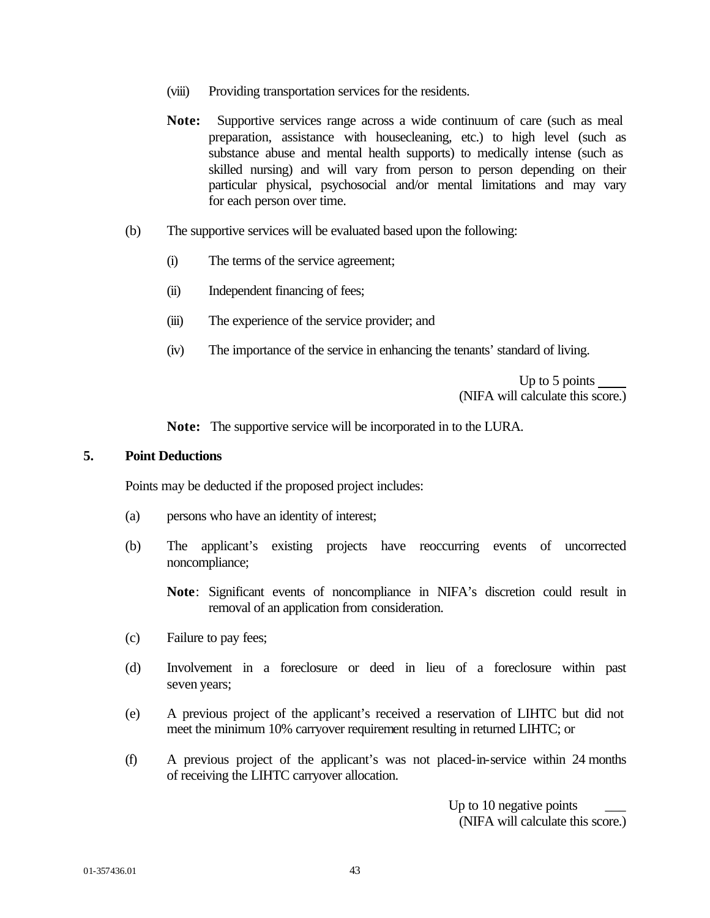- (viii) Providing transportation services for the residents.
- **Note:** Supportive services range across a wide continuum of care (such as meal preparation, assistance with housecleaning, etc.) to high level (such as substance abuse and mental health supports) to medically intense (such as skilled nursing) and will vary from person to person depending on their particular physical, psychosocial and/or mental limitations and may vary for each person over time.
- (b) The supportive services will be evaluated based upon the following:
	- (i) The terms of the service agreement;
	- (ii) Independent financing of fees;
	- (iii) The experience of the service provider; and
	- (iv) The importance of the service in enhancing the tenants' standard of living.

Up to 5 points (NIFA will calculate this score.)

**Note:** The supportive service will be incorporated in to the LURA.

## **5. Point Deductions**

Points may be deducted if the proposed project includes:

- (a) persons who have an identity of interest;
- (b) The applicant's existing projects have reoccurring events of uncorrected noncompliance;

**Note**: Significant events of noncompliance in NIFA's discretion could result in removal of an application from consideration.

- (c) Failure to pay fees;
- (d) Involvement in a foreclosure or deed in lieu of a foreclosure within past seven years;
- (e) A previous project of the applicant's received a reservation of LIHTC but did not meet the minimum 10% carryover requirement resulting in returned LIHTC; or
- (f) A previous project of the applicant's was not placed-in-service within 24 months of receiving the LIHTC carryover allocation.

Up to 10 negative points (NIFA will calculate this score.)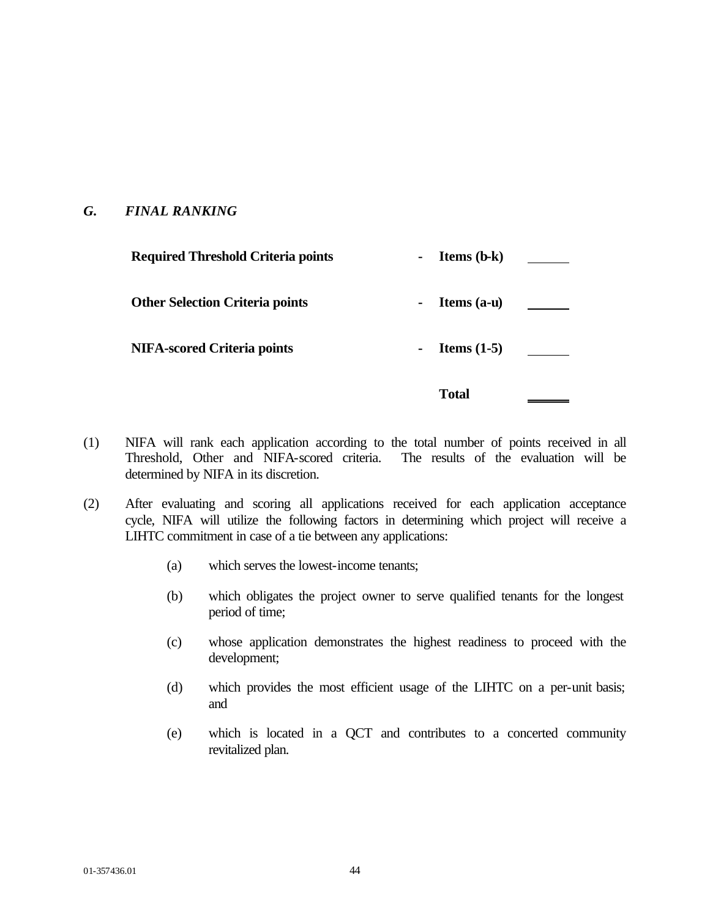# *G. FINAL RANKING*

| <b>Required Threshold Criteria points</b> | <b>Items</b> $(b-k)$            |  |
|-------------------------------------------|---------------------------------|--|
| <b>Other Selection Criteria points</b>    | Items $(a-u)$<br>$\blacksquare$ |  |
| <b>NIFA-scored Criteria points</b>        | Items $(1-5)$<br>$\blacksquare$ |  |
|                                           | <b>Total</b>                    |  |

- (1) NIFA will rank each application according to the total number of points received in all Threshold, Other and NIFA-scored criteria. The results of the evaluation will be determined by NIFA in its discretion.
- (2) After evaluating and scoring all applications received for each application acceptance cycle, NIFA will utilize the following factors in determining which project will receive a LIHTC commitment in case of a tie between any applications:
	- (a) which serves the lowest-income tenants;
	- (b) which obligates the project owner to serve qualified tenants for the longest period of time;
	- (c) whose application demonstrates the highest readiness to proceed with the development;
	- (d) which provides the most efficient usage of the LIHTC on a per-unit basis; and
	- (e) which is located in a QCT and contributes to a concerted community revitalized plan.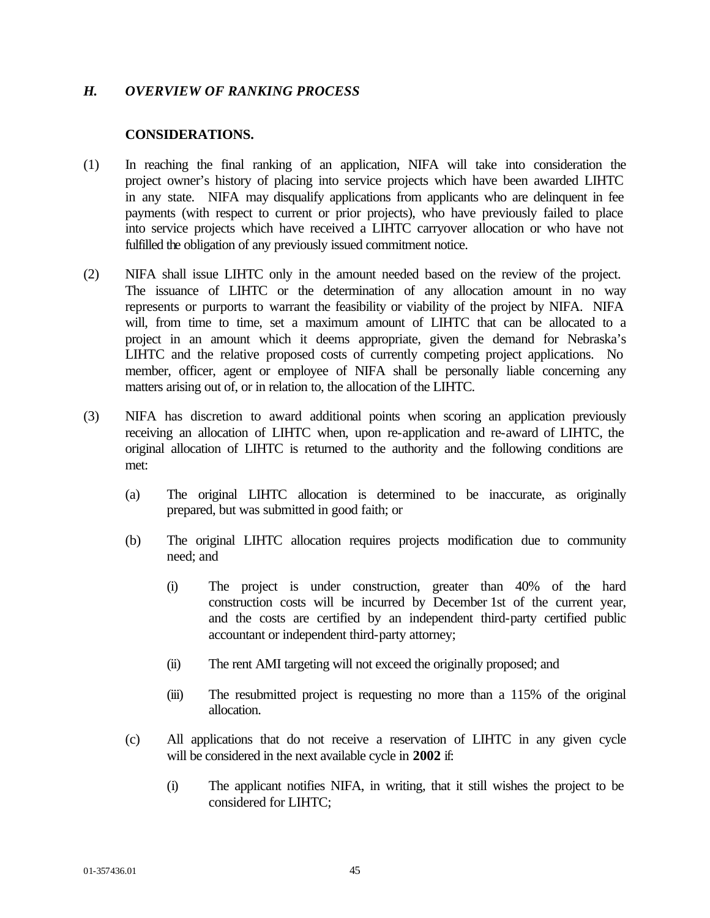## *H. OVERVIEW OF RANKING PROCESS*

## **CONSIDERATIONS.**

- (1) In reaching the final ranking of an application, NIFA will take into consideration the project owner's history of placing into service projects which have been awarded LIHTC in any state. NIFA may disqualify applications from applicants who are delinquent in fee payments (with respect to current or prior projects), who have previously failed to place into service projects which have received a LIHTC carryover allocation or who have not fulfilled the obligation of any previously issued commitment notice.
- (2) NIFA shall issue LIHTC only in the amount needed based on the review of the project. The issuance of LIHTC or the determination of any allocation amount in no way represents or purports to warrant the feasibility or viability of the project by NIFA. NIFA will, from time to time, set a maximum amount of LIHTC that can be allocated to a project in an amount which it deems appropriate, given the demand for Nebraska's LIHTC and the relative proposed costs of currently competing project applications. No member, officer, agent or employee of NIFA shall be personally liable concerning any matters arising out of, or in relation to, the allocation of the LIHTC.
- (3) NIFA has discretion to award additional points when scoring an application previously receiving an allocation of LIHTC when, upon re-application and re-award of LIHTC, the original allocation of LIHTC is returned to the authority and the following conditions are met:
	- (a) The original LIHTC allocation is determined to be inaccurate, as originally prepared, but was submitted in good faith; or
	- (b) The original LIHTC allocation requires projects modification due to community need; and
		- (i) The project is under construction, greater than 40% of the hard construction costs will be incurred by December 1st of the current year, and the costs are certified by an independent third-party certified public accountant or independent third-party attorney;
		- (ii) The rent AMI targeting will not exceed the originally proposed; and
		- (iii) The resubmitted project is requesting no more than a 115% of the original allocation.
	- (c) All applications that do not receive a reservation of LIHTC in any given cycle will be considered in the next available cycle in **2002** if:
		- (i) The applicant notifies NIFA, in writing, that it still wishes the project to be considered for LIHTC;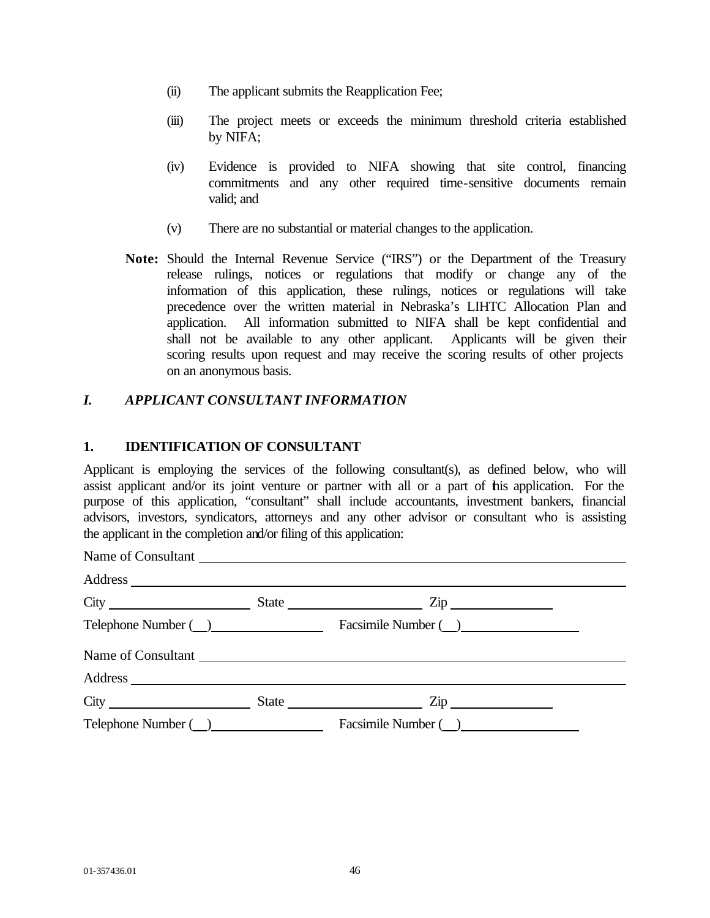- (ii) The applicant submits the Reapplication Fee;
- (iii) The project meets or exceeds the minimum threshold criteria established by NIFA;
- (iv) Evidence is provided to NIFA showing that site control, financing commitments and any other required time-sensitive documents remain valid; and
- (v) There are no substantial or material changes to the application.
- **Note:** Should the Internal Revenue Service ("IRS") or the Department of the Treasury release rulings, notices or regulations that modify or change any of the information of this application, these rulings, notices or regulations will take precedence over the written material in Nebraska's LIHTC Allocation Plan and application. All information submitted to NIFA shall be kept confidential and shall not be available to any other applicant. Applicants will be given their scoring results upon request and may receive the scoring results of other projects on an anonymous basis.

# *I. APPLICANT CONSULTANT INFORMATION*

## **1. IDENTIFICATION OF CONSULTANT**

Applicant is employing the services of the following consultant(s), as defined below, who will assist applicant and/or its joint venture or partner with all or a part of this application. For the purpose of this application, "consultant" shall include accountants, investment bankers, financial advisors, investors, syndicators, attorneys and any other advisor or consultant who is assisting the applicant in the completion and/or filing of this application:

|                         |  | State $\frac{1}{\sqrt{2}}$ $\frac{1}{\sqrt{2}}$ $\frac{1}{\sqrt{2}}$ $\frac{1}{\sqrt{2}}$ $\frac{1}{\sqrt{2}}$ $\frac{1}{\sqrt{2}}$ $\frac{1}{\sqrt{2}}$ $\frac{1}{\sqrt{2}}$ $\frac{1}{\sqrt{2}}$ $\frac{1}{\sqrt{2}}$ $\frac{1}{\sqrt{2}}$ $\frac{1}{\sqrt{2}}$ $\frac{1}{\sqrt{2}}$ $\frac{1}{\sqrt{2}}$ $\frac{1}{\sqrt{2}}$ $\frac{1}{\sqrt{2}}$ $\frac{1}{\$ |  |  |
|-------------------------|--|--------------------------------------------------------------------------------------------------------------------------------------------------------------------------------------------------------------------------------------------------------------------------------------------------------------------------------------------------------------------|--|--|
|                         |  | Telephone Number ( ) Facsimile Number ( )                                                                                                                                                                                                                                                                                                                          |  |  |
|                         |  | Name of Consultant                                                                                                                                                                                                                                                                                                                                                 |  |  |
|                         |  |                                                                                                                                                                                                                                                                                                                                                                    |  |  |
|                         |  | $City$ $City$ $State$ $Zip$                                                                                                                                                                                                                                                                                                                                        |  |  |
| Telephone Number (2020) |  | Facsimile Number ( )                                                                                                                                                                                                                                                                                                                                               |  |  |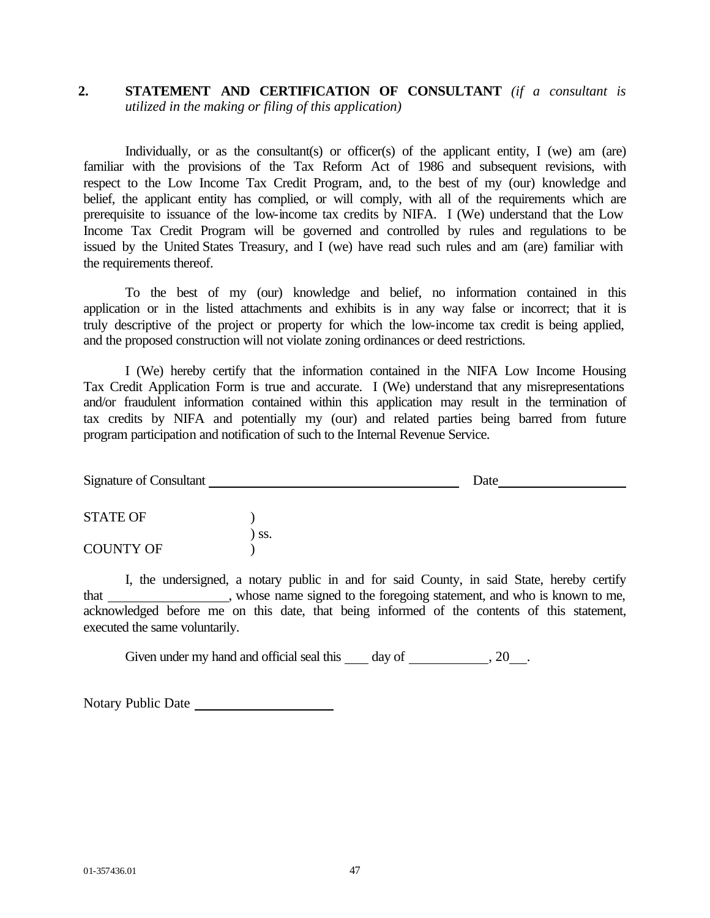# **2. STATEMENT AND CERTIFICATION OF CONSULTANT** *(if a consultant is utilized in the making or filing of this application)*

Individually, or as the consultant(s) or officer(s) of the applicant entity, I (we) am (are) familiar with the provisions of the Tax Reform Act of 1986 and subsequent revisions, with respect to the Low Income Tax Credit Program, and, to the best of my (our) knowledge and belief, the applicant entity has complied, or will comply, with all of the requirements which are prerequisite to issuance of the low-income tax credits by NIFA. I (We) understand that the Low Income Tax Credit Program will be governed and controlled by rules and regulations to be issued by the United States Treasury, and I (we) have read such rules and am (are) familiar with the requirements thereof.

To the best of my (our) knowledge and belief, no information contained in this application or in the listed attachments and exhibits is in any way false or incorrect; that it is truly descriptive of the project or property for which the low-income tax credit is being applied, and the proposed construction will not violate zoning ordinances or deed restrictions.

I (We) hereby certify that the information contained in the NIFA Low Income Housing Tax Credit Application Form is true and accurate. I (We) understand that any misrepresentations and/or fraudulent information contained within this application may result in the termination of tax credits by NIFA and potentially my (our) and related parties being barred from future program participation and notification of such to the Internal Revenue Service.

| Signature of Consultant |     | Date |  |
|-------------------------|-----|------|--|
| <b>STATE OF</b>         |     |      |  |
|                         | SS. |      |  |
| <b>COUNTY OF</b>        |     |      |  |

I, the undersigned, a notary public in and for said County, in said State, hereby certify that \_\_\_\_\_\_\_\_\_\_\_\_\_, whose name signed to the foregoing statement, and who is known to me, acknowledged before me on this date, that being informed of the contents of this statement, executed the same voluntarily.

Given under my hand and official seal this day of , 20 .

Notary Public Date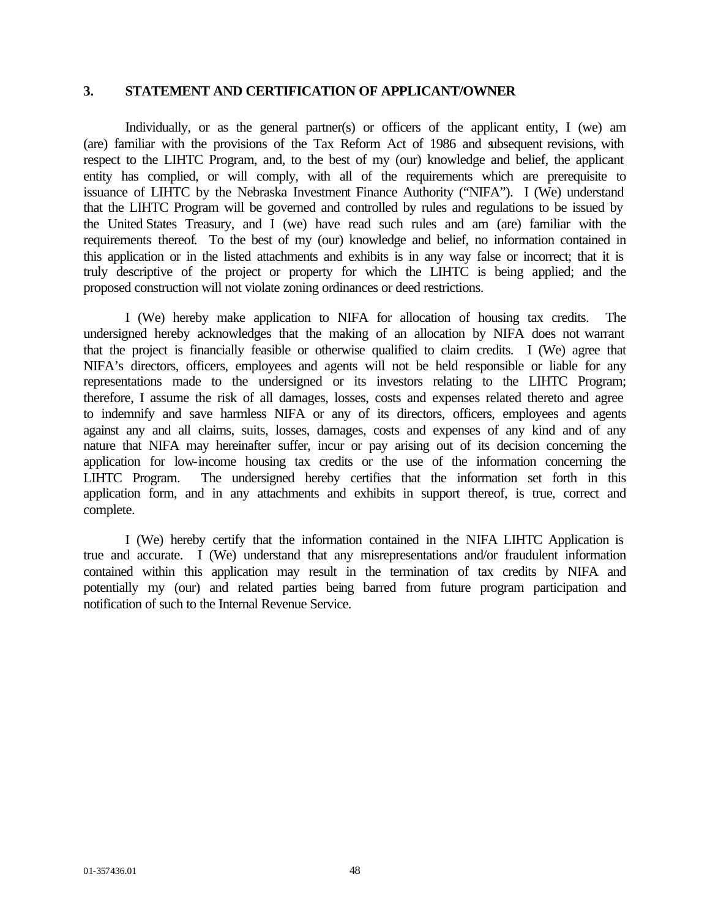## **3. STATEMENT AND CERTIFICATION OF APPLICANT/OWNER**

Individually, or as the general partner(s) or officers of the applicant entity, I (we) am (are) familiar with the provisions of the Tax Reform Act of 1986 and subsequent revisions, with respect to the LIHTC Program, and, to the best of my (our) knowledge and belief, the applicant entity has complied, or will comply, with all of the requirements which are prerequisite to issuance of LIHTC by the Nebraska Investment Finance Authority ("NIFA"). I (We) understand that the LIHTC Program will be governed and controlled by rules and regulations to be issued by the United States Treasury, and I (we) have read such rules and am (are) familiar with the requirements thereof. To the best of my (our) knowledge and belief, no information contained in this application or in the listed attachments and exhibits is in any way false or incorrect; that it is truly descriptive of the project or property for which the LIHTC is being applied; and the proposed construction will not violate zoning ordinances or deed restrictions.

I (We) hereby make application to NIFA for allocation of housing tax credits. The undersigned hereby acknowledges that the making of an allocation by NIFA does not warrant that the project is financially feasible or otherwise qualified to claim credits. I (We) agree that NIFA's directors, officers, employees and agents will not be held responsible or liable for any representations made to the undersigned or its investors relating to the LIHTC Program; therefore, I assume the risk of all damages, losses, costs and expenses related thereto and agree to indemnify and save harmless NIFA or any of its directors, officers, employees and agents against any and all claims, suits, losses, damages, costs and expenses of any kind and of any nature that NIFA may hereinafter suffer, incur or pay arising out of its decision concerning the application for low-income housing tax credits or the use of the information concerning the LIHTC Program. The undersigned hereby certifies that the information set forth in this application form, and in any attachments and exhibits in support thereof, is true, correct and complete.

I (We) hereby certify that the information contained in the NIFA LIHTC Application is true and accurate. I (We) understand that any misrepresentations and/or fraudulent information contained within this application may result in the termination of tax credits by NIFA and potentially my (our) and related parties being barred from future program participation and notification of such to the Internal Revenue Service.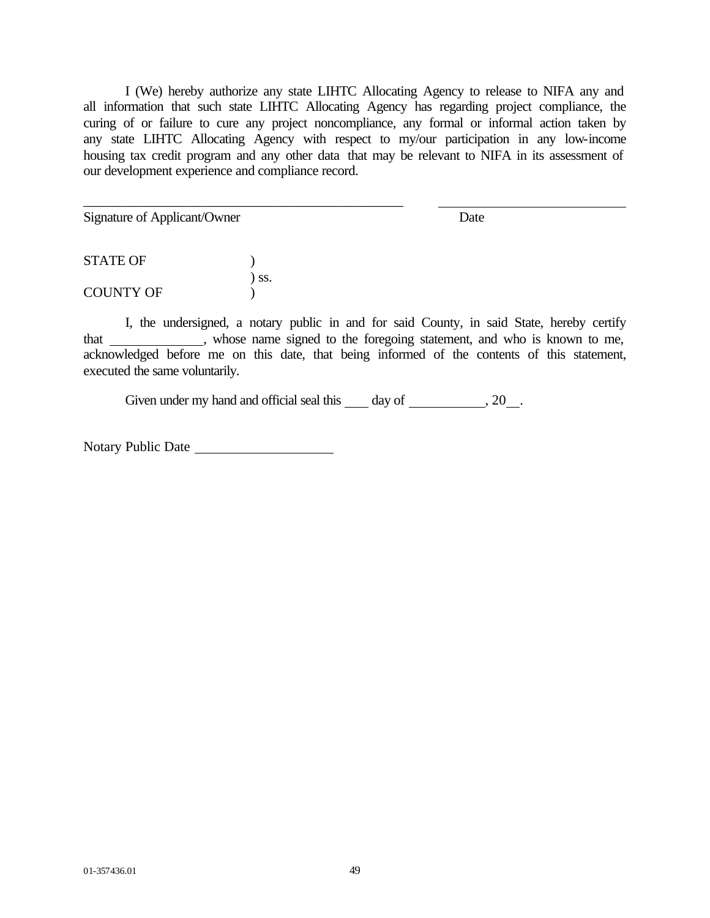I (We) hereby authorize any state LIHTC Allocating Agency to release to NIFA any and all information that such state LIHTC Allocating Agency has regarding project compliance, the curing of or failure to cure any project noncompliance, any formal or informal action taken by any state LIHTC Allocating Agency with respect to my/our participation in any low-income housing tax credit program and any other data that may be relevant to NIFA in its assessment of our development experience and compliance record.

Signature of Applicant/Owner Date

STATE OF  $\qquad \qquad$  ) ) ss. COUNTY OF  $\qquad$  )

\_\_\_\_\_\_\_\_\_\_\_\_\_\_\_\_\_\_\_\_\_\_\_\_\_\_\_\_\_\_\_\_\_\_\_\_\_\_\_\_\_\_\_\_\_\_

I, the undersigned, a notary public in and for said County, in said State, hereby certify that , whose name signed to the foregoing statement, and who is known to me, acknowledged before me on this date, that being informed of the contents of this statement, executed the same voluntarily.

Given under my hand and official seal this  $\_\_\_$  day of  $\_\_\_\_\_$ , 20 $\_\_\_\_\$ .

Notary Public Date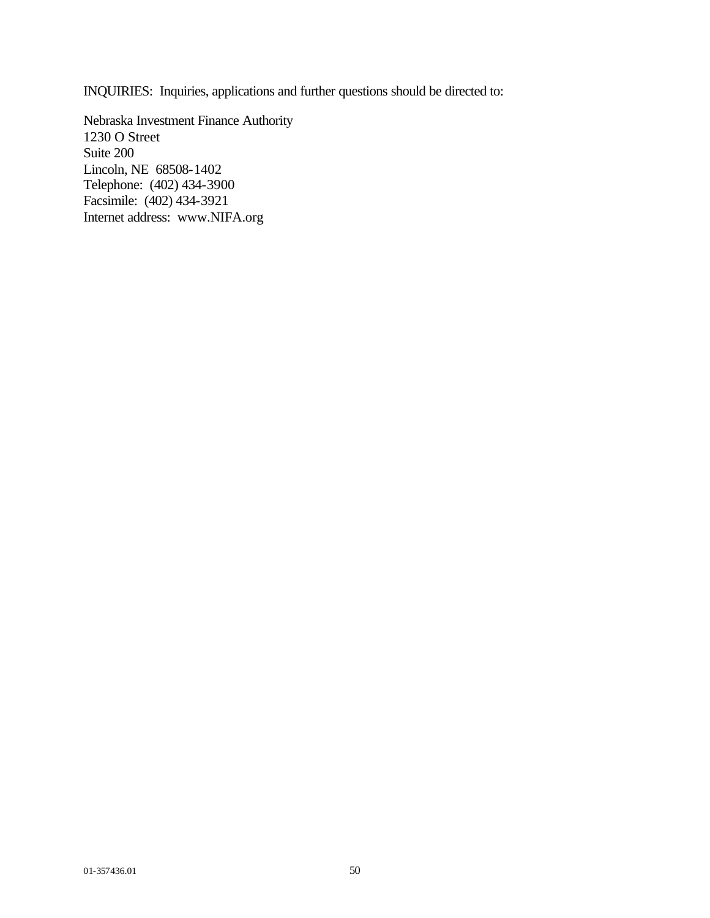INQUIRIES: Inquiries, applications and further questions should be directed to:

Nebraska Investment Finance Authority 1230 O Street Suite 200 Lincoln, NE 68508-1402 Telephone: (402) 434-3900 Facsimile: (402) 434-3921 Internet address: www.NIFA.org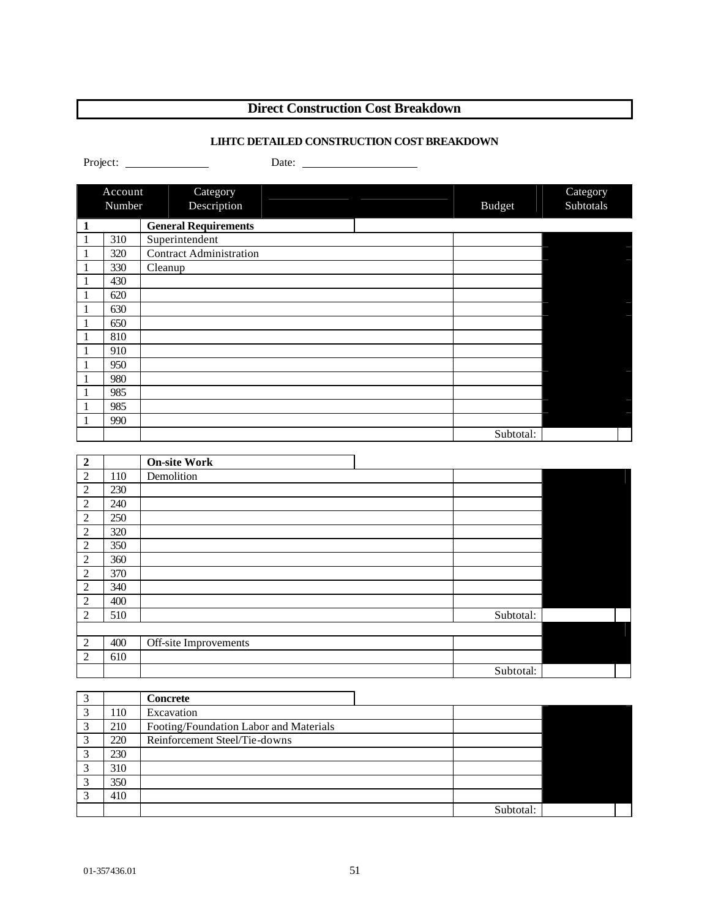# **Direct Construction Cost Breakdown**

# **LIHTC DETAILED CONSTRUCTION COST BREAKDOWN**

|                         | Account | Category                               |               | Category  |
|-------------------------|---------|----------------------------------------|---------------|-----------|
|                         | Number  | Description                            | <b>Budget</b> | Subtotals |
| $\mathbf{1}$            |         | <b>General Requirements</b>            |               |           |
| $\mathbf{1}$            | 310     | Superintendent                         |               |           |
| $\mathbf{1}$            | 320     | Contract Administration                |               |           |
| $\mathbf{1}$            | 330     | Cleanup                                |               |           |
| $\mathbf{1}$            | 430     |                                        |               |           |
| $\mathbf{1}$            | 620     |                                        |               |           |
| 1                       | 630     |                                        |               |           |
| 1                       | 650     |                                        |               |           |
| 1                       | 810     |                                        |               |           |
| 1                       | 910     |                                        |               |           |
| 1                       | 950     |                                        |               |           |
| 1                       | 980     |                                        |               |           |
| 1                       | 985     |                                        |               |           |
| 1                       | 985     |                                        |               |           |
| 1                       | 990     |                                        |               |           |
|                         |         |                                        | Subtotal:     |           |
| $\overline{2}$          |         | <b>On-site Work</b>                    |               |           |
| $\overline{c}$          | 110     | Demolition                             |               |           |
| $\overline{c}$          | 230     |                                        |               |           |
| $\overline{c}$          | 240     |                                        |               |           |
| $\overline{c}$          | 250     |                                        |               |           |
| $\overline{c}$          | 320     |                                        |               |           |
| $\overline{c}$          | 350     |                                        |               |           |
| $\overline{c}$          | 360     |                                        |               |           |
| $\overline{c}$          | 370     |                                        |               |           |
| $\overline{c}$          | 340     |                                        |               |           |
| $\overline{c}$          | 400     |                                        |               |           |
| $\overline{c}$          | 510     |                                        | Subtotal:     |           |
|                         |         |                                        |               |           |
| $\boldsymbol{2}$        | 400     | Off-site Improvements                  |               |           |
| $\overline{c}$          | 610     |                                        |               |           |
|                         |         |                                        | Subtotal:     |           |
|                         |         |                                        |               |           |
| $\mathfrak{Z}$          |         | <b>Concrete</b>                        |               |           |
| $\overline{3}$          | 110     | Excavation                             |               |           |
| $\overline{3}$          | 210     | Footing/Foundation Labor and Materials |               |           |
| $\overline{\mathbf{3}}$ | 220     | Reinforcement Steel/Tie-downs          |               |           |
| $\overline{\mathbf{3}}$ | 230     |                                        |               |           |
| $\overline{\mathbf{3}}$ | 310     |                                        |               |           |

 $\begin{array}{|c|c|}\n \hline\n 3 & 350 \\
\hline\n 3 & 410\n \end{array}$ 3 410

Subtotal: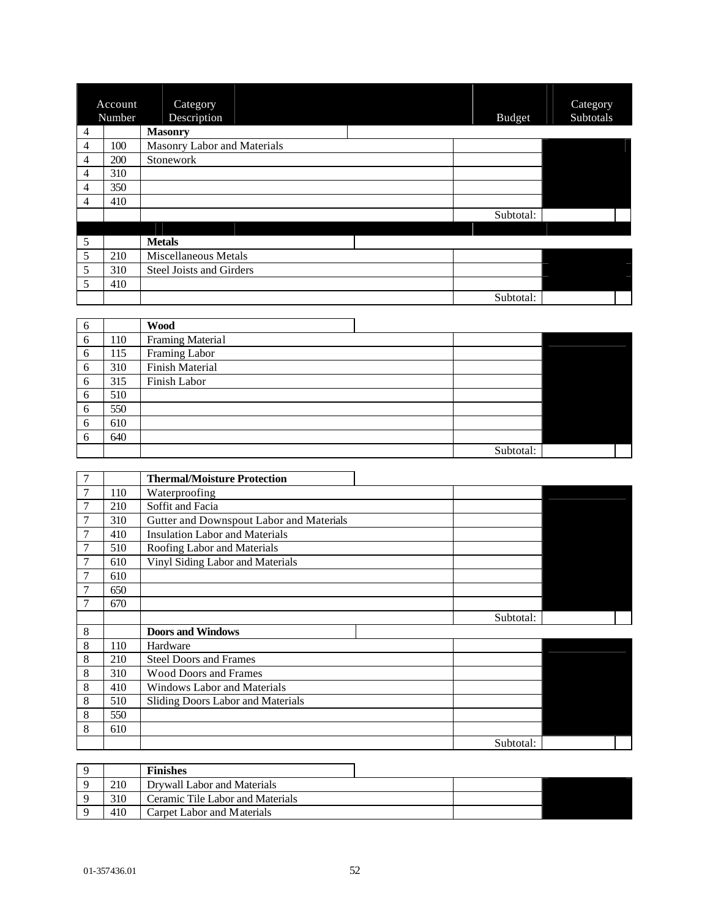|                | Account | Category                        |               | Category  |
|----------------|---------|---------------------------------|---------------|-----------|
|                | Number  | Description                     | <b>Budget</b> | Subtotals |
| 4              |         | <b>Masonry</b>                  |               |           |
| 4              | 100     | Masonry Labor and Materials     |               |           |
| 4              | 200     | Stonework                       |               |           |
| 4              | 310     |                                 |               |           |
| 4              | 350     |                                 |               |           |
| $\overline{4}$ | 410     |                                 |               |           |
|                |         |                                 | Subtotal:     |           |
|                |         |                                 |               |           |
| 5              |         | <b>Metals</b>                   |               |           |
| 5              | 210     | <b>Miscellaneous Metals</b>     |               |           |
| 5              | 310     | <b>Steel Joists and Girders</b> |               |           |
| 5              | 410     |                                 |               |           |
|                |         |                                 | Subtotal:     |           |

| 6 |     | <b>Wood</b>      |           |  |
|---|-----|------------------|-----------|--|
| 6 | 110 | Framing Material |           |  |
| 6 | 115 | Framing Labor    |           |  |
| 6 | 310 | Finish Material  |           |  |
| 6 | 315 | Finish Labor     |           |  |
| 6 | 510 |                  |           |  |
| 6 | 550 |                  |           |  |
| 6 | 610 |                  |           |  |
| 6 | 640 |                  |           |  |
|   |     |                  | Subtotal: |  |

|                |     | <b>Thermal/Moisture Protection</b>       |           |  |
|----------------|-----|------------------------------------------|-----------|--|
|                | 110 | Waterproofing                            |           |  |
|                | 210 | Soffit and Facia                         |           |  |
| 7              | 310 | Gutter and Downspout Labor and Materials |           |  |
| 7              | 410 | <b>Insulation Labor and Materials</b>    |           |  |
| 7              | 510 | Roofing Labor and Materials              |           |  |
| 7              | 610 | Vinyl Siding Labor and Materials         |           |  |
| $\overline{7}$ | 610 |                                          |           |  |
|                | 650 |                                          |           |  |
|                | 670 |                                          |           |  |
|                |     |                                          |           |  |
|                |     |                                          | Subtotal: |  |
| 8              |     | <b>Doors and Windows</b>                 |           |  |
| 8              | 110 | Hardware                                 |           |  |
| 8              | 210 | <b>Steel Doors and Frames</b>            |           |  |
| 8              | 310 | <b>Wood Doors and Frames</b>             |           |  |
| 8              | 410 | Windows Labor and Materials              |           |  |
| 8              | 510 | Sliding Doors Labor and Materials        |           |  |
| 8              | 550 |                                          |           |  |
| 8              | 610 |                                          |           |  |

|     | <b>Finishes</b>                  |  |
|-----|----------------------------------|--|
| 210 | Drywall Labor and Materials      |  |
| 310 | Ceramic Tile Labor and Materials |  |
| 410 | Carpet Labor and Materials       |  |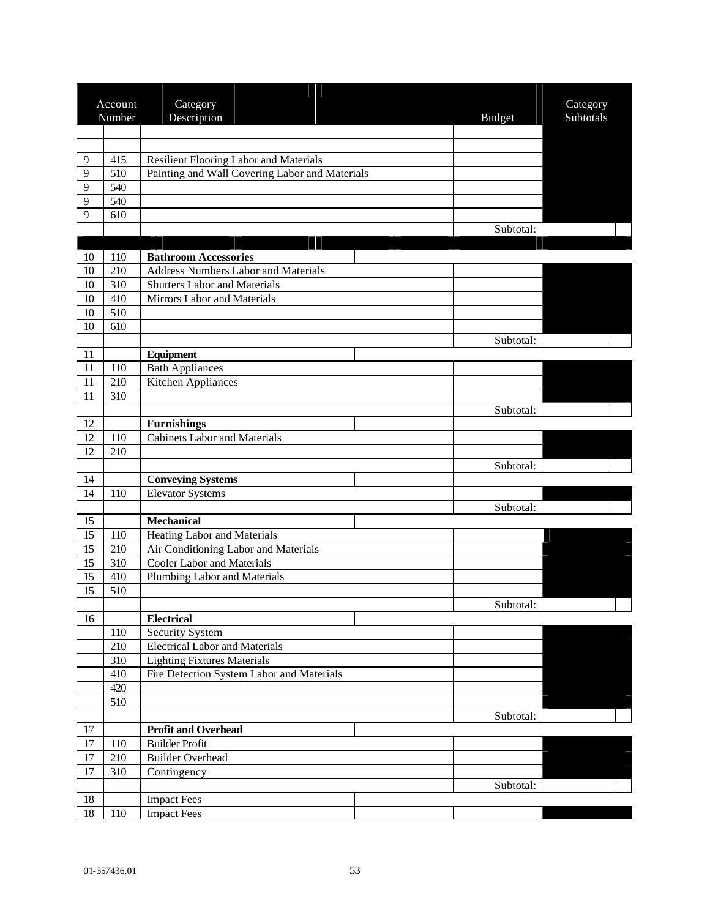|        | Account | Category                                                  |               | Category  |
|--------|---------|-----------------------------------------------------------|---------------|-----------|
|        | Number  | Description                                               | <b>Budget</b> | Subtotals |
|        |         |                                                           |               |           |
| 9      | 415     | Resilient Flooring Labor and Materials                    |               |           |
| 9      | 510     | Painting and Wall Covering Labor and Materials            |               |           |
| 9      | 540     |                                                           |               |           |
| 9      | 540     |                                                           |               |           |
| 9      | 610     |                                                           |               |           |
|        |         |                                                           | Subtotal:     |           |
|        |         |                                                           |               |           |
| 10     | 110     | <b>Bathroom Accessories</b>                               |               |           |
| 10     | 210     | <b>Address Numbers Labor and Materials</b>                |               |           |
| 10     | 310     | <b>Shutters Labor and Materials</b>                       |               |           |
| 10     | 410     | Mirrors Labor and Materials                               |               |           |
| 10     | 510     |                                                           |               |           |
| 10     | 610     |                                                           |               |           |
|        |         |                                                           | Subtotal:     |           |
| 11     |         | Equipment                                                 |               |           |
| 11     | 110     | <b>Bath Appliances</b>                                    |               |           |
| 11     | 210     | Kitchen Appliances                                        |               |           |
| 11     | 310     |                                                           |               |           |
| 12     |         |                                                           | Subtotal:     |           |
| 12     | 110     | <b>Furnishings</b><br><b>Cabinets Labor and Materials</b> |               |           |
| 12     | 210     |                                                           |               |           |
|        |         |                                                           | Subtotal:     |           |
| 14     |         | <b>Conveying Systems</b>                                  |               |           |
| 14     | 110     | <b>Elevator Systems</b>                                   |               |           |
|        |         |                                                           | Subtotal:     |           |
| 15     |         | <b>Mechanical</b>                                         |               |           |
| 15     | 110     | <b>Heating Labor and Materials</b>                        |               |           |
| 15     | 210     | Air Conditioning Labor and Materials                      |               |           |
| 15     | 310     | <b>Cooler Labor and Materials</b>                         |               |           |
| 15     | 410     | Plumbing Labor and Materials                              |               |           |
| 15     | 510     |                                                           |               |           |
|        |         |                                                           | Subtotal:     |           |
| 16     |         | <b>Electrical</b>                                         |               |           |
|        | 110     | <b>Security System</b>                                    |               |           |
|        | 210     | <b>Electrical Labor and Materials</b>                     |               |           |
|        | 310     | <b>Lighting Fixtures Materials</b>                        |               |           |
|        | 410     | Fire Detection System Labor and Materials                 |               |           |
|        | 420     |                                                           |               |           |
|        | 510     |                                                           |               |           |
|        |         |                                                           | Subtotal:     |           |
| $17\,$ |         | <b>Profit and Overhead</b>                                |               |           |
| $17\,$ | 110     | <b>Builder Profit</b>                                     |               |           |
| $17\,$ | 210     | <b>Builder Overhead</b>                                   |               |           |
| 17     | 310     | Contingency                                               |               |           |
| $18\,$ |         |                                                           | Subtotal:     |           |
| 18     | 110     | <b>Impact Fees</b><br><b>Impact Fees</b>                  |               |           |
|        |         |                                                           |               |           |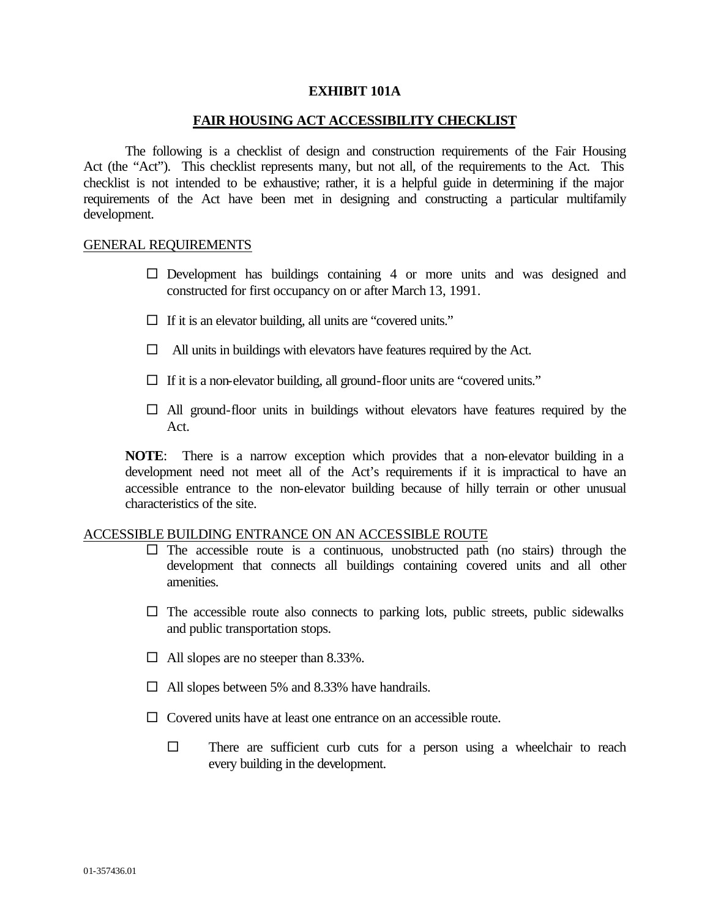#### **EXHIBIT 101A**

#### **FAIR HOUSING ACT ACCESSIBILITY CHECKLIST**

The following is a checklist of design and construction requirements of the Fair Housing Act (the "Act"). This checklist represents many, but not all, of the requirements to the Act. This checklist is not intended to be exhaustive; rather, it is a helpful guide in determining if the major requirements of the Act have been met in designing and constructing a particular multifamily development.

#### GENERAL REQUIREMENTS

- $\square$  Development has buildings containing 4 or more units and was designed and constructed for first occupancy on or after March 13, 1991.
- $\Box$  If it is an elevator building, all units are "covered units."
- $\Box$  All units in buildings with elevators have features required by the Act.
- $\Box$  If it is a non-elevator building, all ground-floor units are "covered units."
- $\Box$  All ground-floor units in buildings without elevators have features required by the Act.

**NOTE**: There is a narrow exception which provides that a non-elevator building in a development need not meet all of the Act's requirements if it is impractical to have an accessible entrance to the non-elevator building because of hilly terrain or other unusual characteristics of the site.

#### ACCESSIBLE BUILDING ENTRANCE ON AN ACCESSIBLE ROUTE

- $\square$  The accessible route is a continuous, unobstructed path (no stairs) through the development that connects all buildings containing covered units and all other amenities.
- $\square$  The accessible route also connects to parking lots, public streets, public sidewalks and public transportation stops.
- $\Box$  All slopes are no steeper than 8.33%.
- $\Box$  All slopes between 5% and 8.33% have handrails.
- $\Box$  Covered units have at least one entrance on an accessible route.
	- $\square$  There are sufficient curb cuts for a person using a wheelchair to reach every building in the development.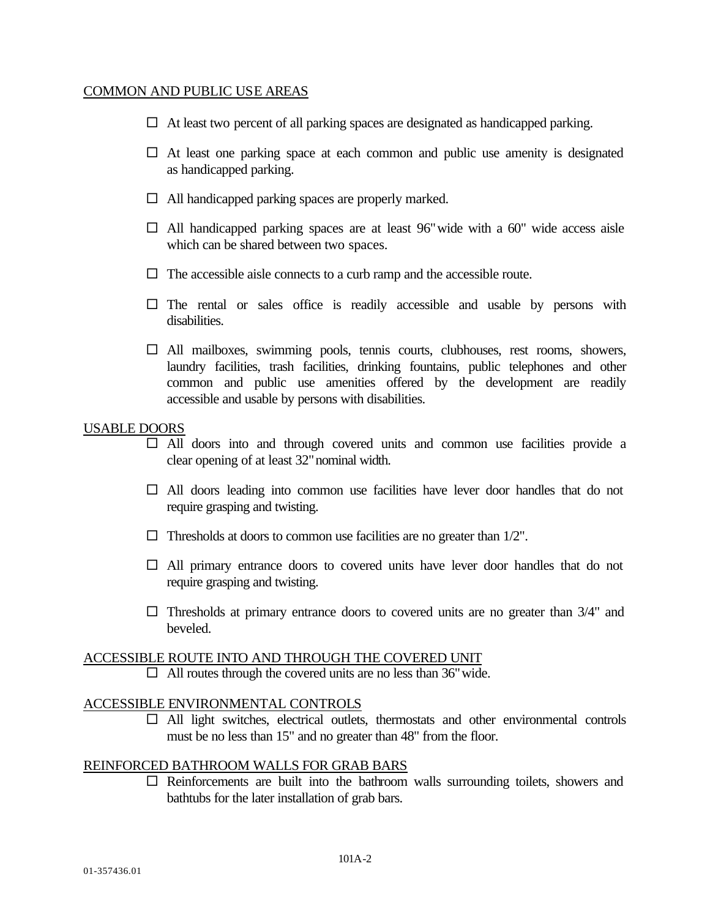## COMMON AND PUBLIC USE AREAS

- $\Box$  At least two percent of all parking spaces are designated as handicapped parking.
- $\square$  At least one parking space at each common and public use amenity is designated as handicapped parking.
- $\Box$  All handicapped parking spaces are properly marked.
- $\Box$  All handicapped parking spaces are at least 96" wide with a 60" wide access aisle which can be shared between two spaces.
- $\Box$  The accessible aisle connects to a curb ramp and the accessible route.
- $\square$  The rental or sales office is readily accessible and usable by persons with disabilities.
- $\Box$  All mailboxes, swimming pools, tennis courts, clubhouses, rest rooms, showers, laundry facilities, trash facilities, drinking fountains, public telephones and other common and public use amenities offered by the development are readily accessible and usable by persons with disabilities.

## USABLE DOORS

- $\Box$  All doors into and through covered units and common use facilities provide a clear opening of at least 32"nominal width.
- $\Box$  All doors leading into common use facilities have lever door handles that do not require grasping and twisting.
- $\Box$  Thresholds at doors to common use facilities are no greater than 1/2".
- $\Box$  All primary entrance doors to covered units have lever door handles that do not require grasping and twisting.
- $\square$  Thresholds at primary entrance doors to covered units are no greater than 3/4" and beveled.

## ACCESSIBLE ROUTE INTO AND THROUGH THE COVERED UNIT

 $\Box$  All routes through the covered units are no less than 36" wide.

## ACCESSIBLE ENVIRONMENTAL CONTROLS

 $\Box$  All light switches, electrical outlets, thermostats and other environmental controls must be no less than 15" and no greater than 48" from the floor.

## REINFORCED BATHROOM WALLS FOR GRAB BARS

 $\square$  Reinforcements are built into the bathroom walls surrounding toilets, showers and bathtubs for the later installation of grab bars.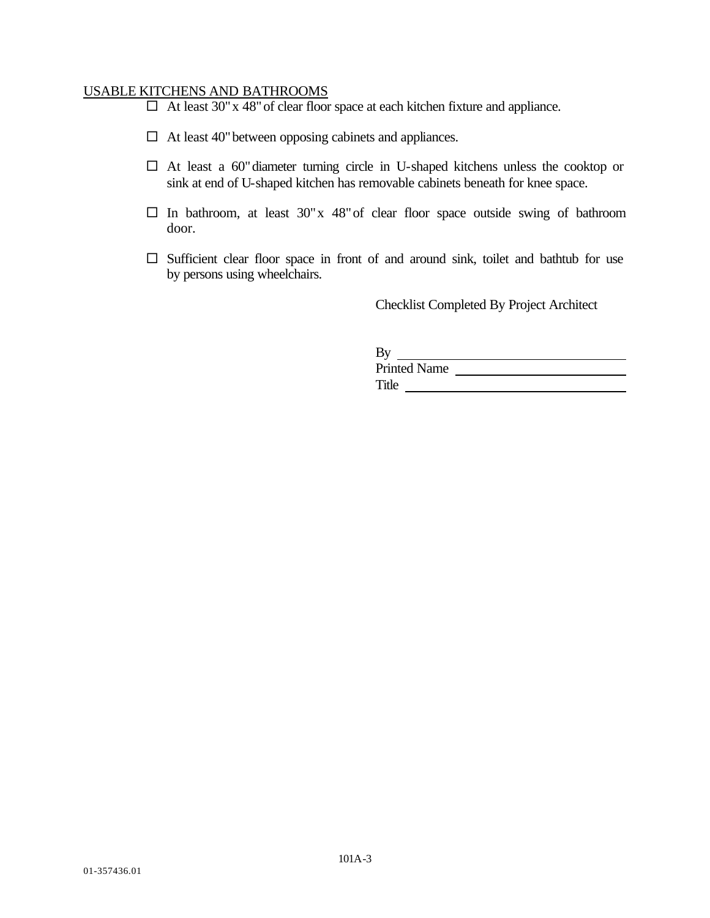## USABLE KITCHENS AND BATHROOMS

- $\Box$  At least 30" x 48" of clear floor space at each kitchen fixture and appliance.
- $\Box$  At least 40" between opposing cabinets and appliances.
- $\Box$  At least a 60" diameter turning circle in U-shaped kitchens unless the cooktop or sink at end of U-shaped kitchen has removable cabinets beneath for knee space.
- $\square$  In bathroom, at least 30"x 48" of clear floor space outside swing of bathroom door.
- $\square$  Sufficient clear floor space in front of and around sink, toilet and bathtub for use by persons using wheelchairs.

Checklist Completed By Project Architect

| By                  |  |
|---------------------|--|
| <b>Printed Name</b> |  |
| Title               |  |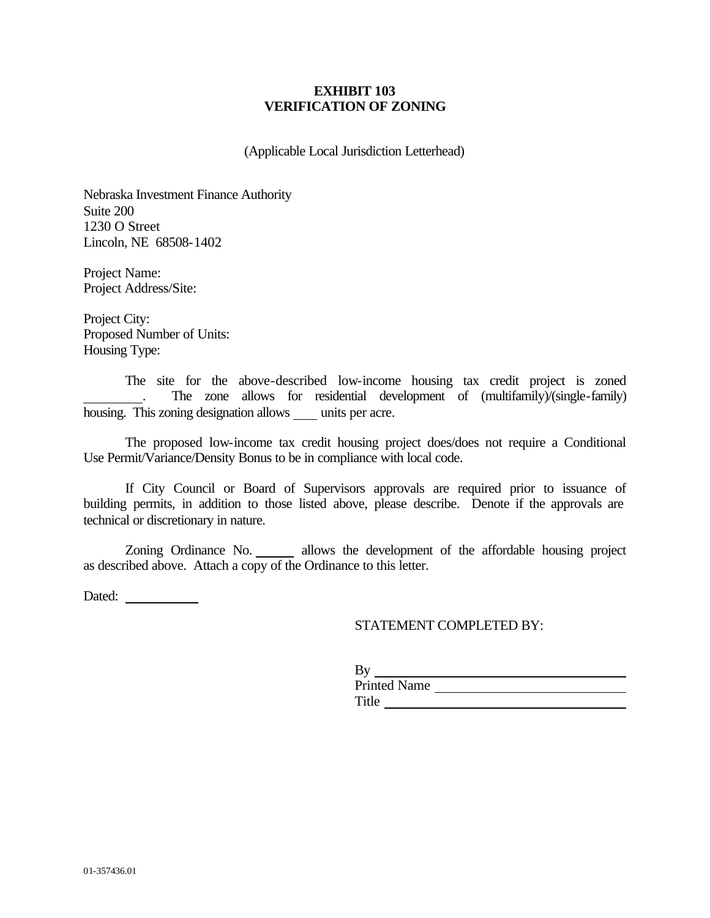## **EXHIBIT 103 VERIFICATION OF ZONING**

(Applicable Local Jurisdiction Letterhead)

Nebraska Investment Finance Authority Suite 200 1230 O Street Lincoln, NE 68508-1402

Project Name: Project Address/Site:

Project City: Proposed Number of Units: Housing Type:

The site for the above-described low-income housing tax credit project is zoned . The zone allows for residential development of (multifamily)/(single-family) housing. This zoning designation allows units per acre.

The proposed low-income tax credit housing project does/does not require a Conditional Use Permit/Variance/Density Bonus to be in compliance with local code.

If City Council or Board of Supervisors approvals are required prior to issuance of building permits, in addition to those listed above, please describe. Denote if the approvals are technical or discretionary in nature.

Zoning Ordinance No. allows the development of the affordable housing project as described above. Attach a copy of the Ordinance to this letter.

Dated:

## STATEMENT COMPLETED BY:

| By                  |  |
|---------------------|--|
| <b>Printed Name</b> |  |
| Title               |  |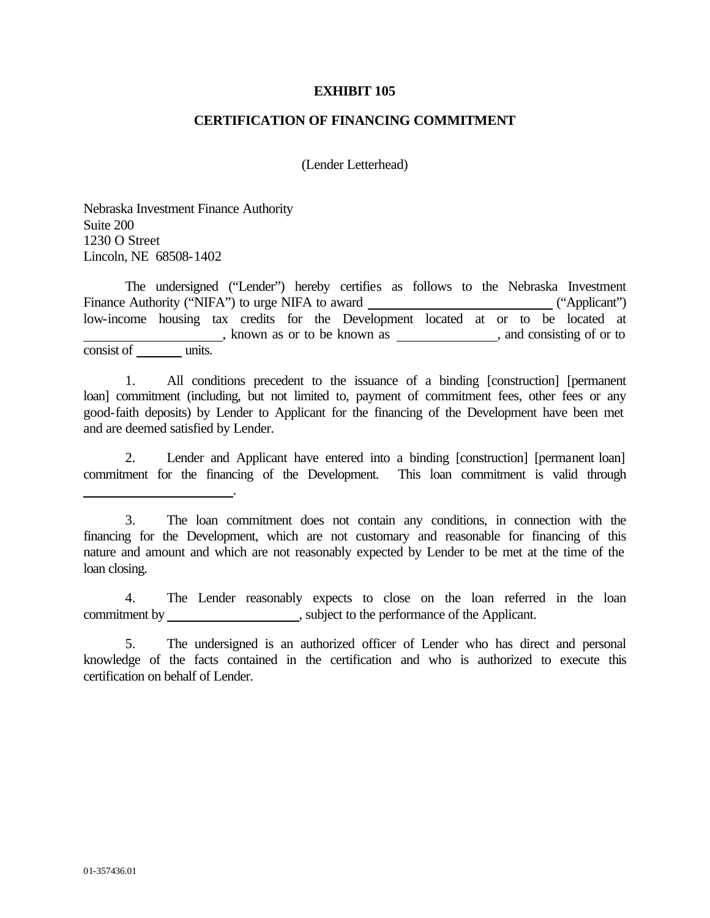#### **EXHIBIT 105**

#### **CERTIFICATION OF FINANCING COMMITMENT**

(Lender Letterhead)

Nebraska Investment Finance Authority Suite 200 1230 O Street Lincoln, NE 68508-1402

.

The undersigned ("Lender") hereby certifies as follows to the Nebraska Investment Finance Authority ("NIFA") to urge NIFA to award ("Applicant") low-income housing tax credits for the Development located at or to be located at  $\frac{c}{\text{units}}$ , known as or to be known as  $\frac{1}{\text{units}}$ , and consisting of or to consist of

1. All conditions precedent to the issuance of a binding [construction] [permanent loan] commitment (including, but not limited to, payment of commitment fees, other fees or any good-faith deposits) by Lender to Applicant for the financing of the Development have been met and are deemed satisfied by Lender.

2. Lender and Applicant have entered into a binding [construction] [permanent loan] commitment for the financing of the Development. This loan commitment is valid through

4. The Lender reasonably expects to close on the loan referred in the loan commitment by \_\_\_\_\_\_\_\_\_\_\_\_\_\_\_\_\_\_\_\_\_\_\_, subject to the performance of the Applicant.

<sup>3.</sup> The loan commitment does not contain any conditions, in connection with the financing for the Development, which are not customary and reasonable for financing of this nature and amount and which are not reasonably expected by Lender to be met at the time of the loan closing.

<sup>5.</sup> The undersigned is an authorized officer of Lender who has direct and personal knowledge of the facts contained in the certification and who is authorized to execute this certification on behalf of Lender.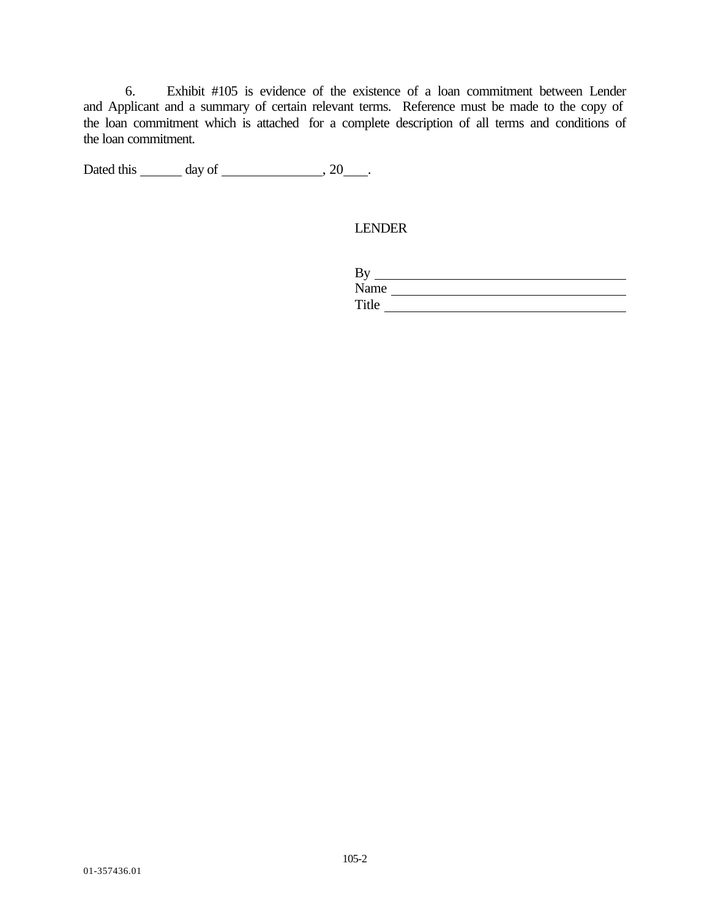6. Exhibit #105 is evidence of the existence of a loan commitment between Lender and Applicant and a summary of certain relevant terms. Reference must be made to the copy of the loan commitment which is attached for a complete description of all terms and conditions of the loan commitment.

Dated this  $\_\_\_\_$  day of  $\_\_\_\_\_\$ , 20 $\_\_\_\$ .

LENDER

| By    |  |
|-------|--|
| Name  |  |
| Title |  |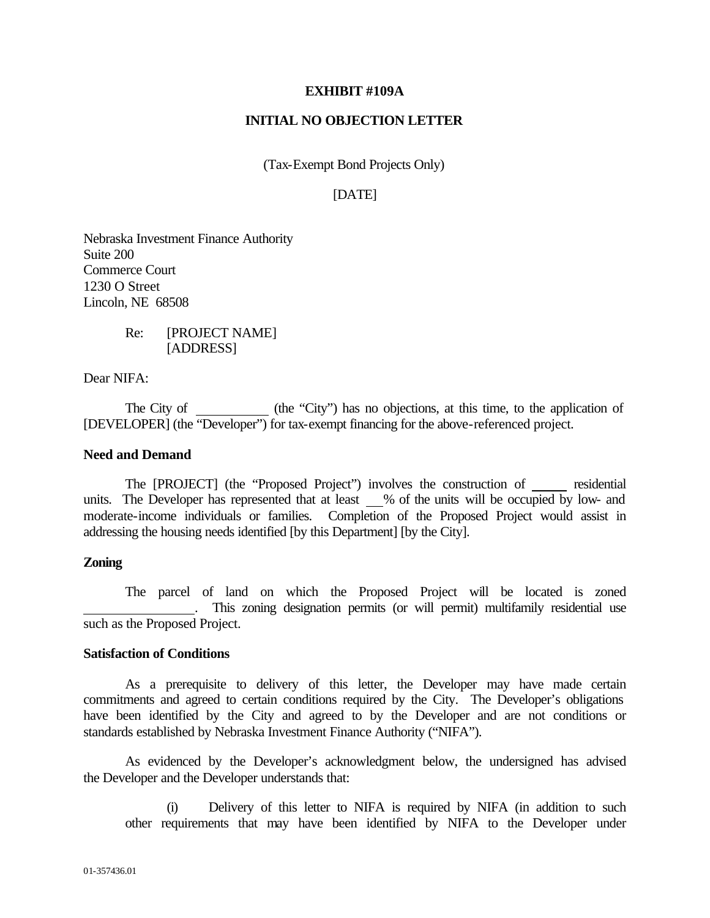#### **EXHIBIT #109A**

### **INITIAL NO OBJECTION LETTER**

(Tax-Exempt Bond Projects Only)

# [DATE]

Nebraska Investment Finance Authority Suite 200 Commerce Court 1230 O Street Lincoln, NE 68508

> Re: [PROJECT NAME] [ADDRESS]

Dear NIFA:

The City of (the "City") has no objections, at this time, to the application of [DEVELOPER] (the "Developer") for tax-exempt financing for the above-referenced project.

#### **Need and Demand**

The [PROJECT] (the "Proposed Project") involves the construction of residential units. The Developer has represented that at least % of the units will be occupied by low- and moderate-income individuals or families. Completion of the Proposed Project would assist in addressing the housing needs identified [by this Department] [by the City].

## **Zoning**

The parcel of land on which the Proposed Project will be located is zoned . This zoning designation permits (or will permit) multifamily residential use such as the Proposed Project.

#### **Satisfaction of Conditions**

As a prerequisite to delivery of this letter, the Developer may have made certain commitments and agreed to certain conditions required by the City. The Developer's obligations have been identified by the City and agreed to by the Developer and are not conditions or standards established by Nebraska Investment Finance Authority ("NIFA").

As evidenced by the Developer's acknowledgment below, the undersigned has advised the Developer and the Developer understands that:

(i) Delivery of this letter to NIFA is required by NIFA (in addition to such other requirements that may have been identified by NIFA to the Developer under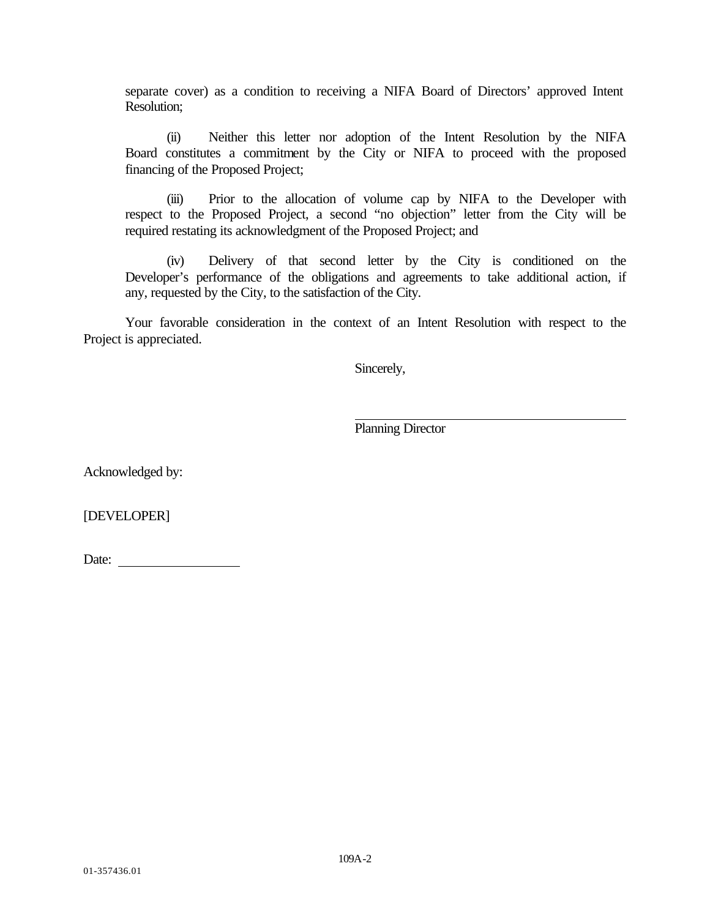separate cover) as a condition to receiving a NIFA Board of Directors' approved Intent Resolution;

(ii) Neither this letter nor adoption of the Intent Resolution by the NIFA Board constitutes a commitment by the City or NIFA to proceed with the proposed financing of the Proposed Project;

(iii) Prior to the allocation of volume cap by NIFA to the Developer with respect to the Proposed Project, a second "no objection" letter from the City will be required restating its acknowledgment of the Proposed Project; and

(iv) Delivery of that second letter by the City is conditioned on the Developer's performance of the obligations and agreements to take additional action, if any, requested by the City, to the satisfaction of the City.

Your favorable consideration in the context of an Intent Resolution with respect to the Project is appreciated.

Sincerely,

Planning Director

Acknowledged by:

[DEVELOPER]

Date: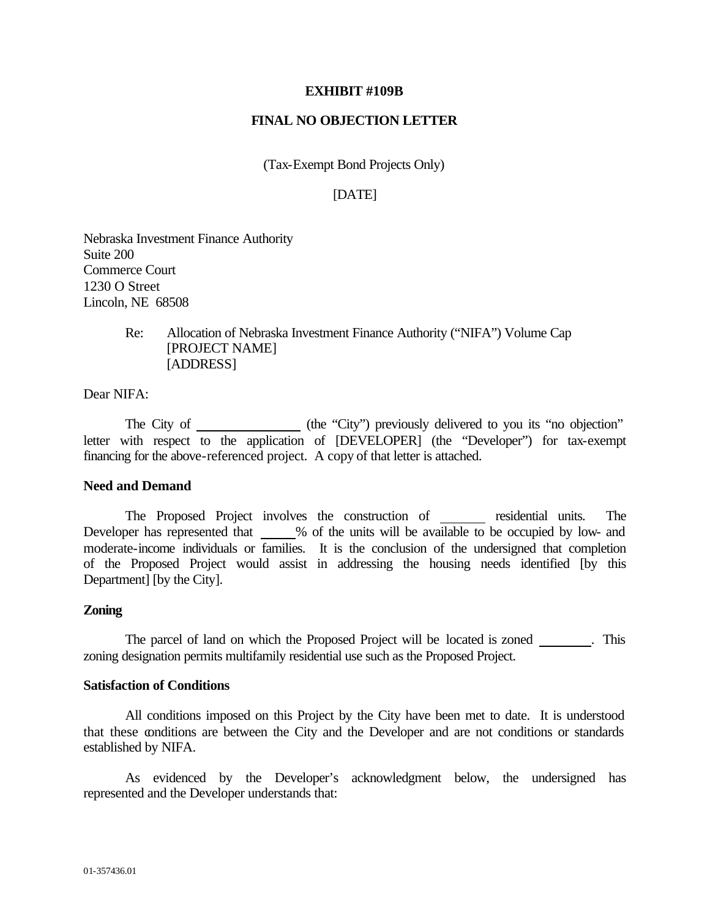#### **EXHIBIT #109B**

#### **FINAL NO OBJECTION LETTER**

(Tax-Exempt Bond Projects Only)

## [DATE]

Nebraska Investment Finance Authority Suite 200 Commerce Court 1230 O Street Lincoln, NE 68508

> Re: Allocation of Nebraska Investment Finance Authority ("NIFA") Volume Cap [PROJECT NAME] [ADDRESS]

Dear NIFA:

The City of (the "City") previously delivered to you its "no objection" letter with respect to the application of [DEVELOPER] (the "Developer") for tax-exempt financing for the above-referenced project. A copy of that letter is attached.

#### **Need and Demand**

The Proposed Project involves the construction of residential units. The Developer has represented that % of the units will be available to be occupied by low- and moderate-income individuals or families. It is the conclusion of the undersigned that completion of the Proposed Project would assist in addressing the housing needs identified [by this Department] [by the City].

#### **Zoning**

The parcel of land on which the Proposed Project will be located is zoned \_\_\_\_\_\_\_. This zoning designation permits multifamily residential use such as the Proposed Project.

#### **Satisfaction of Conditions**

All conditions imposed on this Project by the City have been met to date. It is understood that these conditions are between the City and the Developer and are not conditions or standards established by NIFA.

As evidenced by the Developer's acknowledgment below, the undersigned has represented and the Developer understands that: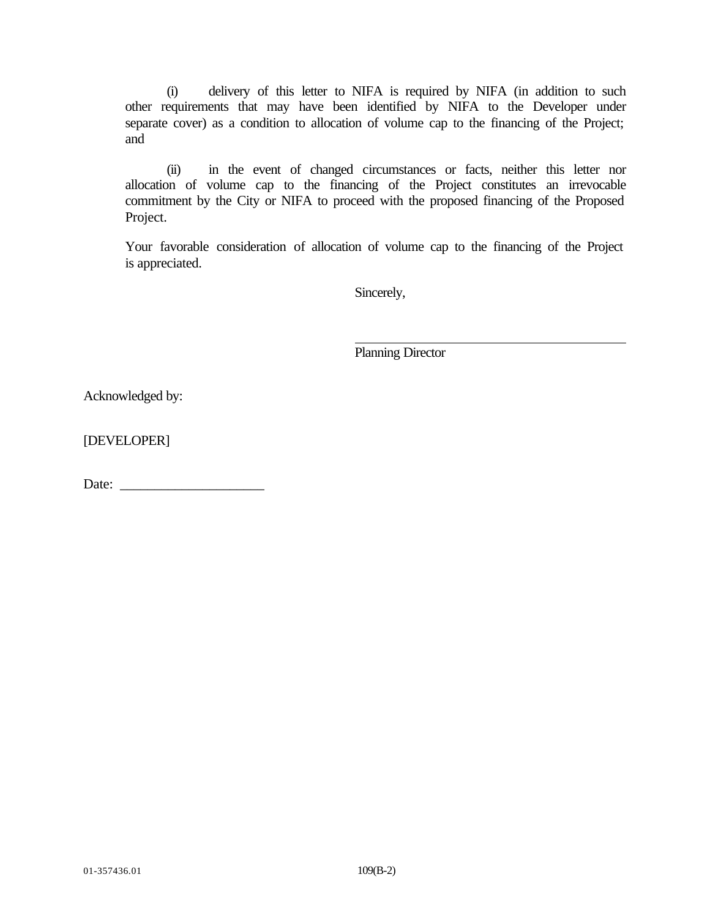(i) delivery of this letter to NIFA is required by NIFA (in addition to such other requirements that may have been identified by NIFA to the Developer under separate cover) as a condition to allocation of volume cap to the financing of the Project; and

(ii) in the event of changed circumstances or facts, neither this letter nor allocation of volume cap to the financing of the Project constitutes an irrevocable commitment by the City or NIFA to proceed with the proposed financing of the Proposed Project.

Your favorable consideration of allocation of volume cap to the financing of the Project is appreciated.

Sincerely,

Planning Director

Acknowledged by:

[DEVELOPER]

Date: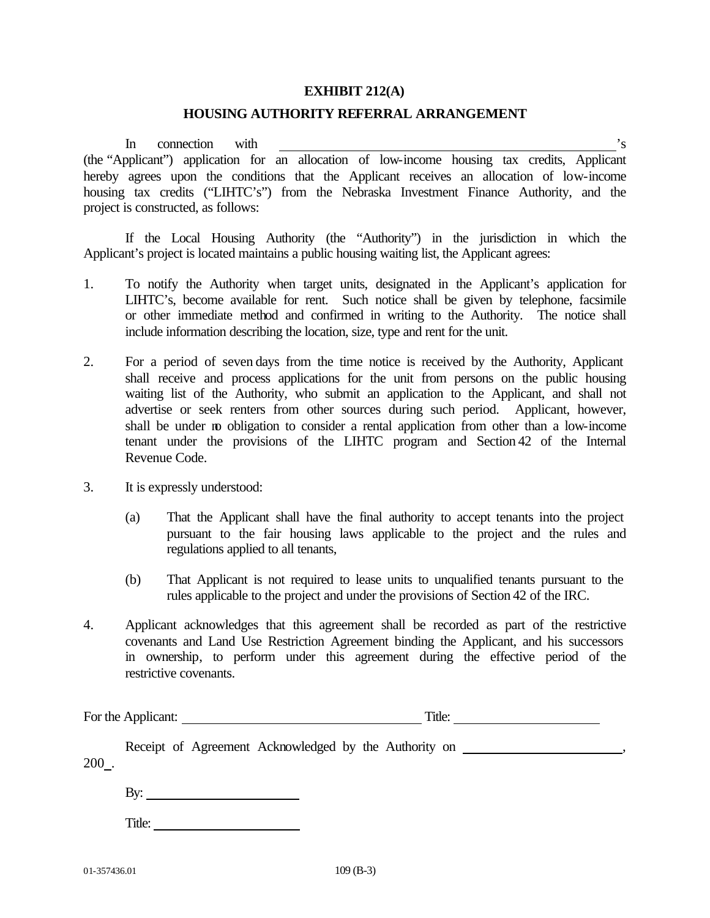#### **EXHIBIT 212(A)**

#### **HOUSING AUTHORITY REFERRAL ARRANGEMENT**

In connection with  $\frac{1}{s}$  is (the "Applicant") application for an allocation of low-income housing tax credits, Applicant hereby agrees upon the conditions that the Applicant receives an allocation of low-income housing tax credits ("LIHTC's") from the Nebraska Investment Finance Authority, and the project is constructed, as follows:

If the Local Housing Authority (the "Authority") in the jurisdiction in which the Applicant's project is located maintains a public housing waiting list, the Applicant agrees:

- 1. To notify the Authority when target units, designated in the Applicant's application for LIHTC's, become available for rent. Such notice shall be given by telephone, facsimile or other immediate method and confirmed in writing to the Authority. The notice shall include information describing the location, size, type and rent for the unit.
- 2. For a period of seven days from the time notice is received by the Authority, Applicant shall receive and process applications for the unit from persons on the public housing waiting list of the Authority, who submit an application to the Applicant, and shall not advertise or seek renters from other sources during such period. Applicant, however, shall be under no obligation to consider a rental application from other than a low-income tenant under the provisions of the LIHTC program and Section 42 of the Internal Revenue Code.
- 3. It is expressly understood:
	- (a) That the Applicant shall have the final authority to accept tenants into the project pursuant to the fair housing laws applicable to the project and the rules and regulations applied to all tenants,
	- (b) That Applicant is not required to lease units to unqualified tenants pursuant to the rules applicable to the project and under the provisions of Section 42 of the IRC.
- 4. Applicant acknowledges that this agreement shall be recorded as part of the restrictive covenants and Land Use Restriction Agreement binding the Applicant, and his successors in ownership, to perform under this agreement during the effective period of the restrictive covenants.

|         | For the Applicant:     |                                                       | Title: |  |
|---------|------------------------|-------------------------------------------------------|--------|--|
| $200$ . |                        | Receipt of Agreement Acknowledged by the Authority on |        |  |
|         | By: $\qquad \qquad$    |                                                       |        |  |
|         | Title: $\qquad \qquad$ |                                                       |        |  |
|         |                        |                                                       |        |  |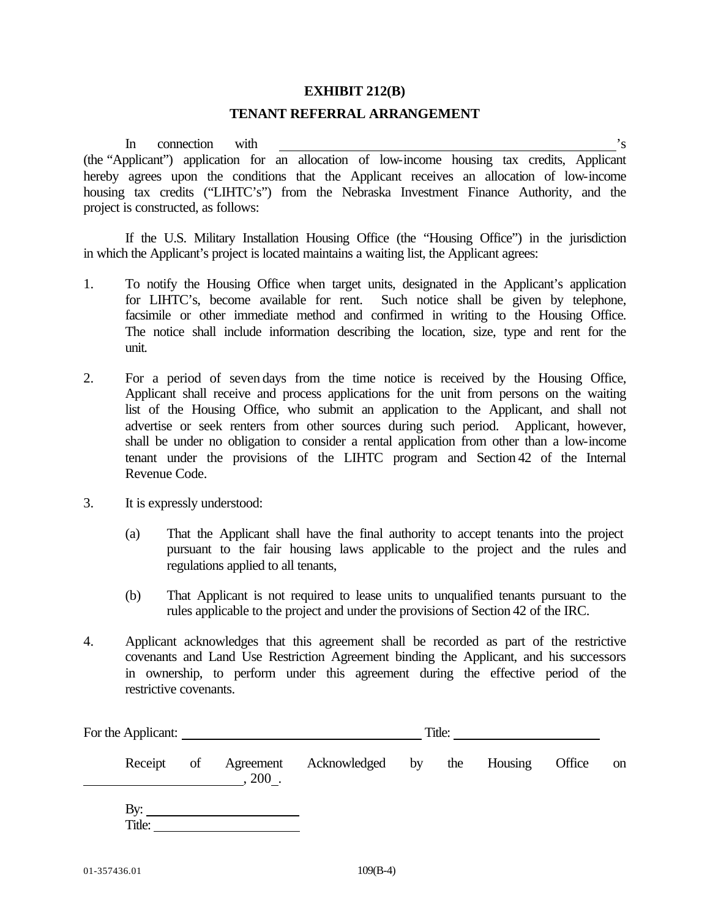#### **EXHIBIT 212(B)**

### **TENANT REFERRAL ARRANGEMENT**

In connection with  $\frac{1}{s}$  is (the "Applicant") application for an allocation of low-income housing tax credits, Applicant hereby agrees upon the conditions that the Applicant receives an allocation of low-income housing tax credits ("LIHTC's") from the Nebraska Investment Finance Authority, and the project is constructed, as follows:

If the U.S. Military Installation Housing Office (the "Housing Office") in the jurisdiction in which the Applicant's project is located maintains a waiting list, the Applicant agrees:

- 1. To notify the Housing Office when target units, designated in the Applicant's application for LIHTC's, become available for rent. Such notice shall be given by telephone, facsimile or other immediate method and confirmed in writing to the Housing Office. The notice shall include information describing the location, size, type and rent for the unit.
- 2. For a period of seven days from the time notice is received by the Housing Office, Applicant shall receive and process applications for the unit from persons on the waiting list of the Housing Office, who submit an application to the Applicant, and shall not advertise or seek renters from other sources during such period. Applicant, however, shall be under no obligation to consider a rental application from other than a low-income tenant under the provisions of the LIHTC program and Section 42 of the Internal Revenue Code.
- 3. It is expressly understood:
	- (a) That the Applicant shall have the final authority to accept tenants into the project pursuant to the fair housing laws applicable to the project and the rules and regulations applied to all tenants,
	- (b) That Applicant is not required to lease units to unqualified tenants pursuant to the rules applicable to the project and under the provisions of Section 42 of the IRC.
- 4. Applicant acknowledges that this agreement shall be recorded as part of the restrictive covenants and Land Use Restriction Agreement binding the Applicant, and his successors in ownership, to perform under this agreement during the effective period of the restrictive covenants.

|    |                      |  | Title: |                 |             |    |
|----|----------------------|--|--------|-----------------|-------------|----|
| of | Agreement<br>$200$ . |  |        |                 | Office      | on |
|    |                      |  |        |                 |             |    |
|    |                      |  |        | Acknowledged by | the Housing |    |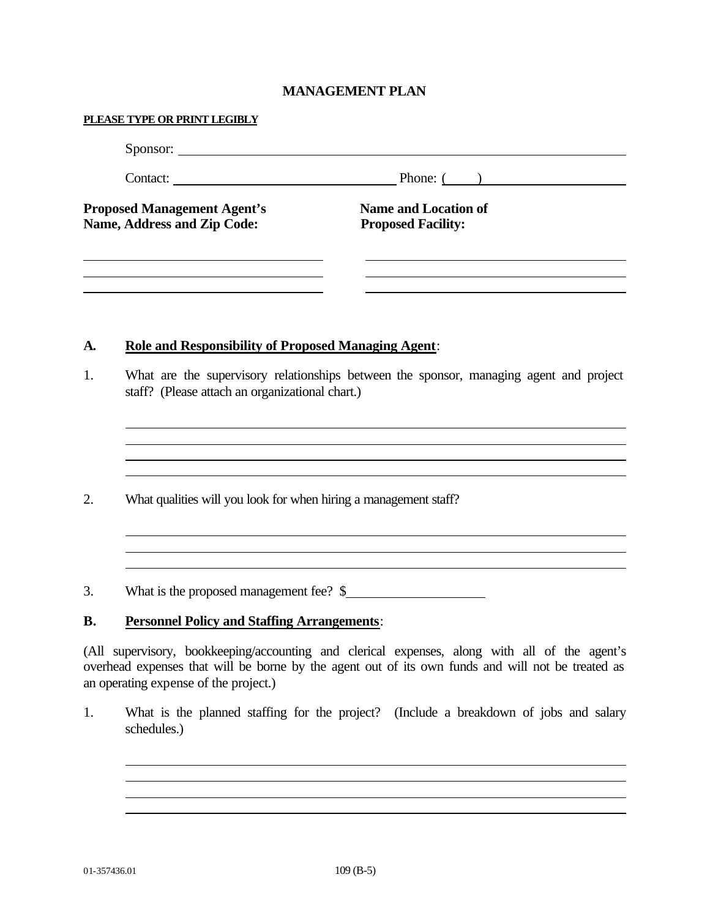# **MANAGEMENT PLAN**

|           | Sponsor:                                                          |                                                                                                                                                                                                    |
|-----------|-------------------------------------------------------------------|----------------------------------------------------------------------------------------------------------------------------------------------------------------------------------------------------|
|           |                                                                   | Contact: Phone: ()                                                                                                                                                                                 |
|           | <b>Proposed Management Agent's</b><br>Name, Address and Zip Code: | <b>Name and Location of</b><br><b>Proposed Facility:</b>                                                                                                                                           |
| <b>A.</b> | <b>Role and Responsibility of Proposed Managing Agent:</b>        |                                                                                                                                                                                                    |
| 1.        | staff? (Please attach an organizational chart.)                   | What are the supervisory relationships between the sponsor, managing agent and project                                                                                                             |
| 2.        | What qualities will you look for when hiring a management staff?  |                                                                                                                                                                                                    |
| 3.        | What is the proposed management fee? \$                           |                                                                                                                                                                                                    |
| <b>B.</b> | <b>Personnel Policy and Staffing Arrangements:</b>                |                                                                                                                                                                                                    |
|           | an operating expense of the project.)                             | (All supervisory, bookkeeping/accounting and clerical expenses, along with all of the agent's<br>overhead expenses that will be borne by the agent out of its own funds and will not be treated as |

1. What is the planned staffing for the project? (Include a breakdown of jobs and salary schedules.)

<u> 1989 - Johann Stoff, amerikansk politiker (\* 1908)</u>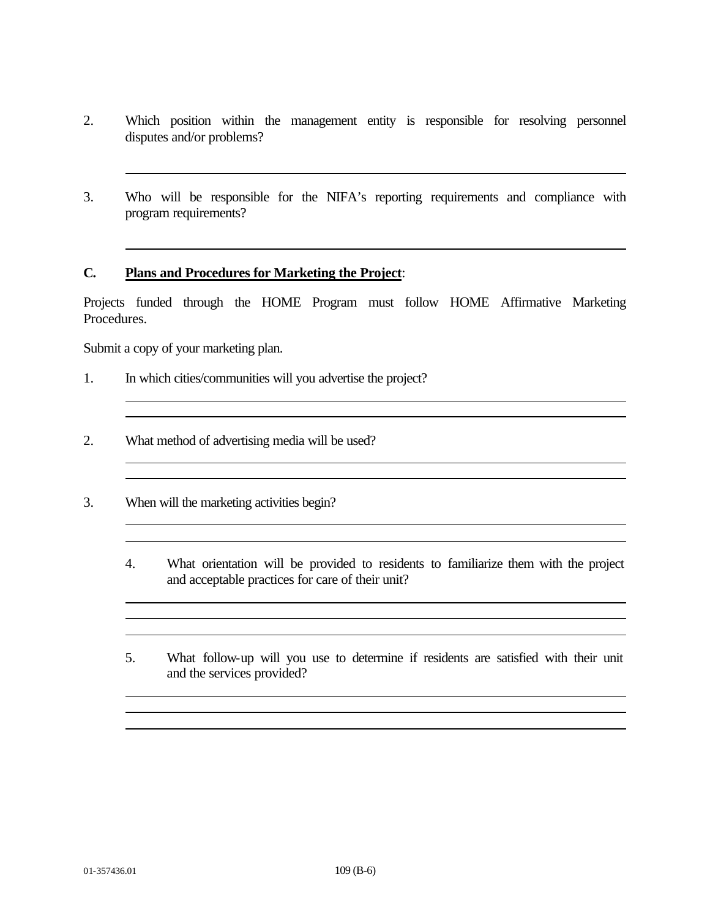- 2. Which position within the management entity is responsible for resolving personnel disputes and/or problems?
- 3. Who will be responsible for the NIFA's reporting requirements and compliance with program requirements?

#### **C. Plans and Procedures for Marketing the Project**:

Projects funded through the HOME Program must follow HOME Affirmative Marketing Procedures.

Submit a copy of your marketing plan.

- 1. In which cities/communities will you advertise the project?
- 2. What method of advertising media will be used?
- 3. When will the marketing activities begin?
	- 4. What orientation will be provided to residents to familiarize them with the project and acceptable practices for care of their unit?

<u> 1989 - Johann Stoff, amerikansk politiker (d. 1989)</u>

5. What follow-up will you use to determine if residents are satisfied with their unit and the services provided?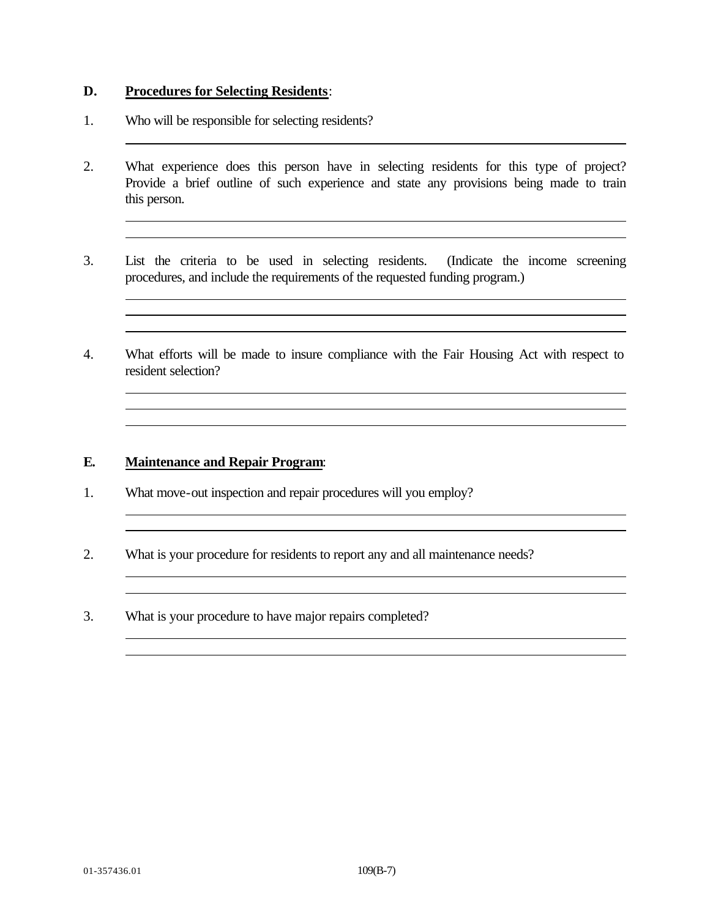## **D. Procedures for Selecting Residents**:

- 1. Who will be responsible for selecting residents?
- 2. What experience does this person have in selecting residents for this type of project? Provide a brief outline of such experience and state any provisions being made to train this person.

- 3. List the criteria to be used in selecting residents. (Indicate the income screening procedures, and include the requirements of the requested funding program.)
- 4. What efforts will be made to insure compliance with the Fair Housing Act with respect to resident selection?

the control of the control of the control of the control of the control of the control of the control of the control of the control of the control of the control of the control of the control of the control of the control <u> 1989 - Johann Stoff, amerikansk politiker (\* 1908)</u>

<u> 1989 - Johann Stoff, amerikansk politiker (\* 1908)</u>

## **E. Maintenance and Repair Program**:

- 1. What move-out inspection and repair procedures will you employ?
- 2. What is your procedure for residents to report any and all maintenance needs?
- 3. What is your procedure to have major repairs completed?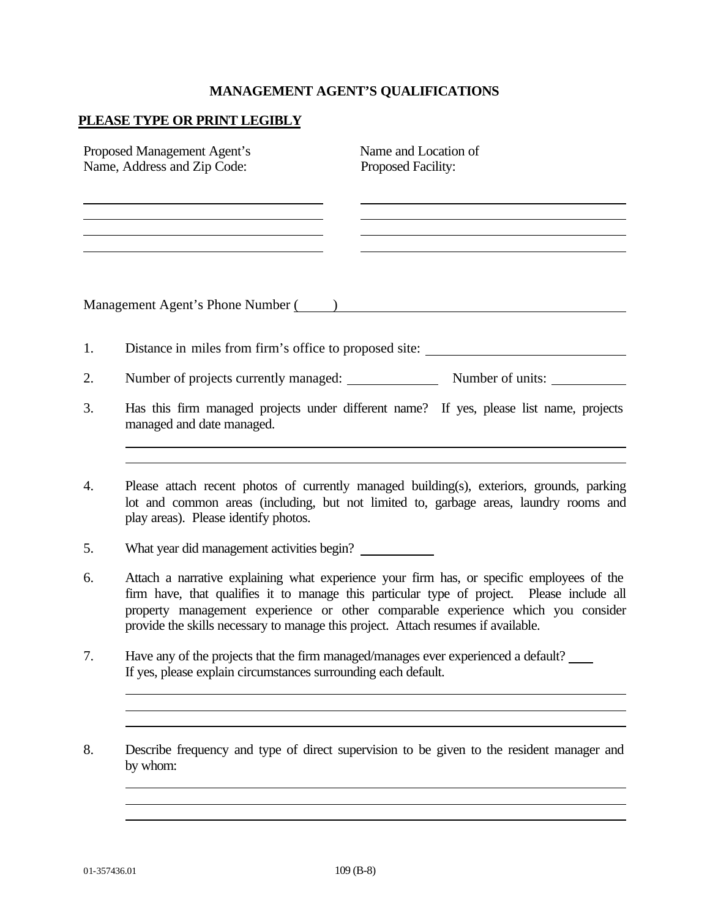# **MANAGEMENT AGENT'S QUALIFICATIONS**

# **PLEASE TYPE OR PRINT LEGIBLY**

|    | Name and Location of<br>Proposed Management Agent's<br>Name, Address and Zip Code:<br>Proposed Facility:                                                                                                                                                                                                                                                         |
|----|------------------------------------------------------------------------------------------------------------------------------------------------------------------------------------------------------------------------------------------------------------------------------------------------------------------------------------------------------------------|
|    | Management Agent's Phone Number (2008) and the contract of the Management Agent's Phone Number (2008) and the contract of the contract of the contract of the contract of the contract of the contract of the contract of the                                                                                                                                    |
| 1. | Distance in miles from firm's office to proposed site: _________________________                                                                                                                                                                                                                                                                                 |
| 2. | Number of projects currently managed: Number of units:                                                                                                                                                                                                                                                                                                           |
| 3. | Has this firm managed projects under different name? If yes, please list name, projects<br>managed and date managed.                                                                                                                                                                                                                                             |
| 4. | Please attach recent photos of currently managed building(s), exteriors, grounds, parking<br>lot and common areas (including, but not limited to, garbage areas, laundry rooms and<br>play areas). Please identify photos.                                                                                                                                       |
| 5. | What year did management activities begin?                                                                                                                                                                                                                                                                                                                       |
| 6. | Attach a narrative explaining what experience your firm has, or specific employees of the<br>firm have, that qualifies it to manage this particular type of project. Please include all<br>property management experience or other comparable experience which you consider<br>provide the skills necessary to manage this project. Attach resumes if available. |
| 7. | Have any of the projects that the firm managed/manages ever experienced a default?<br>If yes, please explain circumstances surrounding each default.                                                                                                                                                                                                             |
|    |                                                                                                                                                                                                                                                                                                                                                                  |

8. Describe frequency and type of direct supervision to be given to the resident manager and by whom: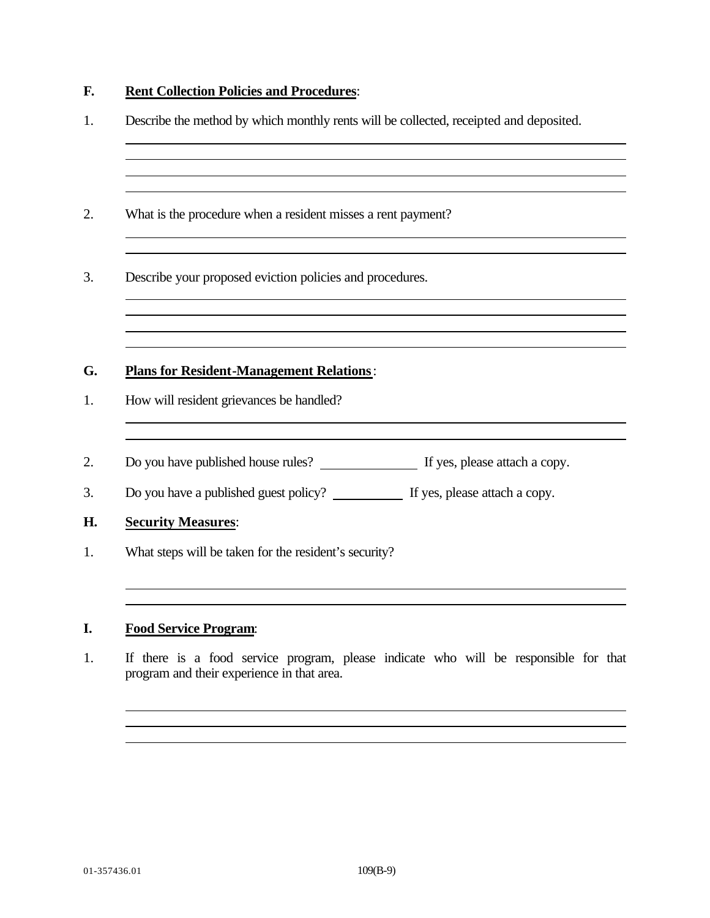# **F. Rent Collection Policies and Procedures**:

| What is the procedure when a resident misses a rent payment?                     |  |
|----------------------------------------------------------------------------------|--|
| Describe your proposed eviction policies and procedures.                         |  |
|                                                                                  |  |
|                                                                                  |  |
|                                                                                  |  |
| <b>Plans for Resident-Management Relations:</b>                                  |  |
| How will resident grievances be handled?                                         |  |
|                                                                                  |  |
| Do you have a published guest policy? ____________ If yes, please attach a copy. |  |
| <b>Security Measures:</b>                                                        |  |

1. If there is a food service program, please indicate who will be responsible for that program and their experience in that area.

the control of the control of the control of the control of the control of the control of the control of the control of the control of the control of the control of the control of the control of the control of the control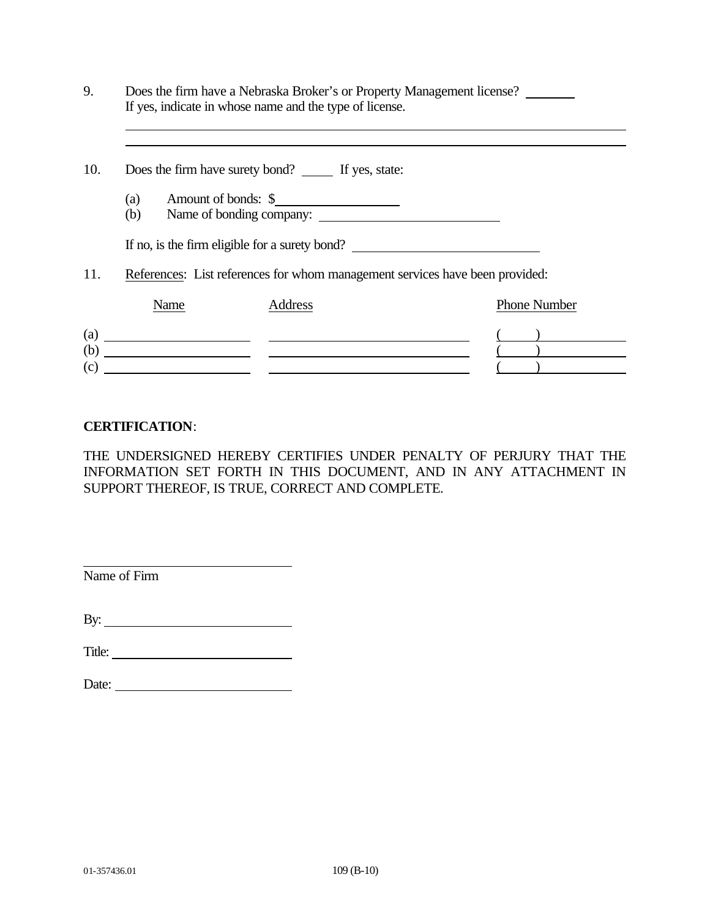| 9.  |            | If yes, indicate in whose name and the type of license. | Does the firm have a Nebraska Broker's or Property Management license?       |
|-----|------------|---------------------------------------------------------|------------------------------------------------------------------------------|
| 10. |            | Does the firm have surety bond? _______ If yes, state:  |                                                                              |
|     | (a)<br>(b) | Amount of bonds: \$                                     |                                                                              |
|     |            | If no, is the firm eligible for a surety bond?          |                                                                              |
| 11. |            |                                                         | References: List references for whom management services have been provided: |
|     | Name       | Address                                                 | <b>Phone Number</b>                                                          |
| (c) |            | $\left( \text{a)} \right)$<br>$\qquad \qquad \bullet$   |                                                                              |

# **CERTIFICATION**:

THE UNDERSIGNED HEREBY CERTIFIES UNDER PENALTY OF PERJURY THAT THE INFORMATION SET FORTH IN THIS DOCUMENT, AND IN ANY ATTACHMENT IN SUPPORT THEREOF, IS TRUE, CORRECT AND COMPLETE.

Name of Firm

By:

Title:

| Date: |  |
|-------|--|
|       |  |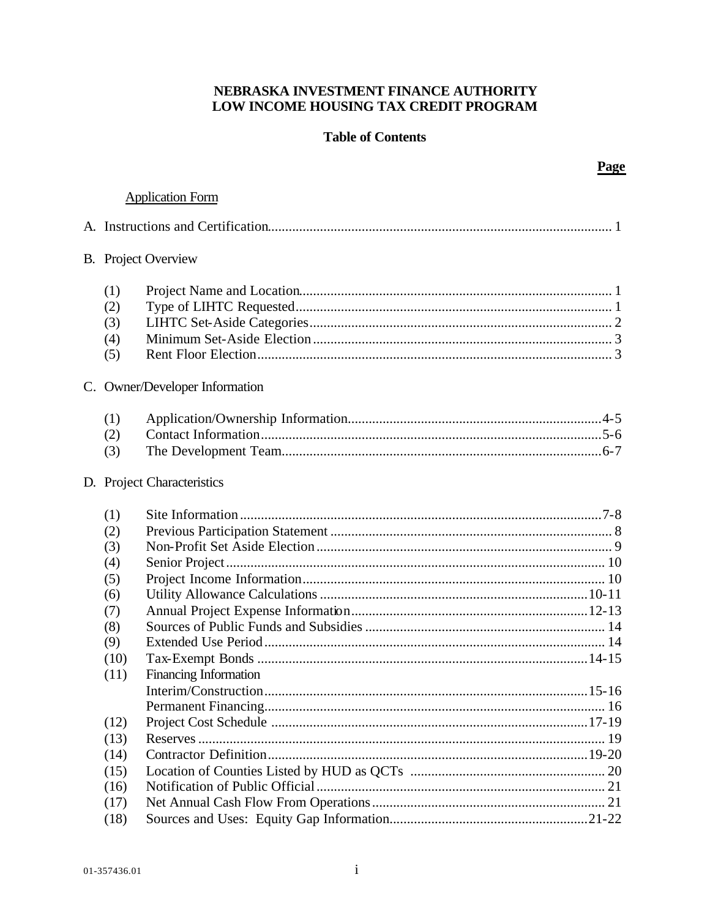# NEBRASKA INVESTMENT FINANCE AUTHORITY LOW INCOME HOUSING TAX CREDIT PROGRAM

# **Table of Contents**

# **Application Form**

|                                                                             | <b>B.</b> Project Overview |
|-----------------------------------------------------------------------------|----------------------------|
| (1)<br>(2)<br>(3)<br>(4)<br>(5)                                             |                            |
| C. Owner/Developer Information                                              |                            |
| (1)<br>(2)<br>(3)                                                           |                            |
|                                                                             | D. Project Characteristics |
| (1)<br>(2)<br>(3)<br>(4)<br>(5)<br>(6)<br>(7)<br>(8)<br>(9)<br>(10)<br>(11) | Financing Information      |
| (12)<br>(13)<br>(14)<br>(15)<br>(16)<br>(17)<br>(18)                        |                            |